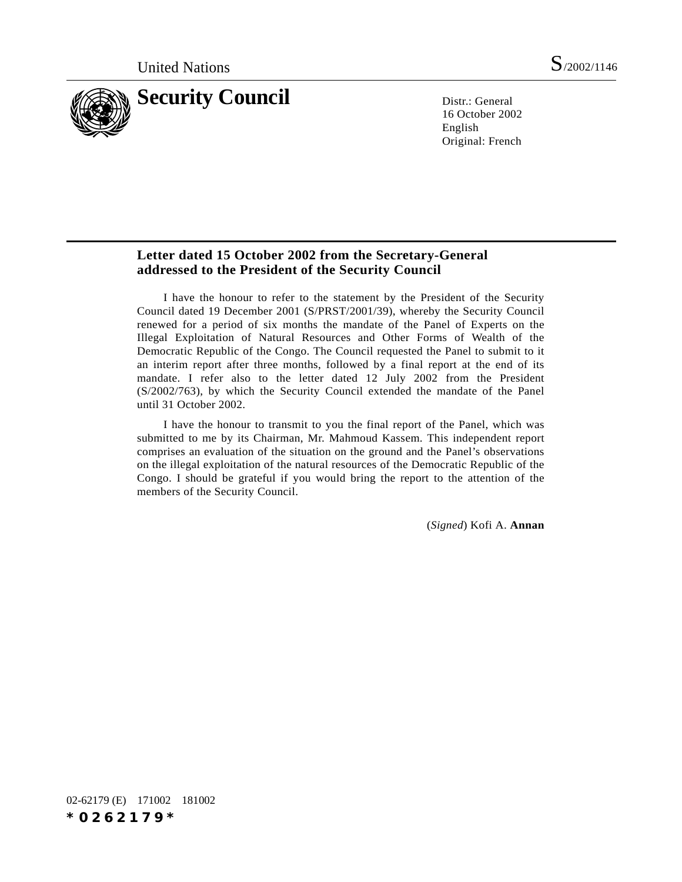

16 October 2002 English Original: French

# **Letter dated 15 October 2002 from the Secretary-General addressed to the President of the Security Council**

I have the honour to refer to the statement by the President of the Security Council dated 19 December 2001 (S/PRST/2001/39), whereby the Security Council renewed for a period of six months the mandate of the Panel of Experts on the Illegal Exploitation of Natural Resources and Other Forms of Wealth of the Democratic Republic of the Congo. The Council requested the Panel to submit to it an interim report after three months, followed by a final report at the end of its mandate. I refer also to the letter dated 12 July 2002 from the President (S/2002/763), by which the Security Council extended the mandate of the Panel until 31 October 2002.

I have the honour to transmit to you the final report of the Panel, which was submitted to me by its Chairman, Mr. Mahmoud Kassem. This independent report comprises an evaluation of the situation on the ground and the Panel's observations on the illegal exploitation of the natural resources of the Democratic Republic of the Congo. I should be grateful if you would bring the report to the attention of the members of the Security Council.

(*Signed*) Kofi A. **Annan**

02-62179 (E) 171002 181002 *\*0262179\**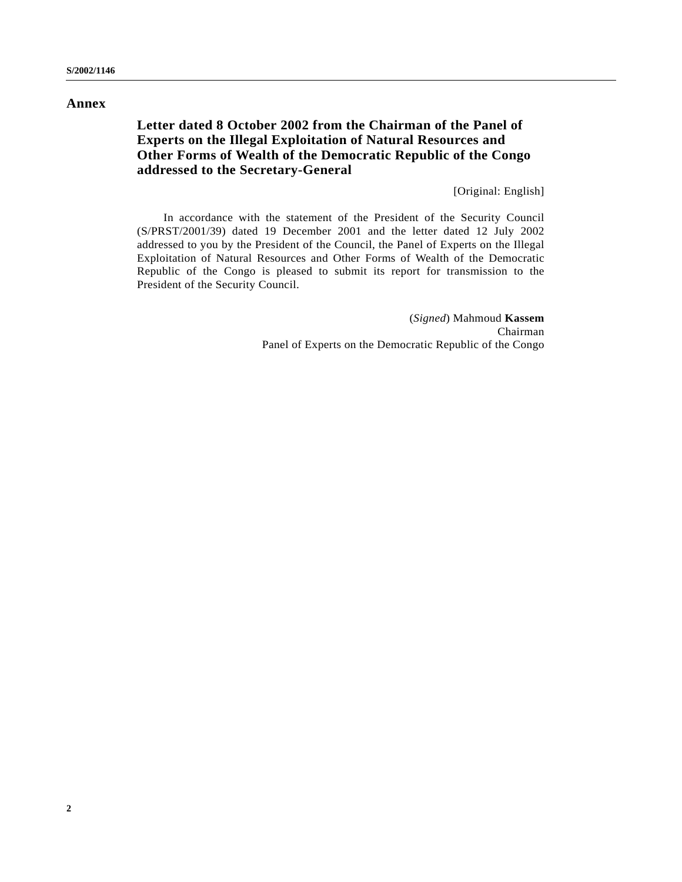# **Annex**

# **Letter dated 8 October 2002 from the Chairman of the Panel of Experts on the Illegal Exploitation of Natural Resources and Other Forms of Wealth of the Democratic Republic of the Congo addressed to the Secretary-General**

[Original: English]

In accordance with the statement of the President of the Security Council (S/PRST/2001/39) dated 19 December 2001 and the letter dated 12 July 2002 addressed to you by the President of the Council, the Panel of Experts on the Illegal Exploitation of Natural Resources and Other Forms of Wealth of the Democratic Republic of the Congo is pleased to submit its report for transmission to the President of the Security Council.

> (*Signed*) Mahmoud **Kassem** Chairman Panel of Experts on the Democratic Republic of the Congo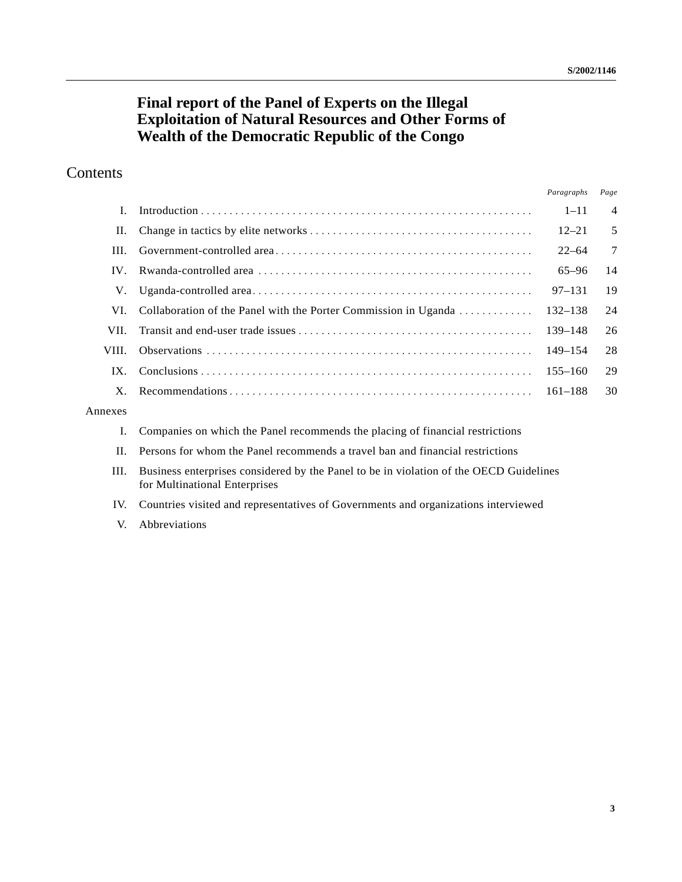# **Final report of the Panel of Experts on the Illegal Exploitation of Natural Resources and Other Forms of Wealth of the Democratic Republic of the Congo**

# Contents

|                   |                                                                 | Paragraphs  | Page            |
|-------------------|-----------------------------------------------------------------|-------------|-----------------|
|                   |                                                                 | $1 - 11$    | $\overline{4}$  |
| П.                |                                                                 | $12 - 21$   | 5               |
| HL.               |                                                                 | $22 - 64$   | $7\phantom{.0}$ |
| $\mathbf{IV}_{-}$ |                                                                 | $65 - 96$   | 14              |
| V.                |                                                                 | $97 - 131$  | 19              |
| VI.               | Collaboration of the Panel with the Porter Commission in Uganda | 132–138     | 24              |
| VII.              |                                                                 | 139–148     | 26              |
| VIII.             |                                                                 | 149–154     | 28              |
| $IX_{-}$          |                                                                 | $155 - 160$ | 29              |
| $X_{-}$           |                                                                 |             | 30              |
|                   |                                                                 |             |                 |

# Annexes

- I. Companies on which the Panel recommends the placing of financial restrictions
- II. Persons for whom the Panel recommends a travel ban and financial restrictions
- III. Business enterprises considered by the Panel to be in violation of the OECD Guidelines for Multinational Enterprises
- IV. Countries visited and representatives of Governments and organizations interviewed
- V. Abbreviations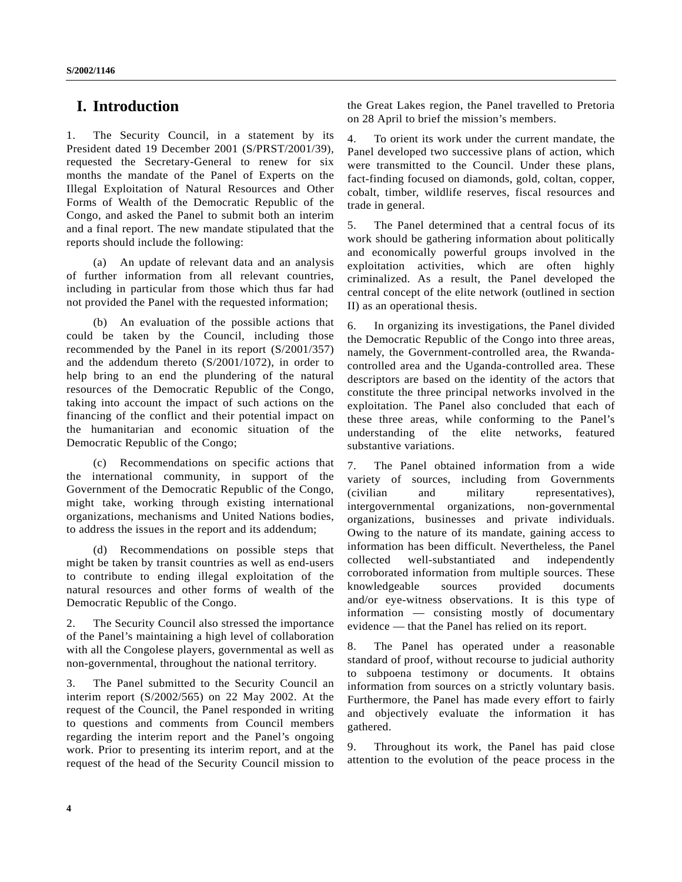# **I. Introduction**

1. The Security Council, in a statement by its President dated 19 December 2001 (S/PRST/2001/39), requested the Secretary-General to renew for six months the mandate of the Panel of Experts on the Illegal Exploitation of Natural Resources and Other Forms of Wealth of the Democratic Republic of the Congo, and asked the Panel to submit both an interim and a final report. The new mandate stipulated that the reports should include the following:

(a) An update of relevant data and an analysis of further information from all relevant countries, including in particular from those which thus far had not provided the Panel with the requested information;

(b) An evaluation of the possible actions that could be taken by the Council, including those recommended by the Panel in its report (S/2001/357) and the addendum thereto (S/2001/1072), in order to help bring to an end the plundering of the natural resources of the Democratic Republic of the Congo, taking into account the impact of such actions on the financing of the conflict and their potential impact on the humanitarian and economic situation of the Democratic Republic of the Congo;

(c) Recommendations on specific actions that the international community, in support of the Government of the Democratic Republic of the Congo, might take, working through existing international organizations, mechanisms and United Nations bodies, to address the issues in the report and its addendum;

(d) Recommendations on possible steps that might be taken by transit countries as well as end-users to contribute to ending illegal exploitation of the natural resources and other forms of wealth of the Democratic Republic of the Congo.

2. The Security Council also stressed the importance of the Panel's maintaining a high level of collaboration with all the Congolese players, governmental as well as non-governmental, throughout the national territory.

3. The Panel submitted to the Security Council an interim report (S/2002/565) on 22 May 2002. At the request of the Council, the Panel responded in writing to questions and comments from Council members regarding the interim report and the Panel's ongoing work. Prior to presenting its interim report, and at the request of the head of the Security Council mission to

the Great Lakes region, the Panel travelled to Pretoria on 28 April to brief the mission's members.

4. To orient its work under the current mandate, the Panel developed two successive plans of action, which were transmitted to the Council. Under these plans, fact-finding focused on diamonds, gold, coltan, copper, cobalt, timber, wildlife reserves, fiscal resources and trade in general.

5. The Panel determined that a central focus of its work should be gathering information about politically and economically powerful groups involved in the exploitation activities, which are often highly criminalized. As a result, the Panel developed the central concept of the elite network (outlined in section II) as an operational thesis.

6. In organizing its investigations, the Panel divided the Democratic Republic of the Congo into three areas, namely, the Government-controlled area, the Rwandacontrolled area and the Uganda-controlled area. These descriptors are based on the identity of the actors that constitute the three principal networks involved in the exploitation. The Panel also concluded that each of these three areas, while conforming to the Panel's understanding of the elite networks, featured substantive variations.

7. The Panel obtained information from a wide variety of sources, including from Governments (civilian and military representatives), intergovernmental organizations, non-governmental organizations, businesses and private individuals. Owing to the nature of its mandate, gaining access to information has been difficult. Nevertheless, the Panel collected well-substantiated and independently corroborated information from multiple sources. These knowledgeable sources provided documents and/or eye-witness observations. It is this type of information — consisting mostly of documentary evidence — that the Panel has relied on its report.

8. The Panel has operated under a reasonable standard of proof, without recourse to judicial authority to subpoena testimony or documents. It obtains information from sources on a strictly voluntary basis. Furthermore, the Panel has made every effort to fairly and objectively evaluate the information it has gathered.

9. Throughout its work, the Panel has paid close attention to the evolution of the peace process in the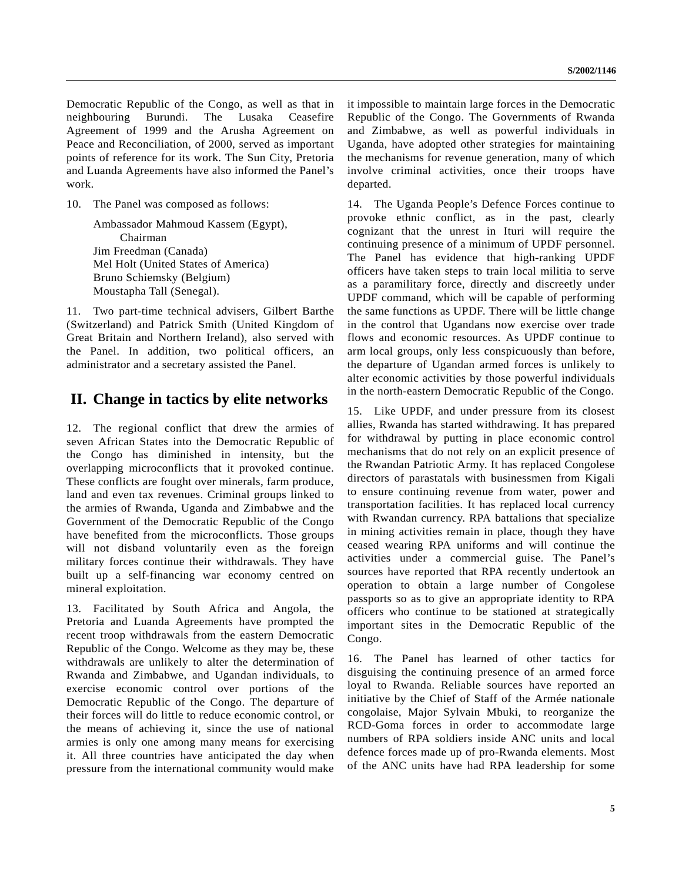Democratic Republic of the Congo, as well as that in neighbouring Burundi. The Lusaka Ceasefire Agreement of 1999 and the Arusha Agreement on Peace and Reconciliation, of 2000, served as important points of reference for its work. The Sun City, Pretoria and Luanda Agreements have also informed the Panel's work.

10. The Panel was composed as follows:

Ambassador Mahmoud Kassem (Egypt), Chairman Jim Freedman (Canada) Mel Holt (United States of America) Bruno Schiemsky (Belgium) Moustapha Tall (Senegal).

11. Two part-time technical advisers, Gilbert Barthe (Switzerland) and Patrick Smith (United Kingdom of Great Britain and Northern Ireland), also served with the Panel. In addition, two political officers, an administrator and a secretary assisted the Panel.

# **II. Change in tactics by elite networks**

12. The regional conflict that drew the armies of seven African States into the Democratic Republic of the Congo has diminished in intensity, but the overlapping microconflicts that it provoked continue. These conflicts are fought over minerals, farm produce, land and even tax revenues. Criminal groups linked to the armies of Rwanda, Uganda and Zimbabwe and the Government of the Democratic Republic of the Congo have benefited from the microconflicts. Those groups will not disband voluntarily even as the foreign military forces continue their withdrawals. They have built up a self-financing war economy centred on mineral exploitation.

13. Facilitated by South Africa and Angola, the Pretoria and Luanda Agreements have prompted the recent troop withdrawals from the eastern Democratic Republic of the Congo. Welcome as they may be, these withdrawals are unlikely to alter the determination of Rwanda and Zimbabwe, and Ugandan individuals, to exercise economic control over portions of the Democratic Republic of the Congo. The departure of their forces will do little to reduce economic control, or the means of achieving it, since the use of national armies is only one among many means for exercising it. All three countries have anticipated the day when pressure from the international community would make it impossible to maintain large forces in the Democratic Republic of the Congo. The Governments of Rwanda and Zimbabwe, as well as powerful individuals in Uganda, have adopted other strategies for maintaining the mechanisms for revenue generation, many of which involve criminal activities, once their troops have departed.

14. The Uganda People's Defence Forces continue to provoke ethnic conflict, as in the past, clearly cognizant that the unrest in Ituri will require the continuing presence of a minimum of UPDF personnel. The Panel has evidence that high-ranking UPDF officers have taken steps to train local militia to serve as a paramilitary force, directly and discreetly under UPDF command, which will be capable of performing the same functions as UPDF. There will be little change in the control that Ugandans now exercise over trade flows and economic resources. As UPDF continue to arm local groups, only less conspicuously than before, the departure of Ugandan armed forces is unlikely to alter economic activities by those powerful individuals in the north-eastern Democratic Republic of the Congo.

15. Like UPDF, and under pressure from its closest allies, Rwanda has started withdrawing. It has prepared for withdrawal by putting in place economic control mechanisms that do not rely on an explicit presence of the Rwandan Patriotic Army. It has replaced Congolese directors of parastatals with businessmen from Kigali to ensure continuing revenue from water, power and transportation facilities. It has replaced local currency with Rwandan currency. RPA battalions that specialize in mining activities remain in place, though they have ceased wearing RPA uniforms and will continue the activities under a commercial guise. The Panel's sources have reported that RPA recently undertook an operation to obtain a large number of Congolese passports so as to give an appropriate identity to RPA officers who continue to be stationed at strategically important sites in the Democratic Republic of the Congo.

16. The Panel has learned of other tactics for disguising the continuing presence of an armed force loyal to Rwanda. Reliable sources have reported an initiative by the Chief of Staff of the Armée nationale congolaise, Major Sylvain Mbuki, to reorganize the RCD-Goma forces in order to accommodate large numbers of RPA soldiers inside ANC units and local defence forces made up of pro-Rwanda elements. Most of the ANC units have had RPA leadership for some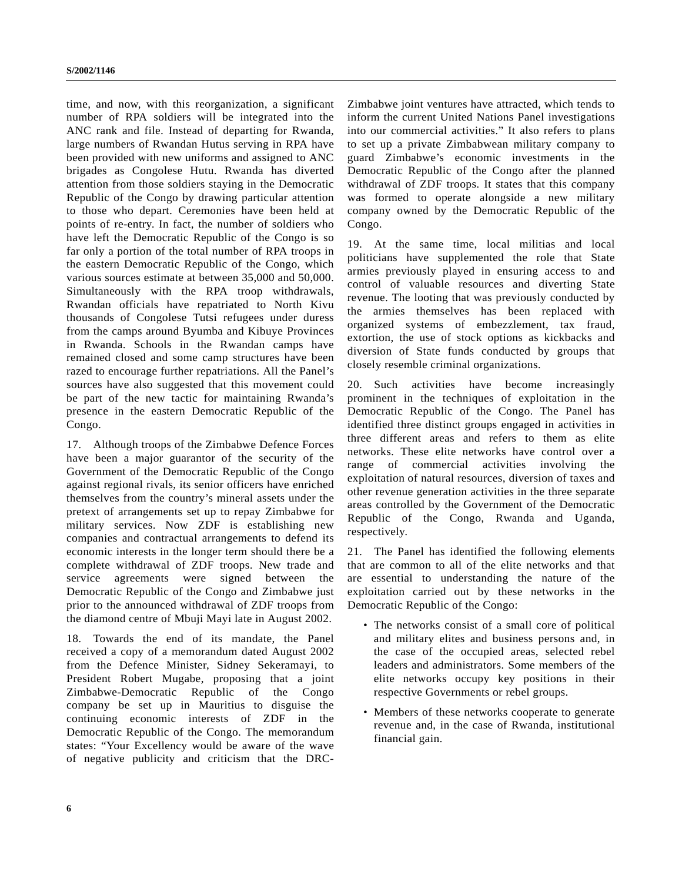time, and now, with this reorganization, a significant number of RPA soldiers will be integrated into the ANC rank and file. Instead of departing for Rwanda, large numbers of Rwandan Hutus serving in RPA have been provided with new uniforms and assigned to ANC brigades as Congolese Hutu. Rwanda has diverted attention from those soldiers staying in the Democratic Republic of the Congo by drawing particular attention to those who depart. Ceremonies have been held at points of re-entry. In fact, the number of soldiers who have left the Democratic Republic of the Congo is so far only a portion of the total number of RPA troops in the eastern Democratic Republic of the Congo, which various sources estimate at between 35,000 and 50,000. Simultaneously with the RPA troop withdrawals, Rwandan officials have repatriated to North Kivu thousands of Congolese Tutsi refugees under duress from the camps around Byumba and Kibuye Provinces in Rwanda. Schools in the Rwandan camps have remained closed and some camp structures have been razed to encourage further repatriations. All the Panel's sources have also suggested that this movement could be part of the new tactic for maintaining Rwanda's presence in the eastern Democratic Republic of the Congo.

17. Although troops of the Zimbabwe Defence Forces have been a major guarantor of the security of the Government of the Democratic Republic of the Congo against regional rivals, its senior officers have enriched themselves from the country's mineral assets under the pretext of arrangements set up to repay Zimbabwe for military services. Now ZDF is establishing new companies and contractual arrangements to defend its economic interests in the longer term should there be a complete withdrawal of ZDF troops. New trade and service agreements were signed between the Democratic Republic of the Congo and Zimbabwe just prior to the announced withdrawal of ZDF troops from the diamond centre of Mbuji Mayi late in August 2002.

18. Towards the end of its mandate, the Panel received a copy of a memorandum dated August 2002 from the Defence Minister, Sidney Sekeramayi, to President Robert Mugabe, proposing that a joint Zimbabwe-Democratic Republic of the Congo company be set up in Mauritius to disguise the continuing economic interests of ZDF in the Democratic Republic of the Congo. The memorandum states: "Your Excellency would be aware of the wave of negative publicity and criticism that the DRC-

Zimbabwe joint ventures have attracted, which tends to inform the current United Nations Panel investigations into our commercial activities." It also refers to plans to set up a private Zimbabwean military company to guard Zimbabwe's economic investments in the Democratic Republic of the Congo after the planned withdrawal of ZDF troops. It states that this company was formed to operate alongside a new military company owned by the Democratic Republic of the Congo.

19. At the same time, local militias and local politicians have supplemented the role that State armies previously played in ensuring access to and control of valuable resources and diverting State revenue. The looting that was previously conducted by the armies themselves has been replaced with organized systems of embezzlement, tax fraud, extortion, the use of stock options as kickbacks and diversion of State funds conducted by groups that closely resemble criminal organizations.

20. Such activities have become increasingly prominent in the techniques of exploitation in the Democratic Republic of the Congo. The Panel has identified three distinct groups engaged in activities in three different areas and refers to them as elite networks. These elite networks have control over a range of commercial activities involving the exploitation of natural resources, diversion of taxes and other revenue generation activities in the three separate areas controlled by the Government of the Democratic Republic of the Congo, Rwanda and Uganda, respectively.

21. The Panel has identified the following elements that are common to all of the elite networks and that are essential to understanding the nature of the exploitation carried out by these networks in the Democratic Republic of the Congo:

- The networks consist of a small core of political and military elites and business persons and, in the case of the occupied areas, selected rebel leaders and administrators. Some members of the elite networks occupy key positions in their respective Governments or rebel groups.
- Members of these networks cooperate to generate revenue and, in the case of Rwanda, institutional financial gain.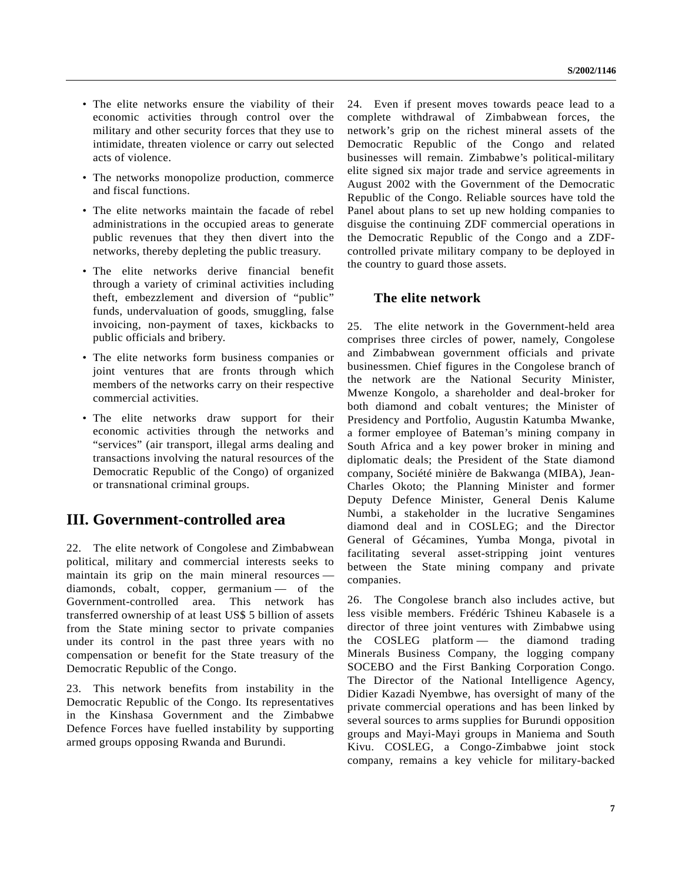- The elite networks ensure the viability of their economic activities through control over the military and other security forces that they use to intimidate, threaten violence or carry out selected acts of violence.
- The networks monopolize production, commerce and fiscal functions.
- The elite networks maintain the facade of rebel administrations in the occupied areas to generate public revenues that they then divert into the networks, thereby depleting the public treasury.
- The elite networks derive financial benefit through a variety of criminal activities including theft, embezzlement and diversion of "public" funds, undervaluation of goods, smuggling, false invoicing, non-payment of taxes, kickbacks to public officials and bribery.
- The elite networks form business companies or joint ventures that are fronts through which members of the networks carry on their respective commercial activities.
- The elite networks draw support for their economic activities through the networks and "services" (air transport, illegal arms dealing and transactions involving the natural resources of the Democratic Republic of the Congo) of organized or transnational criminal groups.

# **III. Government-controlled area**

22. The elite network of Congolese and Zimbabwean political, military and commercial interests seeks to maintain its grip on the main mineral resources diamonds, cobalt, copper, germanium — of the Government-controlled area. This network has transferred ownership of at least US\$ 5 billion of assets from the State mining sector to private companies under its control in the past three years with no compensation or benefit for the State treasury of the Democratic Republic of the Congo.

23. This network benefits from instability in the Democratic Republic of the Congo. Its representatives in the Kinshasa Government and the Zimbabwe Defence Forces have fuelled instability by supporting armed groups opposing Rwanda and Burundi.

24. Even if present moves towards peace lead to a complete withdrawal of Zimbabwean forces, the network's grip on the richest mineral assets of the Democratic Republic of the Congo and related businesses will remain. Zimbabwe's political-military elite signed six major trade and service agreements in August 2002 with the Government of the Democratic Republic of the Congo. Reliable sources have told the Panel about plans to set up new holding companies to disguise the continuing ZDF commercial operations in the Democratic Republic of the Congo and a ZDFcontrolled private military company to be deployed in the country to guard those assets.

# **The elite network**

25. The elite network in the Government-held area comprises three circles of power, namely, Congolese and Zimbabwean government officials and private businessmen. Chief figures in the Congolese branch of the network are the National Security Minister, Mwenze Kongolo, a shareholder and deal-broker for both diamond and cobalt ventures; the Minister of Presidency and Portfolio, Augustin Katumba Mwanke, a former employee of Bateman's mining company in South Africa and a key power broker in mining and diplomatic deals; the President of the State diamond company, Société minière de Bakwanga (MIBA), Jean-Charles Okoto; the Planning Minister and former Deputy Defence Minister, General Denis Kalume Numbi, a stakeholder in the lucrative Sengamines diamond deal and in COSLEG; and the Director General of Gécamines, Yumba Monga, pivotal in facilitating several asset-stripping joint ventures between the State mining company and private companies.

26. The Congolese branch also includes active, but less visible members. Frédéric Tshineu Kabasele is a director of three joint ventures with Zimbabwe using the COSLEG platform — the diamond trading Minerals Business Company, the logging company SOCEBO and the First Banking Corporation Congo. The Director of the National Intelligence Agency, Didier Kazadi Nyembwe, has oversight of many of the private commercial operations and has been linked by several sources to arms supplies for Burundi opposition groups and Mayi-Mayi groups in Maniema and South Kivu. COSLEG, a Congo-Zimbabwe joint stock company, remains a key vehicle for military-backed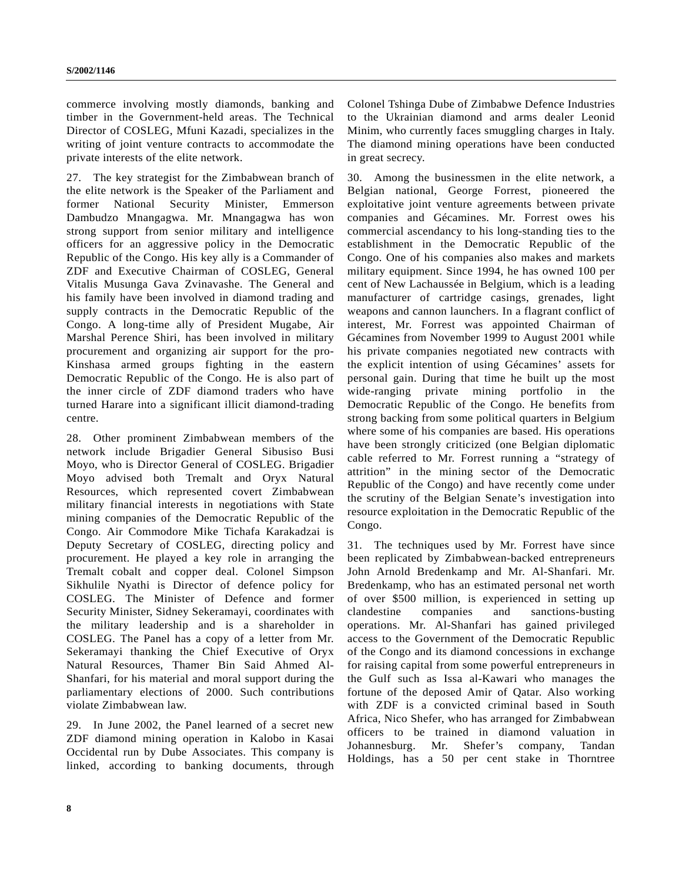commerce involving mostly diamonds, banking and timber in the Government-held areas. The Technical Director of COSLEG, Mfuni Kazadi, specializes in the writing of joint venture contracts to accommodate the private interests of the elite network.

27. The key strategist for the Zimbabwean branch of the elite network is the Speaker of the Parliament and former National Security Minister, Emmerson Dambudzo Mnangagwa. Mr. Mnangagwa has won strong support from senior military and intelligence officers for an aggressive policy in the Democratic Republic of the Congo. His key ally is a Commander of ZDF and Executive Chairman of COSLEG, General Vitalis Musunga Gava Zvinavashe. The General and his family have been involved in diamond trading and supply contracts in the Democratic Republic of the Congo. A long-time ally of President Mugabe, Air Marshal Perence Shiri, has been involved in military procurement and organizing air support for the pro-Kinshasa armed groups fighting in the eastern Democratic Republic of the Congo. He is also part of the inner circle of ZDF diamond traders who have turned Harare into a significant illicit diamond-trading centre.

28. Other prominent Zimbabwean members of the network include Brigadier General Sibusiso Busi Moyo, who is Director General of COSLEG. Brigadier Moyo advised both Tremalt and Oryx Natural Resources, which represented covert Zimbabwean military financial interests in negotiations with State mining companies of the Democratic Republic of the Congo. Air Commodore Mike Tichafa Karakadzai is Deputy Secretary of COSLEG, directing policy and procurement. He played a key role in arranging the Tremalt cobalt and copper deal. Colonel Simpson Sikhulile Nyathi is Director of defence policy for COSLEG. The Minister of Defence and former Security Minister, Sidney Sekeramayi, coordinates with the military leadership and is a shareholder in COSLEG. The Panel has a copy of a letter from Mr. Sekeramayi thanking the Chief Executive of Oryx Natural Resources, Thamer Bin Said Ahmed Al-Shanfari, for his material and moral support during the parliamentary elections of 2000. Such contributions violate Zimbabwean law.

29. In June 2002, the Panel learned of a secret new ZDF diamond mining operation in Kalobo in Kasai Occidental run by Dube Associates. This company is linked, according to banking documents, through Colonel Tshinga Dube of Zimbabwe Defence Industries to the Ukrainian diamond and arms dealer Leonid Minim, who currently faces smuggling charges in Italy. The diamond mining operations have been conducted in great secrecy.

30. Among the businessmen in the elite network, a Belgian national, George Forrest, pioneered the exploitative joint venture agreements between private companies and Gécamines. Mr. Forrest owes his commercial ascendancy to his long-standing ties to the establishment in the Democratic Republic of the Congo. One of his companies also makes and markets military equipment. Since 1994, he has owned 100 per cent of New Lachaussée in Belgium, which is a leading manufacturer of cartridge casings, grenades, light weapons and cannon launchers. In a flagrant conflict of interest, Mr. Forrest was appointed Chairman of Gécamines from November 1999 to August 2001 while his private companies negotiated new contracts with the explicit intention of using Gécamines' assets for personal gain. During that time he built up the most wide-ranging private mining portfolio in the Democratic Republic of the Congo. He benefits from strong backing from some political quarters in Belgium where some of his companies are based. His operations have been strongly criticized (one Belgian diplomatic cable referred to Mr. Forrest running a "strategy of attrition" in the mining sector of the Democratic Republic of the Congo) and have recently come under the scrutiny of the Belgian Senate's investigation into resource exploitation in the Democratic Republic of the Congo.

31. The techniques used by Mr. Forrest have since been replicated by Zimbabwean-backed entrepreneurs John Arnold Bredenkamp and Mr. Al-Shanfari. Mr. Bredenkamp, who has an estimated personal net worth of over \$500 million, is experienced in setting up clandestine companies and sanctions-busting operations. Mr. Al-Shanfari has gained privileged access to the Government of the Democratic Republic of the Congo and its diamond concessions in exchange for raising capital from some powerful entrepreneurs in the Gulf such as Issa al-Kawari who manages the fortune of the deposed Amir of Qatar. Also working with ZDF is a convicted criminal based in South Africa, Nico Shefer, who has arranged for Zimbabwean officers to be trained in diamond valuation in Johannesburg. Mr. Shefer's company, Tandan Holdings, has a 50 per cent stake in Thorntree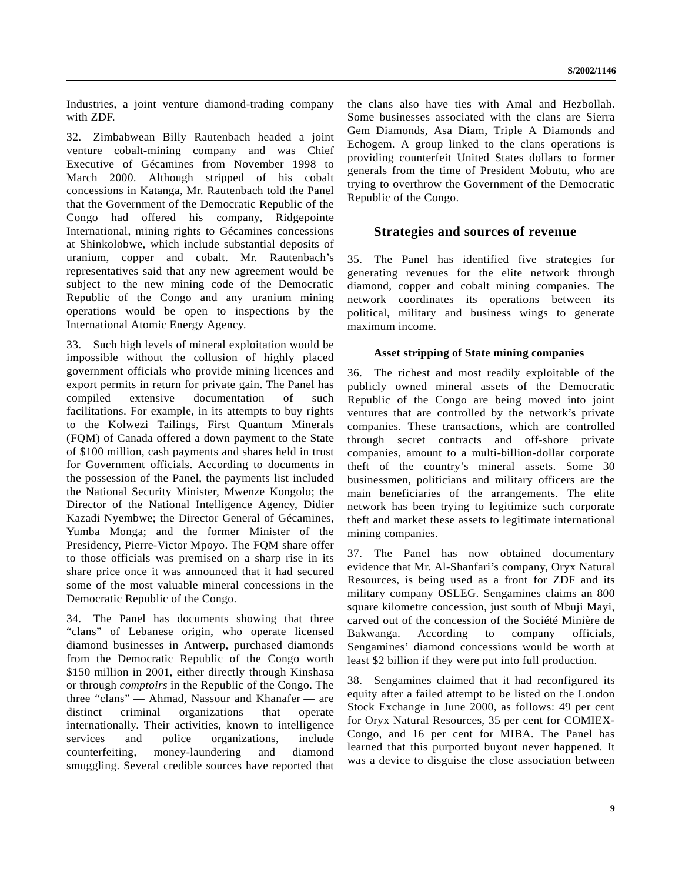Industries, a joint venture diamond-trading company with ZDF.

32. Zimbabwean Billy Rautenbach headed a joint venture cobalt-mining company and was Chief Executive of Gécamines from November 1998 to March 2000. Although stripped of his cobalt concessions in Katanga, Mr. Rautenbach told the Panel that the Government of the Democratic Republic of the Congo had offered his company, Ridgepointe International, mining rights to Gécamines concessions at Shinkolobwe, which include substantial deposits of uranium, copper and cobalt. Mr. Rautenbach's representatives said that any new agreement would be subject to the new mining code of the Democratic Republic of the Congo and any uranium mining operations would be open to inspections by the International Atomic Energy Agency.

33. Such high levels of mineral exploitation would be impossible without the collusion of highly placed government officials who provide mining licences and export permits in return for private gain. The Panel has compiled extensive documentation of such facilitations. For example, in its attempts to buy rights to the Kolwezi Tailings, First Quantum Minerals (FQM) of Canada offered a down payment to the State of \$100 million, cash payments and shares held in trust for Government officials. According to documents in the possession of the Panel, the payments list included the National Security Minister, Mwenze Kongolo; the Director of the National Intelligence Agency, Didier Kazadi Nyembwe; the Director General of Gécamines, Yumba Monga; and the former Minister of the Presidency, Pierre-Victor Mpoyo. The FQM share offer to those officials was premised on a sharp rise in its share price once it was announced that it had secured some of the most valuable mineral concessions in the Democratic Republic of the Congo.

34. The Panel has documents showing that three "clans" of Lebanese origin, who operate licensed diamond businesses in Antwerp, purchased diamonds from the Democratic Republic of the Congo worth \$150 million in 2001, either directly through Kinshasa or through *comptoirs* in the Republic of the Congo. The three "clans" — Ahmad, Nassour and Khanafer — are distinct criminal organizations that operate internationally. Their activities, known to intelligence services and police organizations, include counterfeiting, money-laundering and diamond smuggling. Several credible sources have reported that the clans also have ties with Amal and Hezbollah. Some businesses associated with the clans are Sierra Gem Diamonds, Asa Diam, Triple A Diamonds and Echogem. A group linked to the clans operations is providing counterfeit United States dollars to former generals from the time of President Mobutu, who are trying to overthrow the Government of the Democratic Republic of the Congo.

# **Strategies and sources of revenue**

35. The Panel has identified five strategies for generating revenues for the elite network through diamond, copper and cobalt mining companies. The network coordinates its operations between its political, military and business wings to generate maximum income.

## **Asset stripping of State mining companies**

36. The richest and most readily exploitable of the publicly owned mineral assets of the Democratic Republic of the Congo are being moved into joint ventures that are controlled by the network's private companies. These transactions, which are controlled through secret contracts and off-shore private companies, amount to a multi-billion-dollar corporate theft of the country's mineral assets. Some 30 businessmen, politicians and military officers are the main beneficiaries of the arrangements. The elite network has been trying to legitimize such corporate theft and market these assets to legitimate international mining companies.

37. The Panel has now obtained documentary evidence that Mr. Al-Shanfari's company, Oryx Natural Resources, is being used as a front for ZDF and its military company OSLEG. Sengamines claims an 800 square kilometre concession, just south of Mbuji Mayi, carved out of the concession of the Société Minière de Bakwanga. According to company officials, Sengamines' diamond concessions would be worth at least \$2 billion if they were put into full production.

38. Sengamines claimed that it had reconfigured its equity after a failed attempt to be listed on the London Stock Exchange in June 2000, as follows: 49 per cent for Oryx Natural Resources, 35 per cent for COMIEX-Congo, and 16 per cent for MIBA. The Panel has learned that this purported buyout never happened. It was a device to disguise the close association between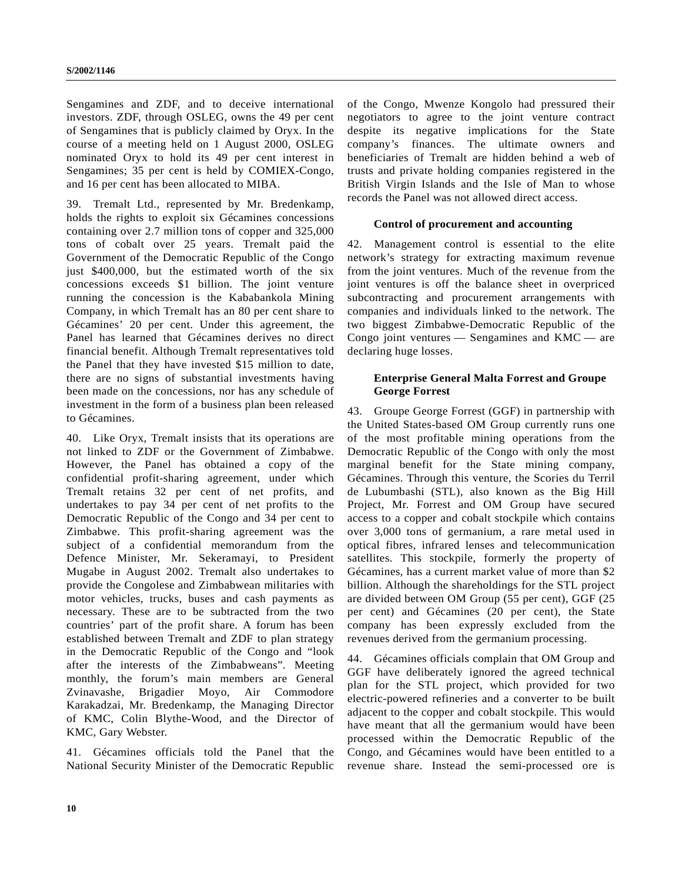Sengamines and ZDF, and to deceive international investors. ZDF, through OSLEG, owns the 49 per cent of Sengamines that is publicly claimed by Oryx. In the course of a meeting held on 1 August 2000, OSLEG nominated Oryx to hold its 49 per cent interest in Sengamines; 35 per cent is held by COMIEX-Congo, and 16 per cent has been allocated to MIBA.

39. Tremalt Ltd., represented by Mr. Bredenkamp, holds the rights to exploit six Gécamines concessions containing over 2.7 million tons of copper and 325,000 tons of cobalt over 25 years. Tremalt paid the Government of the Democratic Republic of the Congo just \$400,000, but the estimated worth of the six concessions exceeds \$1 billion. The joint venture running the concession is the Kababankola Mining Company, in which Tremalt has an 80 per cent share to Gécamines' 20 per cent. Under this agreement, the Panel has learned that Gécamines derives no direct financial benefit. Although Tremalt representatives told the Panel that they have invested \$15 million to date, there are no signs of substantial investments having been made on the concessions, nor has any schedule of investment in the form of a business plan been released to Gécamines.

40. Like Oryx, Tremalt insists that its operations are not linked to ZDF or the Government of Zimbabwe. However, the Panel has obtained a copy of the confidential profit-sharing agreement, under which Tremalt retains 32 per cent of net profits, and undertakes to pay 34 per cent of net profits to the Democratic Republic of the Congo and 34 per cent to Zimbabwe. This profit-sharing agreement was the subject of a confidential memorandum from the Defence Minister, Mr. Sekeramayi, to President Mugabe in August 2002. Tremalt also undertakes to provide the Congolese and Zimbabwean militaries with motor vehicles, trucks, buses and cash payments as necessary. These are to be subtracted from the two countries' part of the profit share. A forum has been established between Tremalt and ZDF to plan strategy in the Democratic Republic of the Congo and "look after the interests of the Zimbabweans". Meeting monthly, the forum's main members are General Zvinavashe, Brigadier Moyo, Air Commodore Karakadzai, Mr. Bredenkamp, the Managing Director of KMC, Colin Blythe-Wood, and the Director of KMC, Gary Webster.

41. Gécamines officials told the Panel that the National Security Minister of the Democratic Republic of the Congo, Mwenze Kongolo had pressured their negotiators to agree to the joint venture contract despite its negative implications for the State company's finances. The ultimate owners and beneficiaries of Tremalt are hidden behind a web of trusts and private holding companies registered in the British Virgin Islands and the Isle of Man to whose records the Panel was not allowed direct access.

## **Control of procurement and accounting**

42. Management control is essential to the elite network's strategy for extracting maximum revenue from the joint ventures. Much of the revenue from the joint ventures is off the balance sheet in overpriced subcontracting and procurement arrangements with companies and individuals linked to the network. The two biggest Zimbabwe-Democratic Republic of the Congo joint ventures — Sengamines and KMC — are declaring huge losses.

# **Enterprise General Malta Forrest and Groupe George Forrest**

43. Groupe George Forrest (GGF) in partnership with the United States-based OM Group currently runs one of the most profitable mining operations from the Democratic Republic of the Congo with only the most marginal benefit for the State mining company, Gécamines. Through this venture, the Scories du Terril de Lubumbashi (STL), also known as the Big Hill Project, Mr. Forrest and OM Group have secured access to a copper and cobalt stockpile which contains over 3,000 tons of germanium, a rare metal used in optical fibres, infrared lenses and telecommunication satellites. This stockpile, formerly the property of Gécamines, has a current market value of more than \$2 billion. Although the shareholdings for the STL project are divided between OM Group (55 per cent), GGF (25 per cent) and Gécamines (20 per cent), the State company has been expressly excluded from the revenues derived from the germanium processing.

44. Gécamines officials complain that OM Group and GGF have deliberately ignored the agreed technical plan for the STL project, which provided for two electric-powered refineries and a converter to be built adjacent to the copper and cobalt stockpile. This would have meant that all the germanium would have been processed within the Democratic Republic of the Congo, and Gécamines would have been entitled to a revenue share. Instead the semi-processed ore is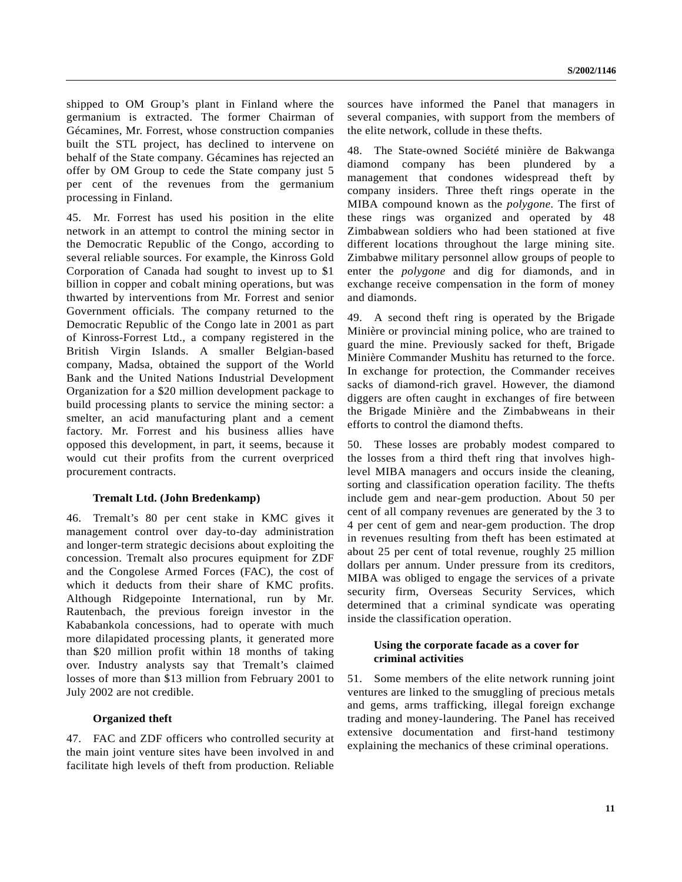shipped to OM Group's plant in Finland where the germanium is extracted. The former Chairman of Gécamines, Mr. Forrest, whose construction companies built the STL project, has declined to intervene on behalf of the State company. Gécamines has rejected an offer by OM Group to cede the State company just 5 per cent of the revenues from the germanium processing in Finland.

45. Mr. Forrest has used his position in the elite network in an attempt to control the mining sector in the Democratic Republic of the Congo, according to several reliable sources. For example, the Kinross Gold Corporation of Canada had sought to invest up to \$1 billion in copper and cobalt mining operations, but was thwarted by interventions from Mr. Forrest and senior Government officials. The company returned to the Democratic Republic of the Congo late in 2001 as part of Kinross-Forrest Ltd., a company registered in the British Virgin Islands. A smaller Belgian-based company, Madsa, obtained the support of the World Bank and the United Nations Industrial Development Organization for a \$20 million development package to build processing plants to service the mining sector: a smelter, an acid manufacturing plant and a cement factory. Mr. Forrest and his business allies have opposed this development, in part, it seems, because it would cut their profits from the current overpriced procurement contracts.

## **Tremalt Ltd. (John Bredenkamp)**

46. Tremalt's 80 per cent stake in KMC gives it management control over day-to-day administration and longer-term strategic decisions about exploiting the concession. Tremalt also procures equipment for ZDF and the Congolese Armed Forces (FAC), the cost of which it deducts from their share of KMC profits. Although Ridgepointe International, run by Mr. Rautenbach, the previous foreign investor in the Kababankola concessions, had to operate with much more dilapidated processing plants, it generated more than \$20 million profit within 18 months of taking over. Industry analysts say that Tremalt's claimed losses of more than \$13 million from February 2001 to July 2002 are not credible.

## **Organized theft**

47. FAC and ZDF officers who controlled security at the main joint venture sites have been involved in and facilitate high levels of theft from production. Reliable sources have informed the Panel that managers in several companies, with support from the members of the elite network, collude in these thefts.

48. The State-owned Société minière de Bakwanga diamond company has been plundered by management that condones widespread theft by company insiders. Three theft rings operate in the MIBA compound known as the *polygone*. The first of these rings was organized and operated by 48 Zimbabwean soldiers who had been stationed at five different locations throughout the large mining site. Zimbabwe military personnel allow groups of people to enter the *polygone* and dig for diamonds, and in exchange receive compensation in the form of money and diamonds.

49. A second theft ring is operated by the Brigade Minière or provincial mining police, who are trained to guard the mine. Previously sacked for theft, Brigade Minière Commander Mushitu has returned to the force. In exchange for protection, the Commander receives sacks of diamond-rich gravel. However, the diamond diggers are often caught in exchanges of fire between the Brigade Minière and the Zimbabweans in their efforts to control the diamond thefts.

50. These losses are probably modest compared to the losses from a third theft ring that involves highlevel MIBA managers and occurs inside the cleaning, sorting and classification operation facility. The thefts include gem and near-gem production. About 50 per cent of all company revenues are generated by the 3 to 4 per cent of gem and near-gem production. The drop in revenues resulting from theft has been estimated at about 25 per cent of total revenue, roughly 25 million dollars per annum. Under pressure from its creditors, MIBA was obliged to engage the services of a private security firm, Overseas Security Services, which determined that a criminal syndicate was operating inside the classification operation.

## **Using the corporate facade as a cover for criminal activities**

51. Some members of the elite network running joint ventures are linked to the smuggling of precious metals and gems, arms trafficking, illegal foreign exchange trading and money-laundering. The Panel has received extensive documentation and first-hand testimony explaining the mechanics of these criminal operations.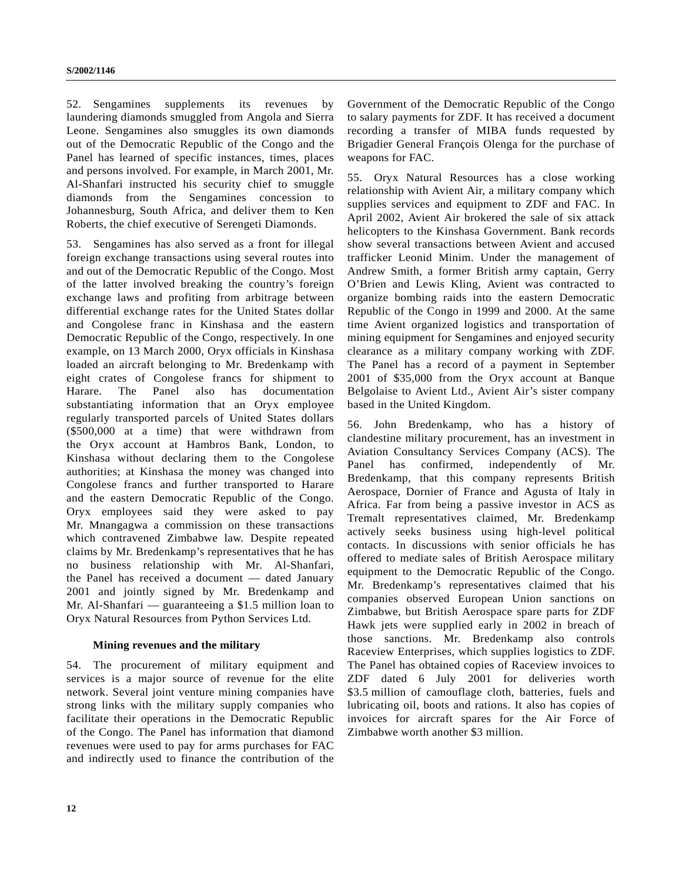52. Sengamines supplements its revenues by laundering diamonds smuggled from Angola and Sierra Leone. Sengamines also smuggles its own diamonds out of the Democratic Republic of the Congo and the Panel has learned of specific instances, times, places and persons involved. For example, in March 2001, Mr. Al-Shanfari instructed his security chief to smuggle diamonds from the Sengamines concession to Johannesburg, South Africa, and deliver them to Ken Roberts, the chief executive of Serengeti Diamonds.

53. Sengamines has also served as a front for illegal foreign exchange transactions using several routes into and out of the Democratic Republic of the Congo. Most of the latter involved breaking the country's foreign exchange laws and profiting from arbitrage between differential exchange rates for the United States dollar and Congolese franc in Kinshasa and the eastern Democratic Republic of the Congo, respectively. In one example, on 13 March 2000, Oryx officials in Kinshasa loaded an aircraft belonging to Mr. Bredenkamp with eight crates of Congolese francs for shipment to Harare. The Panel also has documentation substantiating information that an Oryx employee regularly transported parcels of United States dollars (\$500,000 at a time) that were withdrawn from the Oryx account at Hambros Bank, London, to Kinshasa without declaring them to the Congolese authorities; at Kinshasa the money was changed into Congolese francs and further transported to Harare and the eastern Democratic Republic of the Congo. Oryx employees said they were asked to pay Mr. Mnangagwa a commission on these transactions which contravened Zimbabwe law. Despite repeated claims by Mr. Bredenkamp's representatives that he has no business relationship with Mr. Al-Shanfari, the Panel has received a document — dated January 2001 and jointly signed by Mr. Bredenkamp and Mr. Al-Shanfari — guaranteeing a \$1.5 million loan to Oryx Natural Resources from Python Services Ltd.

## **Mining revenues and the military**

54. The procurement of military equipment and services is a major source of revenue for the elite network. Several joint venture mining companies have strong links with the military supply companies who facilitate their operations in the Democratic Republic of the Congo. The Panel has information that diamond revenues were used to pay for arms purchases for FAC and indirectly used to finance the contribution of the Government of the Democratic Republic of the Congo to salary payments for ZDF. It has received a document recording a transfer of MIBA funds requested by Brigadier General François Olenga for the purchase of weapons for FAC.

55. Oryx Natural Resources has a close working relationship with Avient Air, a military company which supplies services and equipment to ZDF and FAC. In April 2002, Avient Air brokered the sale of six attack helicopters to the Kinshasa Government. Bank records show several transactions between Avient and accused trafficker Leonid Minim. Under the management of Andrew Smith, a former British army captain, Gerry O'Brien and Lewis Kling, Avient was contracted to organize bombing raids into the eastern Democratic Republic of the Congo in 1999 and 2000. At the same time Avient organized logistics and transportation of mining equipment for Sengamines and enjoyed security clearance as a military company working with ZDF. The Panel has a record of a payment in September 2001 of \$35,000 from the Oryx account at Banque Belgolaise to Avient Ltd., Avient Air's sister company based in the United Kingdom.

56. John Bredenkamp, who has a history of clandestine military procurement, has an investment in Aviation Consultancy Services Company (ACS). The Panel has confirmed, independently of Mr. Bredenkamp, that this company represents British Aerospace, Dornier of France and Agusta of Italy in Africa. Far from being a passive investor in ACS as Tremalt representatives claimed, Mr. Bredenkamp actively seeks business using high-level political contacts. In discussions with senior officials he has offered to mediate sales of British Aerospace military equipment to the Democratic Republic of the Congo. Mr. Bredenkamp's representatives claimed that his companies observed European Union sanctions on Zimbabwe, but British Aerospace spare parts for ZDF Hawk jets were supplied early in 2002 in breach of those sanctions. Mr. Bredenkamp also controls Raceview Enterprises, which supplies logistics to ZDF. The Panel has obtained copies of Raceview invoices to ZDF dated 6 July 2001 for deliveries worth \$3.5 million of camouflage cloth, batteries, fuels and lubricating oil, boots and rations. It also has copies of invoices for aircraft spares for the Air Force of Zimbabwe worth another \$3 million.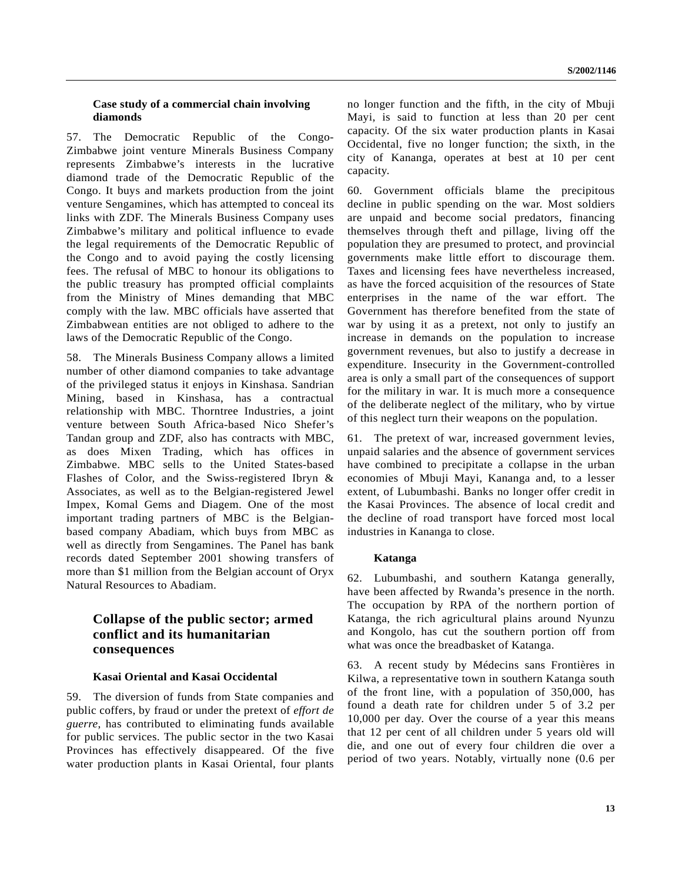# **Case study of a commercial chain involving diamonds**

57. The Democratic Republic of the Congo-Zimbabwe joint venture Minerals Business Company represents Zimbabwe's interests in the lucrative diamond trade of the Democratic Republic of the Congo. It buys and markets production from the joint venture Sengamines, which has attempted to conceal its links with ZDF. The Minerals Business Company uses Zimbabwe's military and political influence to evade the legal requirements of the Democratic Republic of the Congo and to avoid paying the costly licensing fees. The refusal of MBC to honour its obligations to the public treasury has prompted official complaints from the Ministry of Mines demanding that MBC comply with the law. MBC officials have asserted that Zimbabwean entities are not obliged to adhere to the laws of the Democratic Republic of the Congo.

58. The Minerals Business Company allows a limited number of other diamond companies to take advantage of the privileged status it enjoys in Kinshasa. Sandrian Mining, based in Kinshasa, has a contractual relationship with MBC. Thorntree Industries, a joint venture between South Africa-based Nico Shefer's Tandan group and ZDF, also has contracts with MBC, as does Mixen Trading, which has offices in Zimbabwe. MBC sells to the United States-based Flashes of Color, and the Swiss-registered Ibryn & Associates, as well as to the Belgian-registered Jewel Impex, Komal Gems and Diagem. One of the most important trading partners of MBC is the Belgianbased company Abadiam, which buys from MBC as well as directly from Sengamines. The Panel has bank records dated September 2001 showing transfers of more than \$1 million from the Belgian account of Oryx Natural Resources to Abadiam.

# **Collapse of the public sector; armed conflict and its humanitarian consequences**

## **Kasai Oriental and Kasai Occidental**

59. The diversion of funds from State companies and public coffers, by fraud or under the pretext of *effort de guerre*, has contributed to eliminating funds available for public services. The public sector in the two Kasai Provinces has effectively disappeared. Of the five water production plants in Kasai Oriental, four plants

no longer function and the fifth, in the city of Mbuji Mayi, is said to function at less than 20 per cent capacity. Of the six water production plants in Kasai Occidental, five no longer function; the sixth, in the city of Kananga, operates at best at 10 per cent capacity.

60. Government officials blame the precipitous decline in public spending on the war. Most soldiers are unpaid and become social predators, financing themselves through theft and pillage, living off the population they are presumed to protect, and provincial governments make little effort to discourage them. Taxes and licensing fees have nevertheless increased, as have the forced acquisition of the resources of State enterprises in the name of the war effort. The Government has therefore benefited from the state of war by using it as a pretext, not only to justify an increase in demands on the population to increase government revenues, but also to justify a decrease in expenditure. Insecurity in the Government-controlled area is only a small part of the consequences of support for the military in war. It is much more a consequence of the deliberate neglect of the military, who by virtue of this neglect turn their weapons on the population.

61. The pretext of war, increased government levies, unpaid salaries and the absence of government services have combined to precipitate a collapse in the urban economies of Mbuji Mayi, Kananga and, to a lesser extent, of Lubumbashi. Banks no longer offer credit in the Kasai Provinces. The absence of local credit and the decline of road transport have forced most local industries in Kananga to close.

## **Katanga**

62. Lubumbashi, and southern Katanga generally, have been affected by Rwanda's presence in the north. The occupation by RPA of the northern portion of Katanga, the rich agricultural plains around Nyunzu and Kongolo, has cut the southern portion off from what was once the breadbasket of Katanga.

63. A recent study by Médecins sans Frontières in Kilwa, a representative town in southern Katanga south of the front line, with a population of 350,000, has found a death rate for children under 5 of 3.2 per 10,000 per day. Over the course of a year this means that 12 per cent of all children under 5 years old will die, and one out of every four children die over a period of two years. Notably, virtually none (0.6 per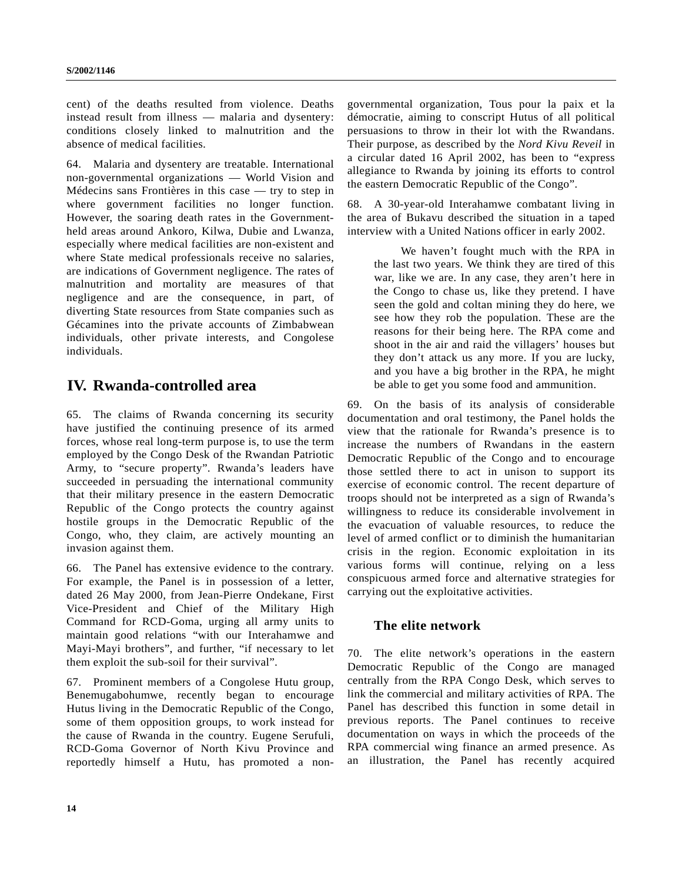cent) of the deaths resulted from violence. Deaths instead result from illness — malaria and dysentery: conditions closely linked to malnutrition and the absence of medical facilities.

64. Malaria and dysentery are treatable. International non-governmental organizations — World Vision and Médecins sans Frontières in this case — try to step in where government facilities no longer function. However, the soaring death rates in the Governmentheld areas around Ankoro, Kilwa, Dubie and Lwanza, especially where medical facilities are non-existent and where State medical professionals receive no salaries, are indications of Government negligence. The rates of malnutrition and mortality are measures of that negligence and are the consequence, in part, of diverting State resources from State companies such as Gécamines into the private accounts of Zimbabwean individuals, other private interests, and Congolese individuals.

# **IV. Rwanda-controlled area**

65. The claims of Rwanda concerning its security have justified the continuing presence of its armed forces, whose real long-term purpose is, to use the term employed by the Congo Desk of the Rwandan Patriotic Army, to "secure property". Rwanda's leaders have succeeded in persuading the international community that their military presence in the eastern Democratic Republic of the Congo protects the country against hostile groups in the Democratic Republic of the Congo, who, they claim, are actively mounting an invasion against them.

66. The Panel has extensive evidence to the contrary. For example, the Panel is in possession of a letter, dated 26 May 2000, from Jean-Pierre Ondekane, First Vice-President and Chief of the Military High Command for RCD-Goma, urging all army units to maintain good relations "with our Interahamwe and Mayi-Mayi brothers", and further, "if necessary to let them exploit the sub-soil for their survival".

67. Prominent members of a Congolese Hutu group, Benemugabohumwe, recently began to encourage Hutus living in the Democratic Republic of the Congo, some of them opposition groups, to work instead for the cause of Rwanda in the country. Eugene Serufuli, RCD-Goma Governor of North Kivu Province and reportedly himself a Hutu, has promoted a nongovernmental organization, Tous pour la paix et la démocratie, aiming to conscript Hutus of all political persuasions to throw in their lot with the Rwandans. Their purpose, as described by the *Nord Kivu Reveil* in a circular dated 16 April 2002, has been to "express allegiance to Rwanda by joining its efforts to control the eastern Democratic Republic of the Congo".

68. A 30-year-old Interahamwe combatant living in the area of Bukavu described the situation in a taped interview with a United Nations officer in early 2002.

We haven't fought much with the RPA in the last two years. We think they are tired of this war, like we are. In any case, they aren't here in the Congo to chase us, like they pretend. I have seen the gold and coltan mining they do here, we see how they rob the population. These are the reasons for their being here. The RPA come and shoot in the air and raid the villagers' houses but they don't attack us any more. If you are lucky, and you have a big brother in the RPA, he might be able to get you some food and ammunition.

69. On the basis of its analysis of considerable documentation and oral testimony, the Panel holds the view that the rationale for Rwanda's presence is to increase the numbers of Rwandans in the eastern Democratic Republic of the Congo and to encourage those settled there to act in unison to support its exercise of economic control. The recent departure of troops should not be interpreted as a sign of Rwanda's willingness to reduce its considerable involvement in the evacuation of valuable resources, to reduce the level of armed conflict or to diminish the humanitarian crisis in the region. Economic exploitation in its various forms will continue, relying on a less conspicuous armed force and alternative strategies for carrying out the exploitative activities.

# **The elite network**

70. The elite network's operations in the eastern Democratic Republic of the Congo are managed centrally from the RPA Congo Desk, which serves to link the commercial and military activities of RPA. The Panel has described this function in some detail in previous reports. The Panel continues to receive documentation on ways in which the proceeds of the RPA commercial wing finance an armed presence. As an illustration, the Panel has recently acquired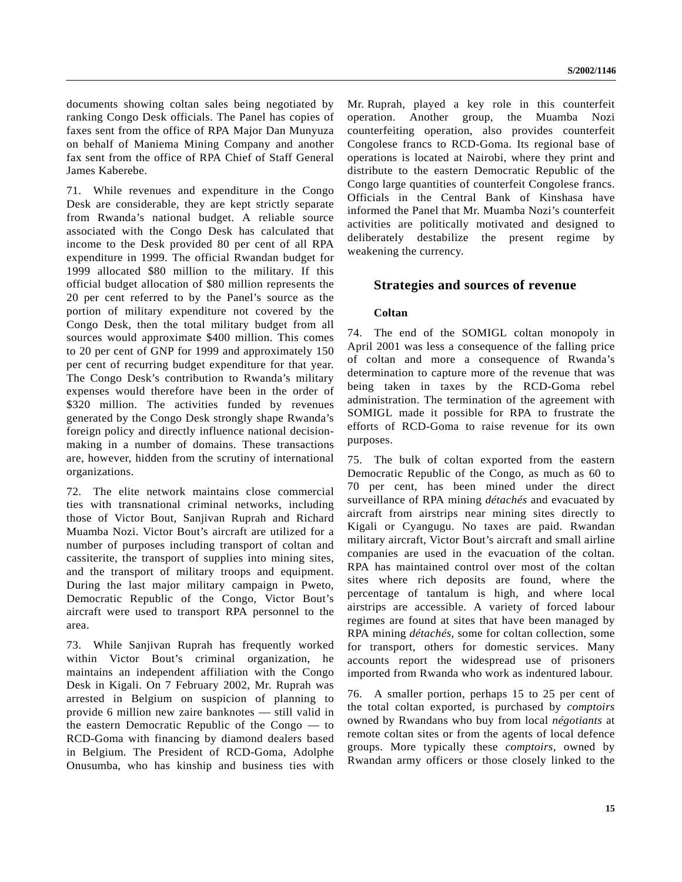documents showing coltan sales being negotiated by ranking Congo Desk officials. The Panel has copies of faxes sent from the office of RPA Major Dan Munyuza on behalf of Maniema Mining Company and another fax sent from the office of RPA Chief of Staff General James Kaberebe.

71. While revenues and expenditure in the Congo Desk are considerable, they are kept strictly separate from Rwanda's national budget. A reliable source associated with the Congo Desk has calculated that income to the Desk provided 80 per cent of all RPA expenditure in 1999. The official Rwandan budget for 1999 allocated \$80 million to the military. If this official budget allocation of \$80 million represents the 20 per cent referred to by the Panel's source as the portion of military expenditure not covered by the Congo Desk, then the total military budget from all sources would approximate \$400 million. This comes to 20 per cent of GNP for 1999 and approximately 150 per cent of recurring budget expenditure for that year. The Congo Desk's contribution to Rwanda's military expenses would therefore have been in the order of \$320 million. The activities funded by revenues generated by the Congo Desk strongly shape Rwanda's foreign policy and directly influence national decisionmaking in a number of domains. These transactions are, however, hidden from the scrutiny of international organizations.

72. The elite network maintains close commercial ties with transnational criminal networks, including those of Victor Bout, Sanjivan Ruprah and Richard Muamba Nozi. Victor Bout's aircraft are utilized for a number of purposes including transport of coltan and cassiterite, the transport of supplies into mining sites, and the transport of military troops and equipment. During the last major military campaign in Pweto, Democratic Republic of the Congo, Victor Bout's aircraft were used to transport RPA personnel to the area.

73. While Sanjivan Ruprah has frequently worked within Victor Bout's criminal organization, he maintains an independent affiliation with the Congo Desk in Kigali. On 7 February 2002, Mr. Ruprah was arrested in Belgium on suspicion of planning to provide 6 million new zaire banknotes — still valid in the eastern Democratic Republic of the Congo — to RCD-Goma with financing by diamond dealers based in Belgium. The President of RCD-Goma, Adolphe Onusumba, who has kinship and business ties with

Mr. Ruprah, played a key role in this counterfeit operation. Another group, the Muamba Nozi counterfeiting operation, also provides counterfeit Congolese francs to RCD-Goma. Its regional base of operations is located at Nairobi, where they print and distribute to the eastern Democratic Republic of the Congo large quantities of counterfeit Congolese francs. Officials in the Central Bank of Kinshasa have informed the Panel that Mr. Muamba Nozi's counterfeit activities are politically motivated and designed to deliberately destabilize the present regime by weakening the currency.

# **Strategies and sources of revenue**

# **Coltan**

74. The end of the SOMIGL coltan monopoly in April 2001 was less a consequence of the falling price of coltan and more a consequence of Rwanda's determination to capture more of the revenue that was being taken in taxes by the RCD-Goma rebel administration. The termination of the agreement with SOMIGL made it possible for RPA to frustrate the efforts of RCD-Goma to raise revenue for its own purposes.

75. The bulk of coltan exported from the eastern Democratic Republic of the Congo, as much as 60 to 70 per cent, has been mined under the direct surveillance of RPA mining *détachés* and evacuated by aircraft from airstrips near mining sites directly to Kigali or Cyangugu. No taxes are paid. Rwandan military aircraft, Victor Bout's aircraft and small airline companies are used in the evacuation of the coltan. RPA has maintained control over most of the coltan sites where rich deposits are found, where the percentage of tantalum is high, and where local airstrips are accessible. A variety of forced labour regimes are found at sites that have been managed by RPA mining *détachés*, some for coltan collection, some for transport, others for domestic services. Many accounts report the widespread use of prisoners imported from Rwanda who work as indentured labour.

76. A smaller portion, perhaps 15 to 25 per cent of the total coltan exported, is purchased by *comptoirs* owned by Rwandans who buy from local *négotiants* at remote coltan sites or from the agents of local defence groups. More typically these *comptoirs*, owned by Rwandan army officers or those closely linked to the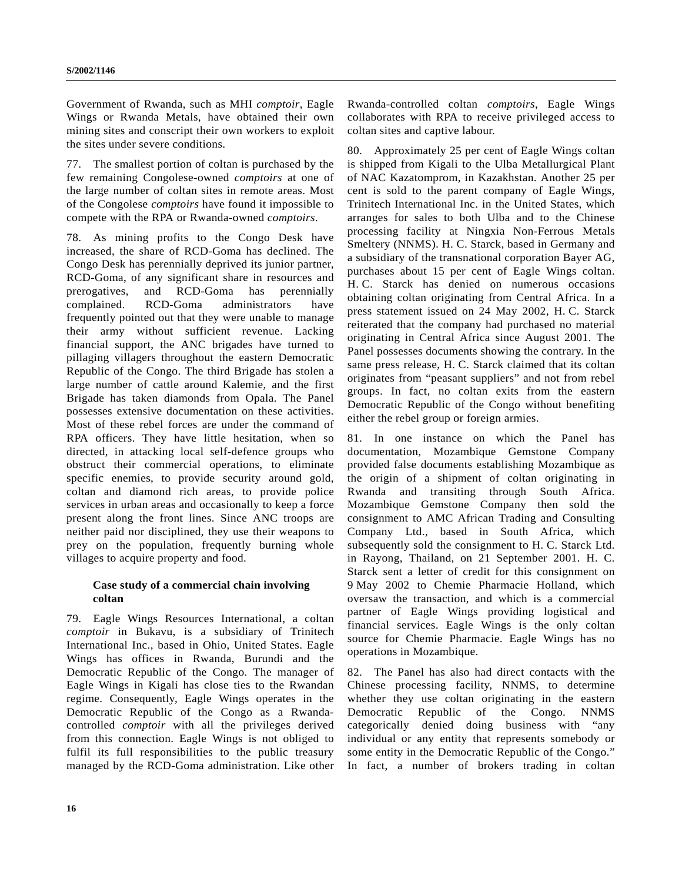Government of Rwanda, such as MHI *comptoir*, Eagle Wings or Rwanda Metals, have obtained their own mining sites and conscript their own workers to exploit the sites under severe conditions.

77. The smallest portion of coltan is purchased by the few remaining Congolese-owned *comptoirs* at one of the large number of coltan sites in remote areas. Most of the Congolese *comptoirs* have found it impossible to compete with the RPA or Rwanda-owned *comptoirs*.

78. As mining profits to the Congo Desk have increased, the share of RCD-Goma has declined. The Congo Desk has perennially deprived its junior partner, RCD-Goma, of any significant share in resources and prerogatives, and RCD-Goma has perennially complained. RCD-Goma administrators have frequently pointed out that they were unable to manage their army without sufficient revenue. Lacking financial support, the ANC brigades have turned to pillaging villagers throughout the eastern Democratic Republic of the Congo. The third Brigade has stolen a large number of cattle around Kalemie, and the first Brigade has taken diamonds from Opala. The Panel possesses extensive documentation on these activities. Most of these rebel forces are under the command of RPA officers. They have little hesitation, when so directed, in attacking local self-defence groups who obstruct their commercial operations, to eliminate specific enemies, to provide security around gold, coltan and diamond rich areas, to provide police services in urban areas and occasionally to keep a force present along the front lines. Since ANC troops are neither paid nor disciplined, they use their weapons to prey on the population, frequently burning whole villages to acquire property and food.

# **Case study of a commercial chain involving coltan**

79. Eagle Wings Resources International, a coltan *comptoir* in Bukavu, is a subsidiary of Trinitech International Inc., based in Ohio, United States. Eagle Wings has offices in Rwanda, Burundi and the Democratic Republic of the Congo. The manager of Eagle Wings in Kigali has close ties to the Rwandan regime. Consequently, Eagle Wings operates in the Democratic Republic of the Congo as a Rwandacontrolled *comptoir* with all the privileges derived from this connection. Eagle Wings is not obliged to fulfil its full responsibilities to the public treasury managed by the RCD-Goma administration. Like other

Rwanda-controlled coltan *comptoirs*, Eagle Wings collaborates with RPA to receive privileged access to coltan sites and captive labour.

80. Approximately 25 per cent of Eagle Wings coltan is shipped from Kigali to the Ulba Metallurgical Plant of NAC Kazatomprom, in Kazakhstan. Another 25 per cent is sold to the parent company of Eagle Wings, Trinitech International Inc. in the United States, which arranges for sales to both Ulba and to the Chinese processing facility at Ningxia Non-Ferrous Metals Smeltery (NNMS). H. C. Starck, based in Germany and a subsidiary of the transnational corporation Bayer AG, purchases about 15 per cent of Eagle Wings coltan. H. C. Starck has denied on numerous occasions obtaining coltan originating from Central Africa. In a press statement issued on 24 May 2002, H. C. Starck reiterated that the company had purchased no material originating in Central Africa since August 2001. The Panel possesses documents showing the contrary. In the same press release, H. C. Starck claimed that its coltan originates from "peasant suppliers" and not from rebel groups. In fact, no coltan exits from the eastern Democratic Republic of the Congo without benefiting either the rebel group or foreign armies.

81. In one instance on which the Panel has documentation, Mozambique Gemstone Company provided false documents establishing Mozambique as the origin of a shipment of coltan originating in Rwanda and transiting through South Africa. Mozambique Gemstone Company then sold the consignment to AMC African Trading and Consulting Company Ltd., based in South Africa, which subsequently sold the consignment to H. C. Starck Ltd. in Rayong, Thailand, on 21 September 2001. H. C. Starck sent a letter of credit for this consignment on 9 May 2002 to Chemie Pharmacie Holland, which oversaw the transaction, and which is a commercial partner of Eagle Wings providing logistical and financial services. Eagle Wings is the only coltan source for Chemie Pharmacie. Eagle Wings has no operations in Mozambique.

82. The Panel has also had direct contacts with the Chinese processing facility, NNMS, to determine whether they use coltan originating in the eastern Democratic Republic of the Congo. NNMS categorically denied doing business with "any individual or any entity that represents somebody or some entity in the Democratic Republic of the Congo." In fact, a number of brokers trading in coltan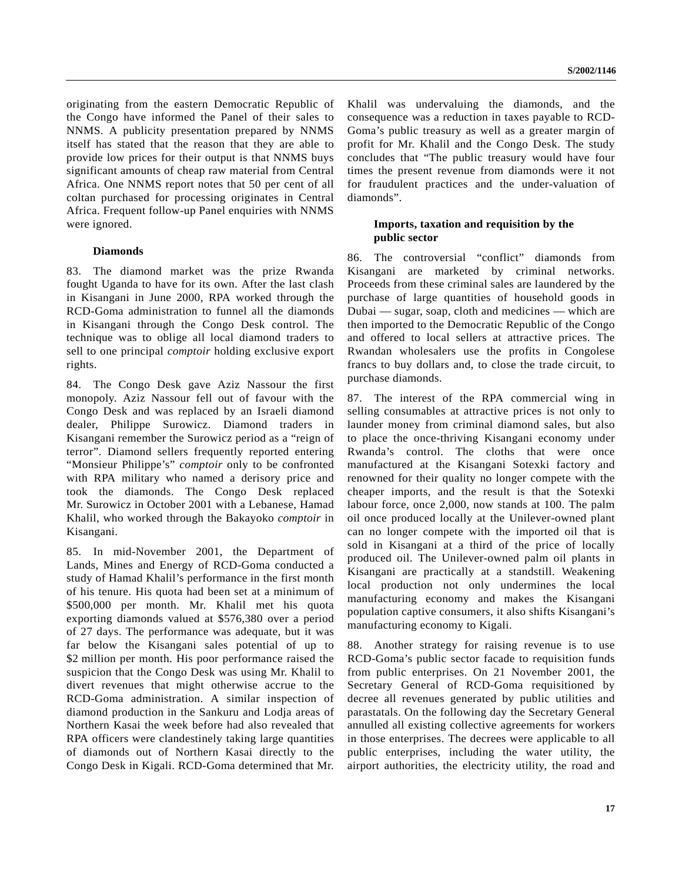originating from the eastern Democratic Republic of the Congo have informed the Panel of their sales to NNMS. A publicity presentation prepared by NNMS itself has stated that the reason that they are able to provide low prices for their output is that NNMS buys significant amounts of cheap raw material from Central Africa. One NNMS report notes that 50 per cent of all coltan purchased for processing originates in Central Africa. Frequent follow-up Panel enquiries with NNMS were ignored.

## **Diamonds**

83. The diamond market was the prize Rwanda fought Uganda to have for its own. After the last clash in Kisangani in June 2000, RPA worked through the RCD-Goma administration to funnel all the diamonds in Kisangani through the Congo Desk control. The technique was to oblige all local diamond traders to sell to one principal *comptoir* holding exclusive export rights.

84. The Congo Desk gave Aziz Nassour the first monopoly. Aziz Nassour fell out of favour with the Congo Desk and was replaced by an Israeli diamond dealer, Philippe Surowicz. Diamond traders in Kisangani remember the Surowicz period as a "reign of terror". Diamond sellers frequently reported entering "Monsieur Philippe's" *comptoir* only to be confronted with RPA military who named a derisory price and took the diamonds. The Congo Desk replaced Mr. Surowicz in October 2001 with a Lebanese, Hamad Khalil, who worked through the Bakayoko *comptoir* in Kisangani.

85. In mid-November 2001, the Department of Lands, Mines and Energy of RCD-Goma conducted a study of Hamad Khalil's performance in the first month of his tenure. His quota had been set at a minimum of \$500,000 per month. Mr. Khalil met his quota exporting diamonds valued at \$576,380 over a period of 27 days. The performance was adequate, but it was far below the Kisangani sales potential of up to \$2 million per month. His poor performance raised the suspicion that the Congo Desk was using Mr. Khalil to divert revenues that might otherwise accrue to the RCD-Goma administration. A similar inspection of diamond production in the Sankuru and Lodja areas of Northern Kasai the week before had also revealed that RPA officers were clandestinely taking large quantities of diamonds out of Northern Kasai directly to the Congo Desk in Kigali. RCD-Goma determined that Mr.

Khalil was undervaluing the diamonds, and the consequence was a reduction in taxes payable to RCD-Goma's public treasury as well as a greater margin of profit for Mr. Khalil and the Congo Desk. The study concludes that "The public treasury would have four times the present revenue from diamonds were it not for fraudulent practices and the under-valuation of diamonds".

#### **Imports, taxation and requisition by the public sector**

86. The controversial "conflict" diamonds from Kisangani are marketed by criminal networks. Proceeds from these criminal sales are laundered by the purchase of large quantities of household goods in Dubai — sugar, soap, cloth and medicines — which are then imported to the Democratic Republic of the Congo and offered to local sellers at attractive prices. The Rwandan wholesalers use the profits in Congolese francs to buy dollars and, to close the trade circuit, to purchase diamonds.

87. The interest of the RPA commercial wing in selling consumables at attractive prices is not only to launder money from criminal diamond sales, but also to place the once-thriving Kisangani economy under Rwanda's control. The cloths that were once manufactured at the Kisangani Sotexki factory and renowned for their quality no longer compete with the cheaper imports, and the result is that the Sotexki labour force, once 2,000, now stands at 100. The palm oil once produced locally at the Unilever-owned plant can no longer compete with the imported oil that is sold in Kisangani at a third of the price of locally produced oil. The Unilever-owned palm oil plants in Kisangani are practically at a standstill. Weakening local production not only undermines the local manufacturing economy and makes the Kisangani population captive consumers, it also shifts Kisangani's manufacturing economy to Kigali.

88. Another strategy for raising revenue is to use RCD-Goma's public sector facade to requisition funds from public enterprises. On 21 November 2001, the Secretary General of RCD-Goma requisitioned by decree all revenues generated by public utilities and parastatals. On the following day the Secretary General annulled all existing collective agreements for workers in those enterprises. The decrees were applicable to all public enterprises, including the water utility, the airport authorities, the electricity utility, the road and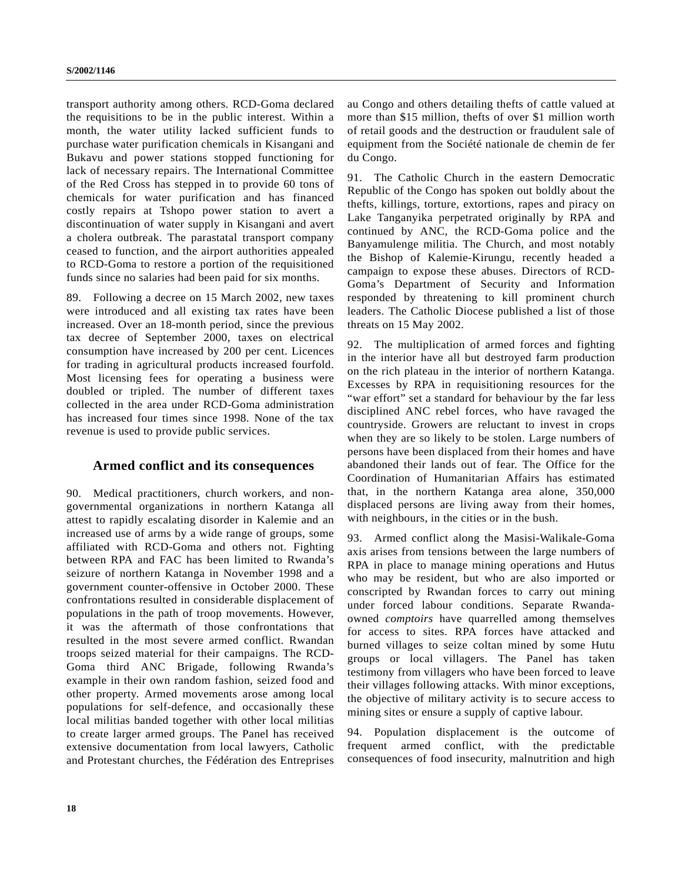transport authority among others. RCD-Goma declared the requisitions to be in the public interest. Within a month, the water utility lacked sufficient funds to purchase water purification chemicals in Kisangani and Bukavu and power stations stopped functioning for lack of necessary repairs. The International Committee of the Red Cross has stepped in to provide 60 tons of chemicals for water purification and has financed costly repairs at Tshopo power station to avert a discontinuation of water supply in Kisangani and avert a cholera outbreak. The parastatal transport company ceased to function, and the airport authorities appealed to RCD-Goma to restore a portion of the requisitioned funds since no salaries had been paid for six months.

89. Following a decree on 15 March 2002, new taxes were introduced and all existing tax rates have been increased. Over an 18-month period, since the previous tax decree of September 2000, taxes on electrical consumption have increased by 200 per cent. Licences for trading in agricultural products increased fourfold. Most licensing fees for operating a business were doubled or tripled. The number of different taxes collected in the area under RCD-Goma administration has increased four times since 1998. None of the tax revenue is used to provide public services.

# **Armed conflict and its consequences**

90. Medical practitioners, church workers, and nongovernmental organizations in northern Katanga all attest to rapidly escalating disorder in Kalemie and an increased use of arms by a wide range of groups, some affiliated with RCD-Goma and others not. Fighting between RPA and FAC has been limited to Rwanda's seizure of northern Katanga in November 1998 and a government counter-offensive in October 2000. These confrontations resulted in considerable displacement of populations in the path of troop movements. However, it was the aftermath of those confrontations that resulted in the most severe armed conflict. Rwandan troops seized material for their campaigns. The RCD-Goma third ANC Brigade, following Rwanda's example in their own random fashion, seized food and other property. Armed movements arose among local populations for self-defence, and occasionally these local militias banded together with other local militias to create larger armed groups. The Panel has received extensive documentation from local lawyers, Catholic and Protestant churches, the Fédération des Entreprises au Congo and others detailing thefts of cattle valued at more than \$15 million, thefts of over \$1 million worth of retail goods and the destruction or fraudulent sale of equipment from the Société nationale de chemin de fer du Congo.

91. The Catholic Church in the eastern Democratic Republic of the Congo has spoken out boldly about the thefts, killings, torture, extortions, rapes and piracy on Lake Tanganyika perpetrated originally by RPA and continued by ANC, the RCD-Goma police and the Banyamulenge militia. The Church, and most notably the Bishop of Kalemie-Kirungu, recently headed a campaign to expose these abuses. Directors of RCD-Goma's Department of Security and Information responded by threatening to kill prominent church leaders. The Catholic Diocese published a list of those threats on 15 May 2002.

92. The multiplication of armed forces and fighting in the interior have all but destroyed farm production on the rich plateau in the interior of northern Katanga. Excesses by RPA in requisitioning resources for the "war effort" set a standard for behaviour by the far less disciplined ANC rebel forces, who have ravaged the countryside. Growers are reluctant to invest in crops when they are so likely to be stolen. Large numbers of persons have been displaced from their homes and have abandoned their lands out of fear. The Office for the Coordination of Humanitarian Affairs has estimated that, in the northern Katanga area alone, 350,000 displaced persons are living away from their homes, with neighbours, in the cities or in the bush.

93. Armed conflict along the Masisi-Walikale-Goma axis arises from tensions between the large numbers of RPA in place to manage mining operations and Hutus who may be resident, but who are also imported or conscripted by Rwandan forces to carry out mining under forced labour conditions. Separate Rwandaowned *comptoirs* have quarrelled among themselves for access to sites. RPA forces have attacked and burned villages to seize coltan mined by some Hutu groups or local villagers. The Panel has taken testimony from villagers who have been forced to leave their villages following attacks. With minor exceptions, the objective of military activity is to secure access to mining sites or ensure a supply of captive labour.

94. Population displacement is the outcome of frequent armed conflict, with the predictable consequences of food insecurity, malnutrition and high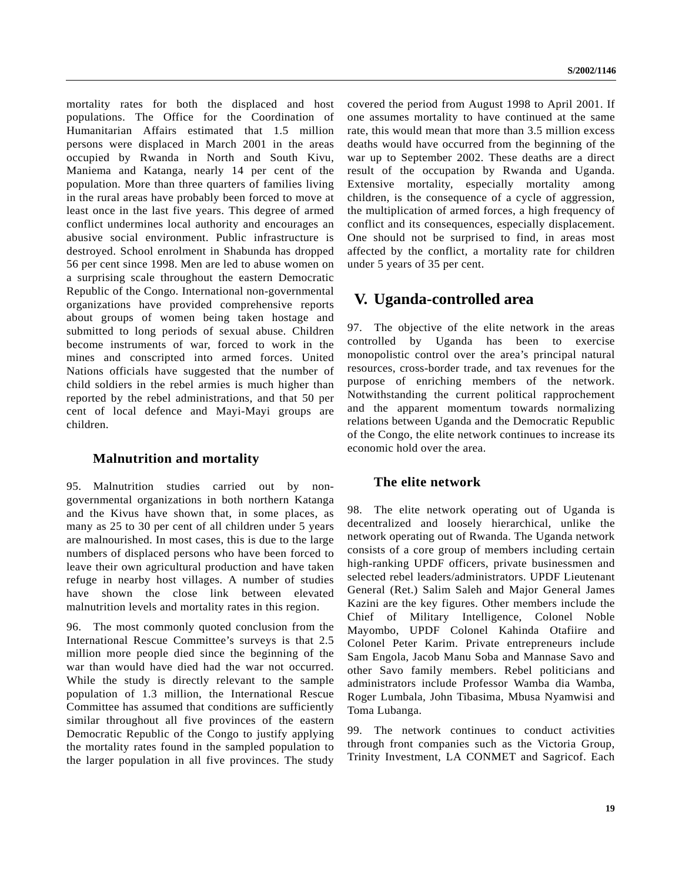mortality rates for both the displaced and host populations. The Office for the Coordination of Humanitarian Affairs estimated that 1.5 million persons were displaced in March 2001 in the areas occupied by Rwanda in North and South Kivu, Maniema and Katanga, nearly 14 per cent of the population. More than three quarters of families living in the rural areas have probably been forced to move at least once in the last five years. This degree of armed conflict undermines local authority and encourages an abusive social environment. Public infrastructure is destroyed. School enrolment in Shabunda has dropped 56 per cent since 1998. Men are led to abuse women on a surprising scale throughout the eastern Democratic Republic of the Congo. International non-governmental organizations have provided comprehensive reports about groups of women being taken hostage and submitted to long periods of sexual abuse. Children become instruments of war, forced to work in the mines and conscripted into armed forces. United Nations officials have suggested that the number of child soldiers in the rebel armies is much higher than reported by the rebel administrations, and that 50 per cent of local defence and Mayi-Mayi groups are children.

# **Malnutrition and mortality**

95. Malnutrition studies carried out by nongovernmental organizations in both northern Katanga and the Kivus have shown that, in some places, as many as 25 to 30 per cent of all children under 5 years are malnourished. In most cases, this is due to the large numbers of displaced persons who have been forced to leave their own agricultural production and have taken refuge in nearby host villages. A number of studies have shown the close link between elevated malnutrition levels and mortality rates in this region.

96. The most commonly quoted conclusion from the International Rescue Committee's surveys is that 2.5 million more people died since the beginning of the war than would have died had the war not occurred. While the study is directly relevant to the sample population of 1.3 million, the International Rescue Committee has assumed that conditions are sufficiently similar throughout all five provinces of the eastern Democratic Republic of the Congo to justify applying the mortality rates found in the sampled population to the larger population in all five provinces. The study covered the period from August 1998 to April 2001. If one assumes mortality to have continued at the same rate, this would mean that more than 3.5 million excess deaths would have occurred from the beginning of the war up to September 2002. These deaths are a direct result of the occupation by Rwanda and Uganda. Extensive mortality, especially mortality among children, is the consequence of a cycle of aggression, the multiplication of armed forces, a high frequency of conflict and its consequences, especially displacement. One should not be surprised to find, in areas most affected by the conflict, a mortality rate for children under 5 years of 35 per cent.

# **V. Uganda-controlled area**

97. The objective of the elite network in the areas controlled by Uganda has been to exercise monopolistic control over the area's principal natural resources, cross-border trade, and tax revenues for the purpose of enriching members of the network. Notwithstanding the current political rapprochement and the apparent momentum towards normalizing relations between Uganda and the Democratic Republic of the Congo, the elite network continues to increase its economic hold over the area.

# **The elite network**

98. The elite network operating out of Uganda is decentralized and loosely hierarchical, unlike the network operating out of Rwanda. The Uganda network consists of a core group of members including certain high-ranking UPDF officers, private businessmen and selected rebel leaders/administrators. UPDF Lieutenant General (Ret.) Salim Saleh and Major General James Kazini are the key figures. Other members include the Chief of Military Intelligence, Colonel Noble Mayombo, UPDF Colonel Kahinda Otafiire and Colonel Peter Karim. Private entrepreneurs include Sam Engola, Jacob Manu Soba and Mannase Savo and other Savo family members. Rebel politicians and administrators include Professor Wamba dia Wamba, Roger Lumbala, John Tibasima, Mbusa Nyamwisi and Toma Lubanga.

99. The network continues to conduct activities through front companies such as the Victoria Group, Trinity Investment, LA CONMET and Sagricof. Each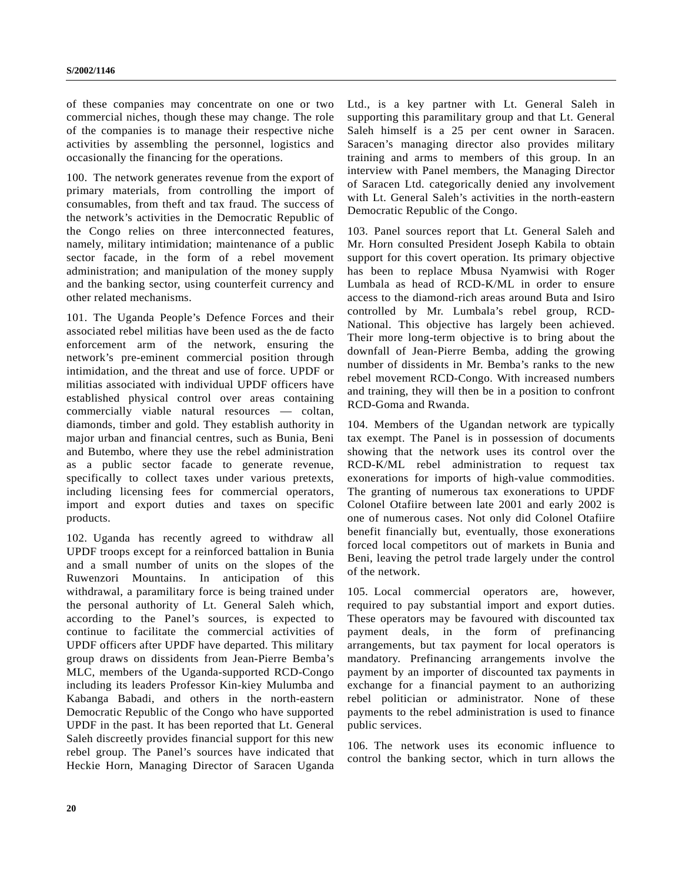of these companies may concentrate on one or two commercial niches, though these may change. The role of the companies is to manage their respective niche activities by assembling the personnel, logistics and occasionally the financing for the operations.

100. The network generates revenue from the export of primary materials, from controlling the import of consumables, from theft and tax fraud. The success of the network's activities in the Democratic Republic of the Congo relies on three interconnected features, namely, military intimidation; maintenance of a public sector facade, in the form of a rebel movement administration; and manipulation of the money supply and the banking sector, using counterfeit currency and other related mechanisms.

101. The Uganda People's Defence Forces and their associated rebel militias have been used as the de facto enforcement arm of the network, ensuring the network's pre-eminent commercial position through intimidation, and the threat and use of force. UPDF or militias associated with individual UPDF officers have established physical control over areas containing commercially viable natural resources — coltan, diamonds, timber and gold. They establish authority in major urban and financial centres, such as Bunia, Beni and Butembo, where they use the rebel administration as a public sector facade to generate revenue, specifically to collect taxes under various pretexts, including licensing fees for commercial operators, import and export duties and taxes on specific products.

102. Uganda has recently agreed to withdraw all UPDF troops except for a reinforced battalion in Bunia and a small number of units on the slopes of the Ruwenzori Mountains. In anticipation of this withdrawal, a paramilitary force is being trained under the personal authority of Lt. General Saleh which, according to the Panel's sources, is expected to continue to facilitate the commercial activities of UPDF officers after UPDF have departed. This military group draws on dissidents from Jean-Pierre Bemba's MLC, members of the Uganda-supported RCD-Congo including its leaders Professor Kin-kiey Mulumba and Kabanga Babadi, and others in the north-eastern Democratic Republic of the Congo who have supported UPDF in the past. It has been reported that Lt. General Saleh discreetly provides financial support for this new rebel group. The Panel's sources have indicated that Heckie Horn, Managing Director of Saracen Uganda Ltd., is a key partner with Lt. General Saleh in supporting this paramilitary group and that Lt. General Saleh himself is a 25 per cent owner in Saracen. Saracen's managing director also provides military training and arms to members of this group. In an interview with Panel members, the Managing Director of Saracen Ltd. categorically denied any involvement with Lt. General Saleh's activities in the north-eastern Democratic Republic of the Congo.

103. Panel sources report that Lt. General Saleh and Mr. Horn consulted President Joseph Kabila to obtain support for this covert operation. Its primary objective has been to replace Mbusa Nyamwisi with Roger Lumbala as head of RCD-K/ML in order to ensure access to the diamond-rich areas around Buta and Isiro controlled by Mr. Lumbala's rebel group, RCD-National. This objective has largely been achieved. Their more long-term objective is to bring about the downfall of Jean-Pierre Bemba, adding the growing number of dissidents in Mr. Bemba's ranks to the new rebel movement RCD-Congo. With increased numbers and training, they will then be in a position to confront RCD-Goma and Rwanda.

104. Members of the Ugandan network are typically tax exempt. The Panel is in possession of documents showing that the network uses its control over the RCD-K/ML rebel administration to request tax exonerations for imports of high-value commodities. The granting of numerous tax exonerations to UPDF Colonel Otafiire between late 2001 and early 2002 is one of numerous cases. Not only did Colonel Otafiire benefit financially but, eventually, those exonerations forced local competitors out of markets in Bunia and Beni, leaving the petrol trade largely under the control of the network.

105. Local commercial operators are, however, required to pay substantial import and export duties. These operators may be favoured with discounted tax payment deals, in the form of prefinancing arrangements, but tax payment for local operators is mandatory. Prefinancing arrangements involve the payment by an importer of discounted tax payments in exchange for a financial payment to an authorizing rebel politician or administrator. None of these payments to the rebel administration is used to finance public services.

106. The network uses its economic influence to control the banking sector, which in turn allows the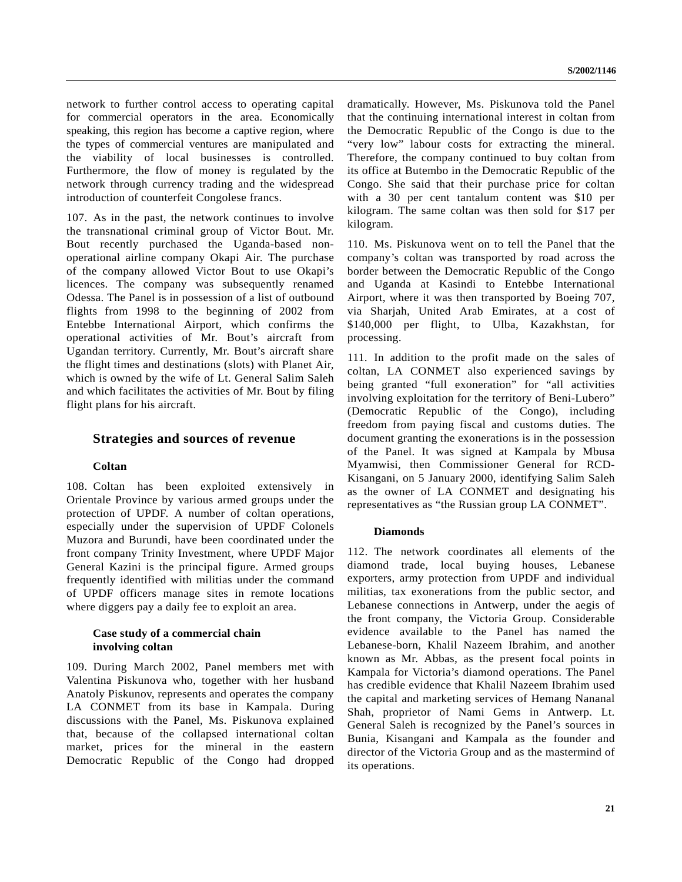network to further control access to operating capital for commercial operators in the area. Economically speaking, this region has become a captive region, where the types of commercial ventures are manipulated and the viability of local businesses is controlled. Furthermore, the flow of money is regulated by the network through currency trading and the widespread introduction of counterfeit Congolese francs.

107. As in the past, the network continues to involve the transnational criminal group of Victor Bout. Mr. Bout recently purchased the Uganda-based nonoperational airline company Okapi Air. The purchase of the company allowed Victor Bout to use Okapi's licences. The company was subsequently renamed Odessa. The Panel is in possession of a list of outbound flights from 1998 to the beginning of 2002 from Entebbe International Airport, which confirms the operational activities of Mr. Bout's aircraft from Ugandan territory. Currently, Mr. Bout's aircraft share the flight times and destinations (slots) with Planet Air, which is owned by the wife of Lt. General Salim Saleh and which facilitates the activities of Mr. Bout by filing flight plans for his aircraft.

# **Strategies and sources of revenue**

#### **Coltan**

108. Coltan has been exploited extensively in Orientale Province by various armed groups under the protection of UPDF. A number of coltan operations, especially under the supervision of UPDF Colonels Muzora and Burundi, have been coordinated under the front company Trinity Investment, where UPDF Major General Kazini is the principal figure. Armed groups frequently identified with militias under the command of UPDF officers manage sites in remote locations where diggers pay a daily fee to exploit an area.

## **Case study of a commercial chain involving coltan**

109. During March 2002, Panel members met with Valentina Piskunova who, together with her husband Anatoly Piskunov, represents and operates the company LA CONMET from its base in Kampala. During discussions with the Panel, Ms. Piskunova explained that, because of the collapsed international coltan market, prices for the mineral in the eastern Democratic Republic of the Congo had dropped dramatically. However, Ms. Piskunova told the Panel that the continuing international interest in coltan from the Democratic Republic of the Congo is due to the "very low" labour costs for extracting the mineral. Therefore, the company continued to buy coltan from its office at Butembo in the Democratic Republic of the Congo. She said that their purchase price for coltan with a 30 per cent tantalum content was \$10 per kilogram. The same coltan was then sold for \$17 per kilogram.

110. Ms. Piskunova went on to tell the Panel that the company's coltan was transported by road across the border between the Democratic Republic of the Congo and Uganda at Kasindi to Entebbe International Airport, where it was then transported by Boeing 707, via Sharjah, United Arab Emirates, at a cost of \$140,000 per flight, to Ulba, Kazakhstan, for processing.

111. In addition to the profit made on the sales of coltan, LA CONMET also experienced savings by being granted "full exoneration" for "all activities involving exploitation for the territory of Beni-Lubero" (Democratic Republic of the Congo), including freedom from paying fiscal and customs duties. The document granting the exonerations is in the possession of the Panel. It was signed at Kampala by Mbusa Myamwisi, then Commissioner General for RCD-Kisangani, on 5 January 2000, identifying Salim Saleh as the owner of LA CONMET and designating his representatives as "the Russian group LA CONMET".

#### **Diamonds**

112. The network coordinates all elements of the diamond trade, local buying houses, Lebanese exporters, army protection from UPDF and individual militias, tax exonerations from the public sector, and Lebanese connections in Antwerp, under the aegis of the front company, the Victoria Group. Considerable evidence available to the Panel has named the Lebanese-born, Khalil Nazeem Ibrahim, and another known as Mr. Abbas, as the present focal points in Kampala for Victoria's diamond operations. The Panel has credible evidence that Khalil Nazeem Ibrahim used the capital and marketing services of Hemang Nananal Shah, proprietor of Nami Gems in Antwerp. Lt. General Saleh is recognized by the Panel's sources in Bunia, Kisangani and Kampala as the founder and director of the Victoria Group and as the mastermind of its operations.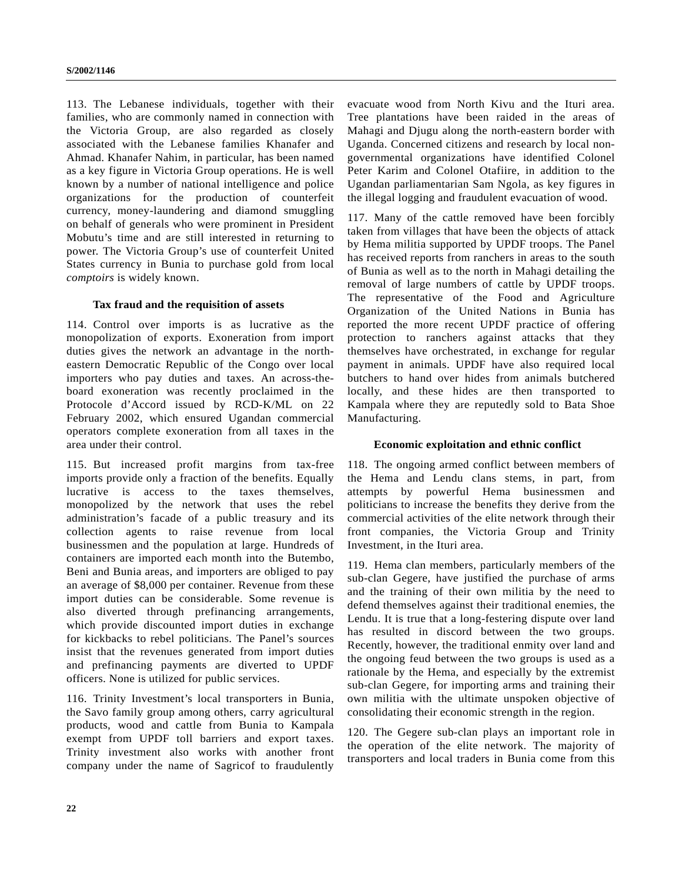113. The Lebanese individuals, together with their families, who are commonly named in connection with the Victoria Group, are also regarded as closely associated with the Lebanese families Khanafer and Ahmad. Khanafer Nahim, in particular, has been named as a key figure in Victoria Group operations. He is well known by a number of national intelligence and police organizations for the production of counterfeit currency, money-laundering and diamond smuggling on behalf of generals who were prominent in President Mobutu's time and are still interested in returning to power. The Victoria Group's use of counterfeit United States currency in Bunia to purchase gold from local *comptoirs* is widely known.

#### **Tax fraud and the requisition of assets**

114. Control over imports is as lucrative as the monopolization of exports. Exoneration from import duties gives the network an advantage in the northeastern Democratic Republic of the Congo over local importers who pay duties and taxes. An across-theboard exoneration was recently proclaimed in the Protocole d'Accord issued by RCD-K/ML on 22 February 2002, which ensured Ugandan commercial operators complete exoneration from all taxes in the area under their control.

115. But increased profit margins from tax-free imports provide only a fraction of the benefits. Equally lucrative is access to the taxes themselves, monopolized by the network that uses the rebel administration's facade of a public treasury and its collection agents to raise revenue from local businessmen and the population at large. Hundreds of containers are imported each month into the Butembo, Beni and Bunia areas, and importers are obliged to pay an average of \$8,000 per container. Revenue from these import duties can be considerable. Some revenue is also diverted through prefinancing arrangements, which provide discounted import duties in exchange for kickbacks to rebel politicians. The Panel's sources insist that the revenues generated from import duties and prefinancing payments are diverted to UPDF officers. None is utilized for public services.

116. Trinity Investment's local transporters in Bunia, the Savo family group among others, carry agricultural products, wood and cattle from Bunia to Kampala exempt from UPDF toll barriers and export taxes. Trinity investment also works with another front company under the name of Sagricof to fraudulently

evacuate wood from North Kivu and the Ituri area. Tree plantations have been raided in the areas of Mahagi and Djugu along the north-eastern border with Uganda. Concerned citizens and research by local nongovernmental organizations have identified Colonel Peter Karim and Colonel Otafiire, in addition to the Ugandan parliamentarian Sam Ngola, as key figures in the illegal logging and fraudulent evacuation of wood.

117. Many of the cattle removed have been forcibly taken from villages that have been the objects of attack by Hema militia supported by UPDF troops. The Panel has received reports from ranchers in areas to the south of Bunia as well as to the north in Mahagi detailing the removal of large numbers of cattle by UPDF troops. The representative of the Food and Agriculture Organization of the United Nations in Bunia has reported the more recent UPDF practice of offering protection to ranchers against attacks that they themselves have orchestrated, in exchange for regular payment in animals. UPDF have also required local butchers to hand over hides from animals butchered locally, and these hides are then transported to Kampala where they are reputedly sold to Bata Shoe Manufacturing.

#### **Economic exploitation and ethnic conflict**

118. The ongoing armed conflict between members of the Hema and Lendu clans stems, in part, from attempts by powerful Hema businessmen and politicians to increase the benefits they derive from the commercial activities of the elite network through their front companies, the Victoria Group and Trinity Investment, in the Ituri area.

119. Hema clan members, particularly members of the sub-clan Gegere, have justified the purchase of arms and the training of their own militia by the need to defend themselves against their traditional enemies, the Lendu. It is true that a long-festering dispute over land has resulted in discord between the two groups. Recently, however, the traditional enmity over land and the ongoing feud between the two groups is used as a rationale by the Hema, and especially by the extremist sub-clan Gegere, for importing arms and training their own militia with the ultimate unspoken objective of consolidating their economic strength in the region.

120. The Gegere sub-clan plays an important role in the operation of the elite network. The majority of transporters and local traders in Bunia come from this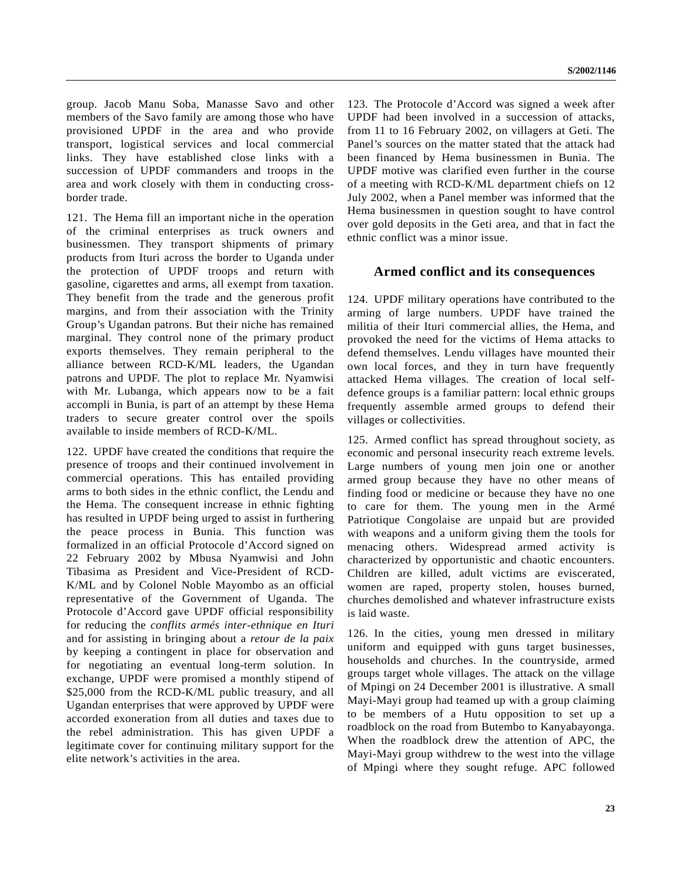group. Jacob Manu Soba, Manasse Savo and other members of the Savo family are among those who have provisioned UPDF in the area and who provide transport, logistical services and local commercial links. They have established close links with a succession of UPDF commanders and troops in the area and work closely with them in conducting crossborder trade.

121. The Hema fill an important niche in the operation of the criminal enterprises as truck owners and businessmen. They transport shipments of primary products from Ituri across the border to Uganda under the protection of UPDF troops and return with gasoline, cigarettes and arms, all exempt from taxation. They benefit from the trade and the generous profit margins, and from their association with the Trinity Group's Ugandan patrons. But their niche has remained marginal. They control none of the primary product exports themselves. They remain peripheral to the alliance between RCD-K/ML leaders, the Ugandan patrons and UPDF. The plot to replace Mr. Nyamwisi with Mr. Lubanga, which appears now to be a fait accompli in Bunia, is part of an attempt by these Hema traders to secure greater control over the spoils available to inside members of RCD-K/ML.

122. UPDF have created the conditions that require the presence of troops and their continued involvement in commercial operations. This has entailed providing arms to both sides in the ethnic conflict, the Lendu and the Hema. The consequent increase in ethnic fighting has resulted in UPDF being urged to assist in furthering the peace process in Bunia. This function was formalized in an official Protocole d'Accord signed on 22 February 2002 by Mbusa Nyamwisi and John Tibasima as President and Vice-President of RCD-K/ML and by Colonel Noble Mayombo as an official representative of the Government of Uganda. The Protocole d'Accord gave UPDF official responsibility for reducing the *conflits armés inter-ethnique en Ituri* and for assisting in bringing about a *retour de la paix* by keeping a contingent in place for observation and for negotiating an eventual long-term solution. In exchange, UPDF were promised a monthly stipend of \$25,000 from the RCD-K/ML public treasury, and all Ugandan enterprises that were approved by UPDF were accorded exoneration from all duties and taxes due to the rebel administration. This has given UPDF a legitimate cover for continuing military support for the elite network's activities in the area.

123. The Protocole d'Accord was signed a week after UPDF had been involved in a succession of attacks, from 11 to 16 February 2002, on villagers at Geti. The Panel's sources on the matter stated that the attack had been financed by Hema businessmen in Bunia. The UPDF motive was clarified even further in the course of a meeting with RCD-K/ML department chiefs on 12 July 2002, when a Panel member was informed that the Hema businessmen in question sought to have control over gold deposits in the Geti area, and that in fact the ethnic conflict was a minor issue.

# **Armed conflict and its consequences**

124. UPDF military operations have contributed to the arming of large numbers. UPDF have trained the militia of their Ituri commercial allies, the Hema, and provoked the need for the victims of Hema attacks to defend themselves. Lendu villages have mounted their own local forces, and they in turn have frequently attacked Hema villages. The creation of local selfdefence groups is a familiar pattern: local ethnic groups frequently assemble armed groups to defend their villages or collectivities.

125. Armed conflict has spread throughout society, as economic and personal insecurity reach extreme levels. Large numbers of young men join one or another armed group because they have no other means of finding food or medicine or because they have no one to care for them. The young men in the Armé Patriotique Congolaise are unpaid but are provided with weapons and a uniform giving them the tools for menacing others. Widespread armed activity is characterized by opportunistic and chaotic encounters. Children are killed, adult victims are eviscerated, women are raped, property stolen, houses burned, churches demolished and whatever infrastructure exists is laid waste.

126. In the cities, young men dressed in military uniform and equipped with guns target businesses, households and churches. In the countryside, armed groups target whole villages. The attack on the village of Mpingi on 24 December 2001 is illustrative. A small Mayi-Mayi group had teamed up with a group claiming to be members of a Hutu opposition to set up a roadblock on the road from Butembo to Kanyabayonga. When the roadblock drew the attention of APC, the Mayi-Mayi group withdrew to the west into the village of Mpingi where they sought refuge. APC followed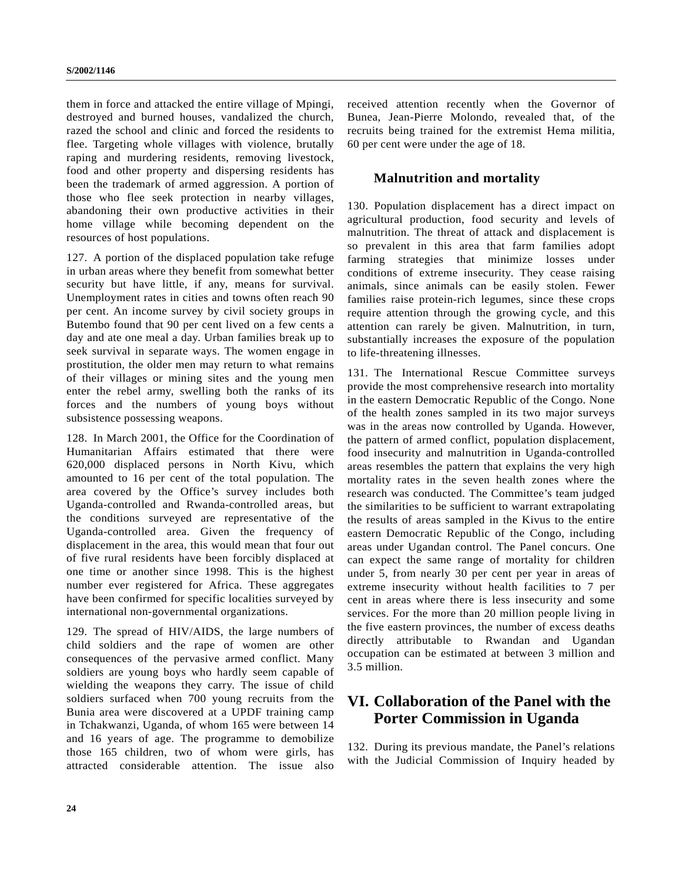them in force and attacked the entire village of Mpingi, destroyed and burned houses, vandalized the church, razed the school and clinic and forced the residents to flee. Targeting whole villages with violence, brutally raping and murdering residents, removing livestock, food and other property and dispersing residents has been the trademark of armed aggression. A portion of those who flee seek protection in nearby villages, abandoning their own productive activities in their home village while becoming dependent on the resources of host populations.

127. A portion of the displaced population take refuge in urban areas where they benefit from somewhat better security but have little, if any, means for survival. Unemployment rates in cities and towns often reach 90 per cent. An income survey by civil society groups in Butembo found that 90 per cent lived on a few cents a day and ate one meal a day. Urban families break up to seek survival in separate ways. The women engage in prostitution, the older men may return to what remains of their villages or mining sites and the young men enter the rebel army, swelling both the ranks of its forces and the numbers of young boys without subsistence possessing weapons.

128. In March 2001, the Office for the Coordination of Humanitarian Affairs estimated that there were 620,000 displaced persons in North Kivu, which amounted to 16 per cent of the total population. The area covered by the Office's survey includes both Uganda-controlled and Rwanda-controlled areas, but the conditions surveyed are representative of the Uganda-controlled area. Given the frequency of displacement in the area, this would mean that four out of five rural residents have been forcibly displaced at one time or another since 1998. This is the highest number ever registered for Africa. These aggregates have been confirmed for specific localities surveyed by international non-governmental organizations.

129. The spread of HIV/AIDS, the large numbers of child soldiers and the rape of women are other consequences of the pervasive armed conflict. Many soldiers are young boys who hardly seem capable of wielding the weapons they carry. The issue of child soldiers surfaced when 700 young recruits from the Bunia area were discovered at a UPDF training camp in Tchakwanzi, Uganda, of whom 165 were between 14 and 16 years of age. The programme to demobilize those 165 children, two of whom were girls, has attracted considerable attention. The issue also received attention recently when the Governor of Bunea, Jean-Pierre Molondo, revealed that, of the recruits being trained for the extremist Hema militia, 60 per cent were under the age of 18.

# **Malnutrition and mortality**

130. Population displacement has a direct impact on agricultural production, food security and levels of malnutrition. The threat of attack and displacement is so prevalent in this area that farm families adopt farming strategies that minimize losses under conditions of extreme insecurity. They cease raising animals, since animals can be easily stolen. Fewer families raise protein-rich legumes, since these crops require attention through the growing cycle, and this attention can rarely be given. Malnutrition, in turn, substantially increases the exposure of the population to life-threatening illnesses.

131. The International Rescue Committee surveys provide the most comprehensive research into mortality in the eastern Democratic Republic of the Congo. None of the health zones sampled in its two major surveys was in the areas now controlled by Uganda. However, the pattern of armed conflict, population displacement, food insecurity and malnutrition in Uganda-controlled areas resembles the pattern that explains the very high mortality rates in the seven health zones where the research was conducted. The Committee's team judged the similarities to be sufficient to warrant extrapolating the results of areas sampled in the Kivus to the entire eastern Democratic Republic of the Congo, including areas under Ugandan control. The Panel concurs. One can expect the same range of mortality for children under 5, from nearly 30 per cent per year in areas of extreme insecurity without health facilities to 7 per cent in areas where there is less insecurity and some services. For the more than 20 million people living in the five eastern provinces, the number of excess deaths directly attributable to Rwandan and Ugandan occupation can be estimated at between 3 million and 3.5 million.

# **VI. Collaboration of the Panel with the Porter Commission in Uganda**

132. During its previous mandate, the Panel's relations with the Judicial Commission of Inquiry headed by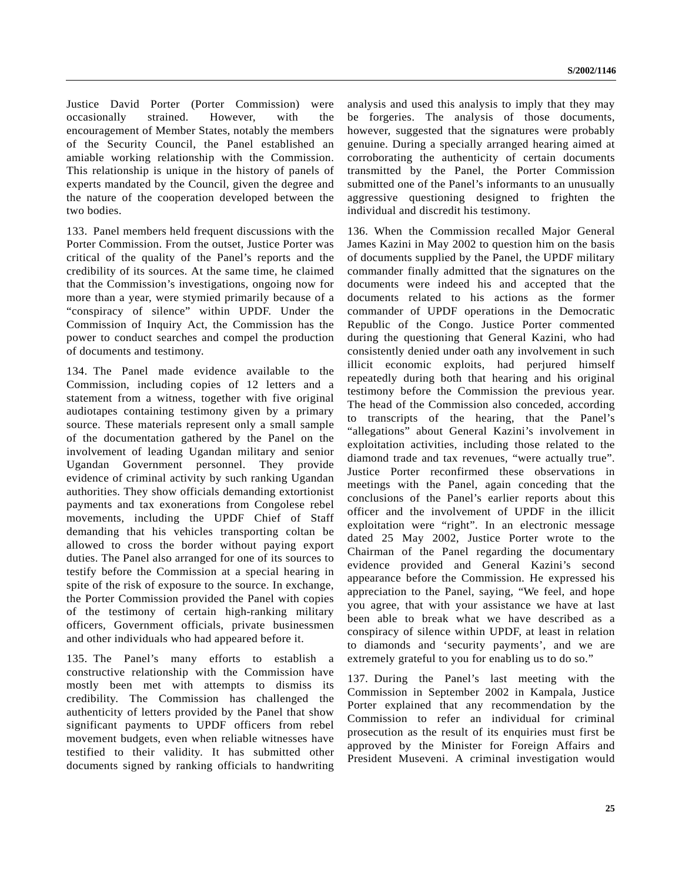Justice David Porter (Porter Commission) were occasionally strained. However, with the encouragement of Member States, notably the members of the Security Council, the Panel established an amiable working relationship with the Commission. This relationship is unique in the history of panels of experts mandated by the Council, given the degree and the nature of the cooperation developed between the two bodies.

133. Panel members held frequent discussions with the Porter Commission. From the outset, Justice Porter was critical of the quality of the Panel's reports and the credibility of its sources. At the same time, he claimed that the Commission's investigations, ongoing now for more than a year, were stymied primarily because of a "conspiracy of silence" within UPDF. Under the Commission of Inquiry Act, the Commission has the power to conduct searches and compel the production of documents and testimony.

134. The Panel made evidence available to the Commission, including copies of 12 letters and a statement from a witness, together with five original audiotapes containing testimony given by a primary source. These materials represent only a small sample of the documentation gathered by the Panel on the involvement of leading Ugandan military and senior Ugandan Government personnel. They provide evidence of criminal activity by such ranking Ugandan authorities. They show officials demanding extortionist payments and tax exonerations from Congolese rebel movements, including the UPDF Chief of Staff demanding that his vehicles transporting coltan be allowed to cross the border without paying export duties. The Panel also arranged for one of its sources to testify before the Commission at a special hearing in spite of the risk of exposure to the source. In exchange, the Porter Commission provided the Panel with copies of the testimony of certain high-ranking military officers, Government officials, private businessmen and other individuals who had appeared before it.

135. The Panel's many efforts to establish a constructive relationship with the Commission have mostly been met with attempts to dismiss its credibility. The Commission has challenged the authenticity of letters provided by the Panel that show significant payments to UPDF officers from rebel movement budgets, even when reliable witnesses have testified to their validity. It has submitted other documents signed by ranking officials to handwriting

analysis and used this analysis to imply that they may be forgeries. The analysis of those documents, however, suggested that the signatures were probably genuine. During a specially arranged hearing aimed at corroborating the authenticity of certain documents transmitted by the Panel, the Porter Commission submitted one of the Panel's informants to an unusually aggressive questioning designed to frighten the individual and discredit his testimony.

136. When the Commission recalled Major General James Kazini in May 2002 to question him on the basis of documents supplied by the Panel, the UPDF military commander finally admitted that the signatures on the documents were indeed his and accepted that the documents related to his actions as the former commander of UPDF operations in the Democratic Republic of the Congo. Justice Porter commented during the questioning that General Kazini, who had consistently denied under oath any involvement in such illicit economic exploits, had perjured himself repeatedly during both that hearing and his original testimony before the Commission the previous year. The head of the Commission also conceded, according to transcripts of the hearing, that the Panel's "allegations" about General Kazini's involvement in exploitation activities, including those related to the diamond trade and tax revenues, "were actually true". Justice Porter reconfirmed these observations in meetings with the Panel, again conceding that the conclusions of the Panel's earlier reports about this officer and the involvement of UPDF in the illicit exploitation were "right". In an electronic message dated 25 May 2002, Justice Porter wrote to the Chairman of the Panel regarding the documentary evidence provided and General Kazini's second appearance before the Commission. He expressed his appreciation to the Panel, saying, "We feel, and hope you agree, that with your assistance we have at last been able to break what we have described as a conspiracy of silence within UPDF, at least in relation to diamonds and 'security payments', and we are extremely grateful to you for enabling us to do so."

137. During the Panel's last meeting with the Commission in September 2002 in Kampala, Justice Porter explained that any recommendation by the Commission to refer an individual for criminal prosecution as the result of its enquiries must first be approved by the Minister for Foreign Affairs and President Museveni. A criminal investigation would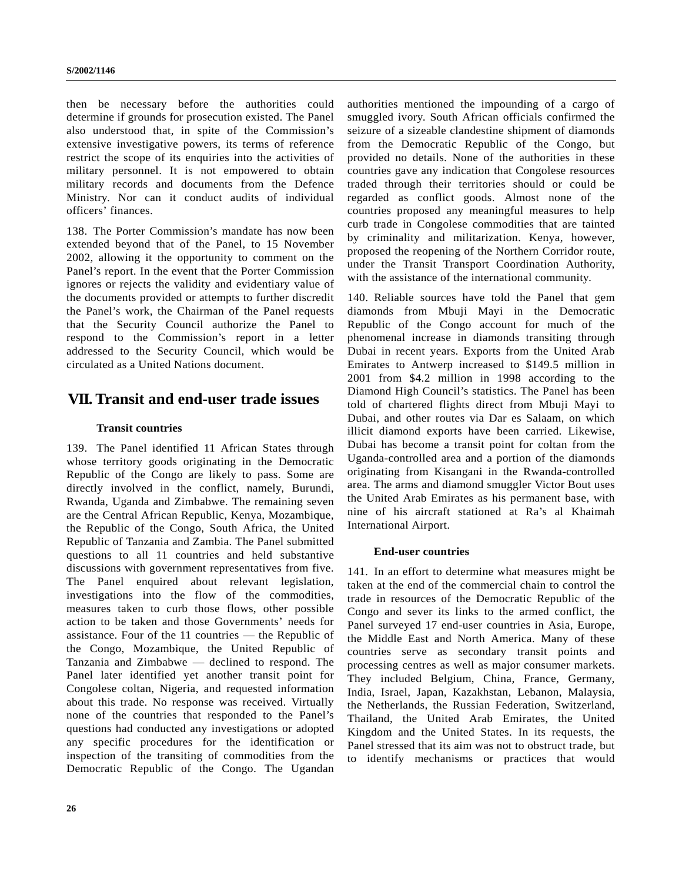then be necessary before the authorities could determine if grounds for prosecution existed. The Panel also understood that, in spite of the Commission's extensive investigative powers, its terms of reference restrict the scope of its enquiries into the activities of military personnel. It is not empowered to obtain military records and documents from the Defence Ministry. Nor can it conduct audits of individual officers' finances.

138. The Porter Commission's mandate has now been extended beyond that of the Panel, to 15 November 2002, allowing it the opportunity to comment on the Panel's report. In the event that the Porter Commission ignores or rejects the validity and evidentiary value of the documents provided or attempts to further discredit the Panel's work, the Chairman of the Panel requests that the Security Council authorize the Panel to respond to the Commission's report in a letter addressed to the Security Council, which would be circulated as a United Nations document.

# **VII. Transit and end-user trade issues**

# **Transit countries**

139. The Panel identified 11 African States through whose territory goods originating in the Democratic Republic of the Congo are likely to pass. Some are directly involved in the conflict, namely, Burundi, Rwanda, Uganda and Zimbabwe. The remaining seven are the Central African Republic, Kenya, Mozambique, the Republic of the Congo, South Africa, the United Republic of Tanzania and Zambia. The Panel submitted questions to all 11 countries and held substantive discussions with government representatives from five. The Panel enquired about relevant legislation, investigations into the flow of the commodities, measures taken to curb those flows, other possible action to be taken and those Governments' needs for assistance. Four of the 11 countries — the Republic of the Congo, Mozambique, the United Republic of Tanzania and Zimbabwe — declined to respond. The Panel later identified yet another transit point for Congolese coltan, Nigeria, and requested information about this trade. No response was received. Virtually none of the countries that responded to the Panel's questions had conducted any investigations or adopted any specific procedures for the identification or inspection of the transiting of commodities from the Democratic Republic of the Congo. The Ugandan

authorities mentioned the impounding of a cargo of smuggled ivory. South African officials confirmed the seizure of a sizeable clandestine shipment of diamonds from the Democratic Republic of the Congo, but provided no details. None of the authorities in these countries gave any indication that Congolese resources traded through their territories should or could be regarded as conflict goods. Almost none of the countries proposed any meaningful measures to help curb trade in Congolese commodities that are tainted by criminality and militarization. Kenya, however, proposed the reopening of the Northern Corridor route, under the Transit Transport Coordination Authority, with the assistance of the international community.

140. Reliable sources have told the Panel that gem diamonds from Mbuji Mayi in the Democratic Republic of the Congo account for much of the phenomenal increase in diamonds transiting through Dubai in recent years. Exports from the United Arab Emirates to Antwerp increased to \$149.5 million in 2001 from \$4.2 million in 1998 according to the Diamond High Council's statistics. The Panel has been told of chartered flights direct from Mbuji Mayi to Dubai, and other routes via Dar es Salaam, on which illicit diamond exports have been carried. Likewise, Dubai has become a transit point for coltan from the Uganda-controlled area and a portion of the diamonds originating from Kisangani in the Rwanda-controlled area. The arms and diamond smuggler Victor Bout uses the United Arab Emirates as his permanent base, with nine of his aircraft stationed at Ra's al Khaimah International Airport.

## **End-user countries**

141. In an effort to determine what measures might be taken at the end of the commercial chain to control the trade in resources of the Democratic Republic of the Congo and sever its links to the armed conflict, the Panel surveyed 17 end-user countries in Asia, Europe, the Middle East and North America. Many of these countries serve as secondary transit points and processing centres as well as major consumer markets. They included Belgium, China, France, Germany, India, Israel, Japan, Kazakhstan, Lebanon, Malaysia, the Netherlands, the Russian Federation, Switzerland, Thailand, the United Arab Emirates, the United Kingdom and the United States. In its requests, the Panel stressed that its aim was not to obstruct trade, but to identify mechanisms or practices that would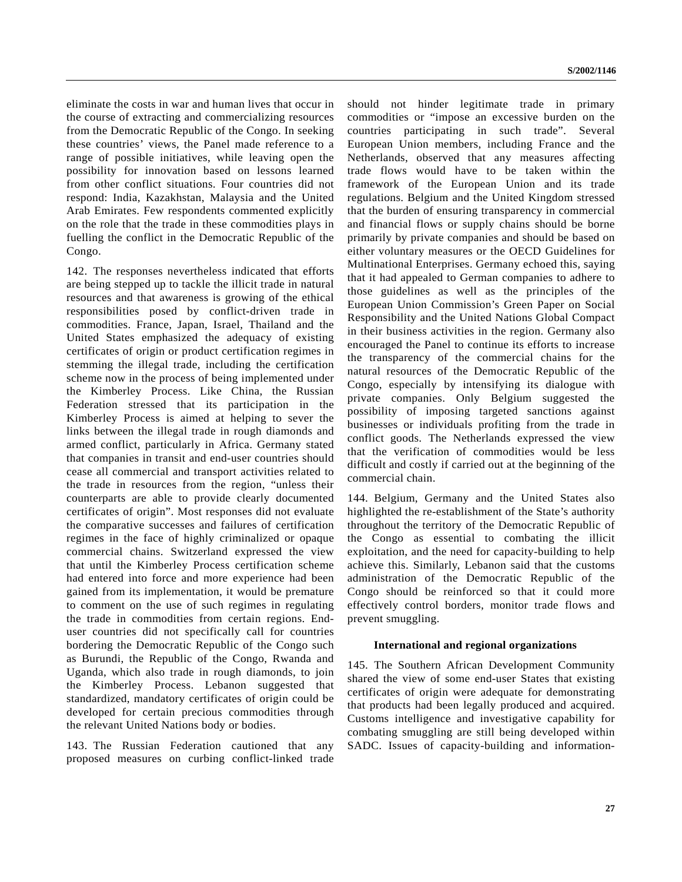eliminate the costs in war and human lives that occur in the course of extracting and commercializing resources from the Democratic Republic of the Congo. In seeking these countries' views, the Panel made reference to a range of possible initiatives, while leaving open the possibility for innovation based on lessons learned from other conflict situations. Four countries did not respond: India, Kazakhstan, Malaysia and the United Arab Emirates. Few respondents commented explicitly on the role that the trade in these commodities plays in fuelling the conflict in the Democratic Republic of the Congo.

142. The responses nevertheless indicated that efforts are being stepped up to tackle the illicit trade in natural resources and that awareness is growing of the ethical responsibilities posed by conflict-driven trade in commodities. France, Japan, Israel, Thailand and the United States emphasized the adequacy of existing certificates of origin or product certification regimes in stemming the illegal trade, including the certification scheme now in the process of being implemented under the Kimberley Process. Like China, the Russian Federation stressed that its participation in the Kimberley Process is aimed at helping to sever the links between the illegal trade in rough diamonds and armed conflict, particularly in Africa. Germany stated that companies in transit and end-user countries should cease all commercial and transport activities related to the trade in resources from the region, "unless their counterparts are able to provide clearly documented certificates of origin". Most responses did not evaluate the comparative successes and failures of certification regimes in the face of highly criminalized or opaque commercial chains. Switzerland expressed the view that until the Kimberley Process certification scheme had entered into force and more experience had been gained from its implementation, it would be premature to comment on the use of such regimes in regulating the trade in commodities from certain regions. Enduser countries did not specifically call for countries bordering the Democratic Republic of the Congo such as Burundi, the Republic of the Congo, Rwanda and Uganda, which also trade in rough diamonds, to join the Kimberley Process. Lebanon suggested that standardized, mandatory certificates of origin could be developed for certain precious commodities through the relevant United Nations body or bodies.

143. The Russian Federation cautioned that any proposed measures on curbing conflict-linked trade should not hinder legitimate trade in primary commodities or "impose an excessive burden on the countries participating in such trade". Several European Union members, including France and the Netherlands, observed that any measures affecting trade flows would have to be taken within the framework of the European Union and its trade regulations. Belgium and the United Kingdom stressed that the burden of ensuring transparency in commercial and financial flows or supply chains should be borne primarily by private companies and should be based on either voluntary measures or the OECD Guidelines for Multinational Enterprises. Germany echoed this, saying that it had appealed to German companies to adhere to those guidelines as well as the principles of the European Union Commission's Green Paper on Social Responsibility and the United Nations Global Compact in their business activities in the region. Germany also encouraged the Panel to continue its efforts to increase the transparency of the commercial chains for the natural resources of the Democratic Republic of the Congo, especially by intensifying its dialogue with private companies. Only Belgium suggested the possibility of imposing targeted sanctions against businesses or individuals profiting from the trade in conflict goods. The Netherlands expressed the view that the verification of commodities would be less difficult and costly if carried out at the beginning of the commercial chain.

144. Belgium, Germany and the United States also highlighted the re-establishment of the State's authority throughout the territory of the Democratic Republic of the Congo as essential to combating the illicit exploitation, and the need for capacity-building to help achieve this. Similarly, Lebanon said that the customs administration of the Democratic Republic of the Congo should be reinforced so that it could more effectively control borders, monitor trade flows and prevent smuggling.

#### **International and regional organizations**

145. The Southern African Development Community shared the view of some end-user States that existing certificates of origin were adequate for demonstrating that products had been legally produced and acquired. Customs intelligence and investigative capability for combating smuggling are still being developed within SADC. Issues of capacity-building and information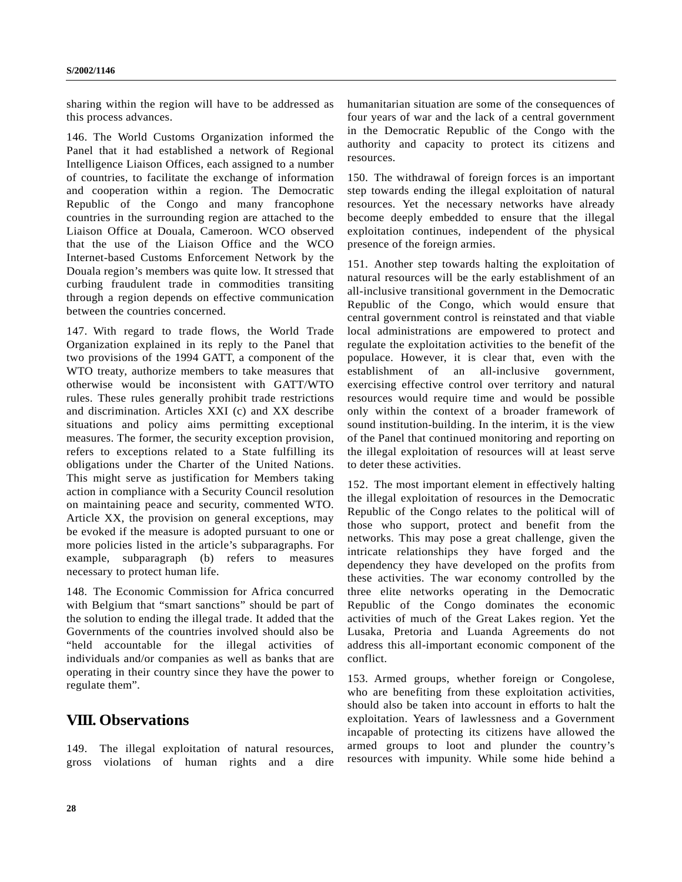sharing within the region will have to be addressed as this process advances.

146. The World Customs Organization informed the Panel that it had established a network of Regional Intelligence Liaison Offices, each assigned to a number of countries, to facilitate the exchange of information and cooperation within a region. The Democratic Republic of the Congo and many francophone countries in the surrounding region are attached to the Liaison Office at Douala, Cameroon. WCO observed that the use of the Liaison Office and the WCO Internet-based Customs Enforcement Network by the Douala region's members was quite low. It stressed that curbing fraudulent trade in commodities transiting through a region depends on effective communication between the countries concerned.

147. With regard to trade flows, the World Trade Organization explained in its reply to the Panel that two provisions of the 1994 GATT, a component of the WTO treaty, authorize members to take measures that otherwise would be inconsistent with GATT/WTO rules. These rules generally prohibit trade restrictions and discrimination. Articles XXI (c) and XX describe situations and policy aims permitting exceptional measures. The former, the security exception provision, refers to exceptions related to a State fulfilling its obligations under the Charter of the United Nations. This might serve as justification for Members taking action in compliance with a Security Council resolution on maintaining peace and security, commented WTO. Article XX, the provision on general exceptions, may be evoked if the measure is adopted pursuant to one or more policies listed in the article's subparagraphs. For example, subparagraph (b) refers to measures necessary to protect human life.

148. The Economic Commission for Africa concurred with Belgium that "smart sanctions" should be part of the solution to ending the illegal trade. It added that the Governments of the countries involved should also be "held accountable for the illegal activities of individuals and/or companies as well as banks that are operating in their country since they have the power to regulate them".

# **VIII. Observations**

149. The illegal exploitation of natural resources, gross violations of human rights and a dire humanitarian situation are some of the consequences of four years of war and the lack of a central government in the Democratic Republic of the Congo with the authority and capacity to protect its citizens and resources.

150. The withdrawal of foreign forces is an important step towards ending the illegal exploitation of natural resources. Yet the necessary networks have already become deeply embedded to ensure that the illegal exploitation continues, independent of the physical presence of the foreign armies.

151. Another step towards halting the exploitation of natural resources will be the early establishment of an all-inclusive transitional government in the Democratic Republic of the Congo, which would ensure that central government control is reinstated and that viable local administrations are empowered to protect and regulate the exploitation activities to the benefit of the populace. However, it is clear that, even with the establishment of an all-inclusive government, exercising effective control over territory and natural resources would require time and would be possible only within the context of a broader framework of sound institution-building. In the interim, it is the view of the Panel that continued monitoring and reporting on the illegal exploitation of resources will at least serve to deter these activities.

152. The most important element in effectively halting the illegal exploitation of resources in the Democratic Republic of the Congo relates to the political will of those who support, protect and benefit from the networks. This may pose a great challenge, given the intricate relationships they have forged and the dependency they have developed on the profits from these activities. The war economy controlled by the three elite networks operating in the Democratic Republic of the Congo dominates the economic activities of much of the Great Lakes region. Yet the Lusaka, Pretoria and Luanda Agreements do not address this all-important economic component of the conflict.

153. Armed groups, whether foreign or Congolese, who are benefiting from these exploitation activities, should also be taken into account in efforts to halt the exploitation. Years of lawlessness and a Government incapable of protecting its citizens have allowed the armed groups to loot and plunder the country's resources with impunity. While some hide behind a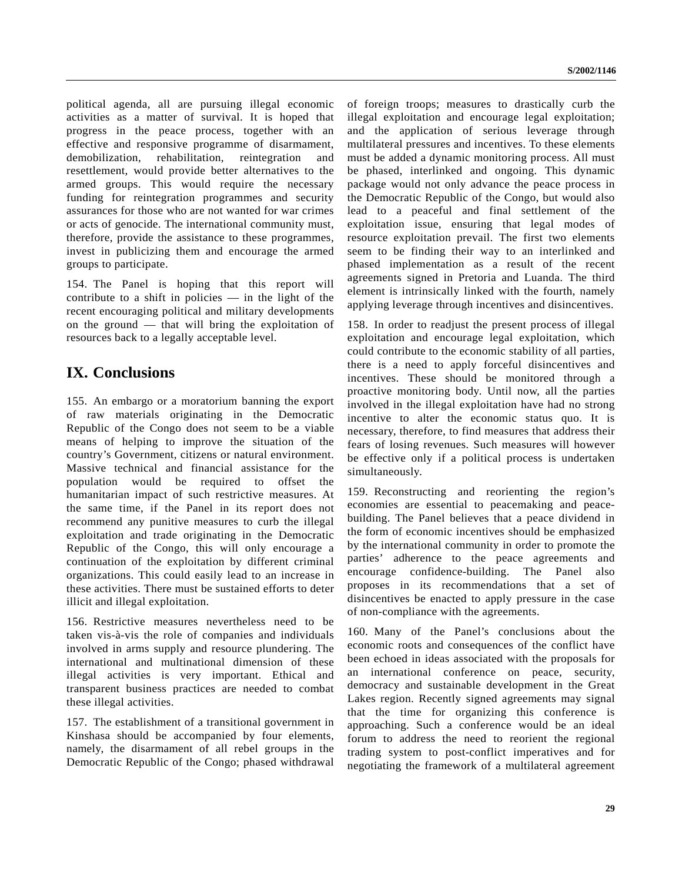political agenda, all are pursuing illegal economic activities as a matter of survival. It is hoped that progress in the peace process, together with an effective and responsive programme of disarmament, demobilization, rehabilitation, reintegration and resettlement, would provide better alternatives to the armed groups. This would require the necessary funding for reintegration programmes and security assurances for those who are not wanted for war crimes or acts of genocide. The international community must, therefore, provide the assistance to these programmes, invest in publicizing them and encourage the armed groups to participate.

154. The Panel is hoping that this report will contribute to a shift in policies  $-$  in the light of the recent encouraging political and military developments on the ground — that will bring the exploitation of resources back to a legally acceptable level.

# **IX. Conclusions**

155. An embargo or a moratorium banning the export of raw materials originating in the Democratic Republic of the Congo does not seem to be a viable means of helping to improve the situation of the country's Government, citizens or natural environment. Massive technical and financial assistance for the population would be required to offset the humanitarian impact of such restrictive measures. At the same time, if the Panel in its report does not recommend any punitive measures to curb the illegal exploitation and trade originating in the Democratic Republic of the Congo, this will only encourage a continuation of the exploitation by different criminal organizations. This could easily lead to an increase in these activities. There must be sustained efforts to deter illicit and illegal exploitation.

156. Restrictive measures nevertheless need to be taken vis-à-vis the role of companies and individuals involved in arms supply and resource plundering. The international and multinational dimension of these illegal activities is very important. Ethical and transparent business practices are needed to combat these illegal activities.

157. The establishment of a transitional government in Kinshasa should be accompanied by four elements, namely, the disarmament of all rebel groups in the Democratic Republic of the Congo; phased withdrawal of foreign troops; measures to drastically curb the illegal exploitation and encourage legal exploitation; and the application of serious leverage through multilateral pressures and incentives. To these elements must be added a dynamic monitoring process. All must be phased, interlinked and ongoing. This dynamic package would not only advance the peace process in the Democratic Republic of the Congo, but would also lead to a peaceful and final settlement of the exploitation issue, ensuring that legal modes of resource exploitation prevail. The first two elements seem to be finding their way to an interlinked and phased implementation as a result of the recent agreements signed in Pretoria and Luanda. The third element is intrinsically linked with the fourth, namely applying leverage through incentives and disincentives.

158. In order to readjust the present process of illegal exploitation and encourage legal exploitation, which could contribute to the economic stability of all parties, there is a need to apply forceful disincentives and incentives. These should be monitored through a proactive monitoring body. Until now, all the parties involved in the illegal exploitation have had no strong incentive to alter the economic status quo. It is necessary, therefore, to find measures that address their fears of losing revenues. Such measures will however be effective only if a political process is undertaken simultaneously.

159. Reconstructing and reorienting the region's economies are essential to peacemaking and peacebuilding. The Panel believes that a peace dividend in the form of economic incentives should be emphasized by the international community in order to promote the parties' adherence to the peace agreements and encourage confidence-building. The Panel also proposes in its recommendations that a set of disincentives be enacted to apply pressure in the case of non-compliance with the agreements.

160. Many of the Panel's conclusions about the economic roots and consequences of the conflict have been echoed in ideas associated with the proposals for an international conference on peace, security, democracy and sustainable development in the Great Lakes region. Recently signed agreements may signal that the time for organizing this conference is approaching. Such a conference would be an ideal forum to address the need to reorient the regional trading system to post-conflict imperatives and for negotiating the framework of a multilateral agreement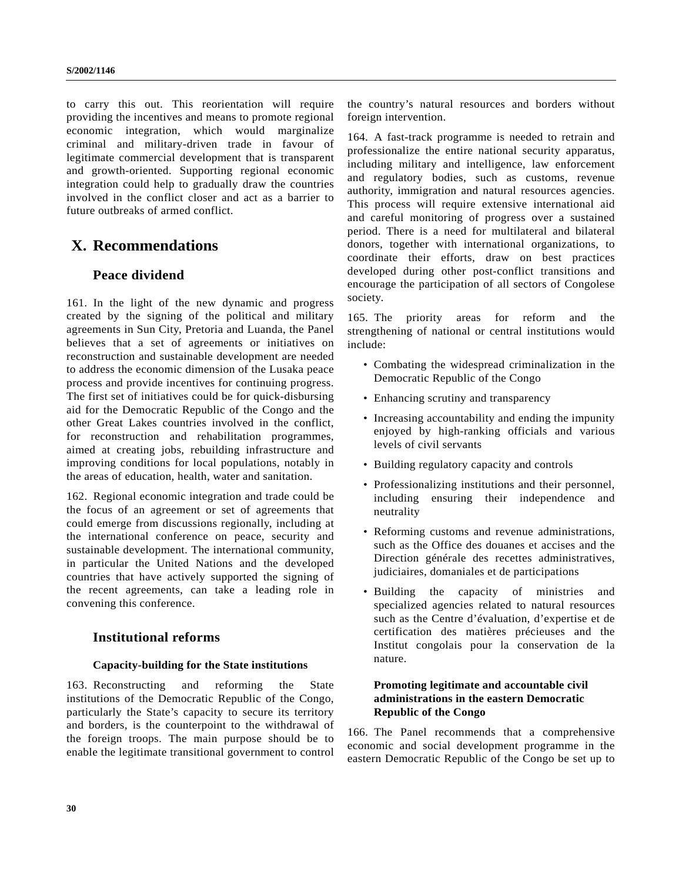to carry this out. This reorientation will require providing the incentives and means to promote regional economic integration, which would marginalize criminal and military-driven trade in favour of legitimate commercial development that is transparent and growth-oriented. Supporting regional economic integration could help to gradually draw the countries involved in the conflict closer and act as a barrier to future outbreaks of armed conflict.

# **X. Recommendations**

# **Peace dividend**

161. In the light of the new dynamic and progress created by the signing of the political and military agreements in Sun City, Pretoria and Luanda, the Panel believes that a set of agreements or initiatives on reconstruction and sustainable development are needed to address the economic dimension of the Lusaka peace process and provide incentives for continuing progress. The first set of initiatives could be for quick-disbursing aid for the Democratic Republic of the Congo and the other Great Lakes countries involved in the conflict, for reconstruction and rehabilitation programmes, aimed at creating jobs, rebuilding infrastructure and improving conditions for local populations, notably in the areas of education, health, water and sanitation.

162. Regional economic integration and trade could be the focus of an agreement or set of agreements that could emerge from discussions regionally, including at the international conference on peace, security and sustainable development. The international community, in particular the United Nations and the developed countries that have actively supported the signing of the recent agreements, can take a leading role in convening this conference.

# **Institutional reforms**

# **Capacity-building for the State institutions**

163. Reconstructing and reforming the State institutions of the Democratic Republic of the Congo, particularly the State's capacity to secure its territory and borders, is the counterpoint to the withdrawal of the foreign troops. The main purpose should be to enable the legitimate transitional government to control the country's natural resources and borders without foreign intervention.

164. A fast-track programme is needed to retrain and professionalize the entire national security apparatus, including military and intelligence, law enforcement and regulatory bodies, such as customs, revenue authority, immigration and natural resources agencies. This process will require extensive international aid and careful monitoring of progress over a sustained period. There is a need for multilateral and bilateral donors, together with international organizations, to coordinate their efforts, draw on best practices developed during other post-conflict transitions and encourage the participation of all sectors of Congolese society.

165. The priority areas for reform and the strengthening of national or central institutions would include:

- Combating the widespread criminalization in the Democratic Republic of the Congo
- Enhancing scrutiny and transparency
- Increasing accountability and ending the impunity enjoyed by high-ranking officials and various levels of civil servants
- Building regulatory capacity and controls
- Professionalizing institutions and their personnel, including ensuring their independence and neutrality
- Reforming customs and revenue administrations, such as the Office des douanes et accises and the Direction générale des recettes administratives, judiciaires, domaniales et de participations
- Building the capacity of ministries and specialized agencies related to natural resources such as the Centre d'évaluation, d'expertise et de certification des matières précieuses and the Institut congolais pour la conservation de la nature.

# **Promoting legitimate and accountable civil administrations in the eastern Democratic Republic of the Congo**

166. The Panel recommends that a comprehensive economic and social development programme in the eastern Democratic Republic of the Congo be set up to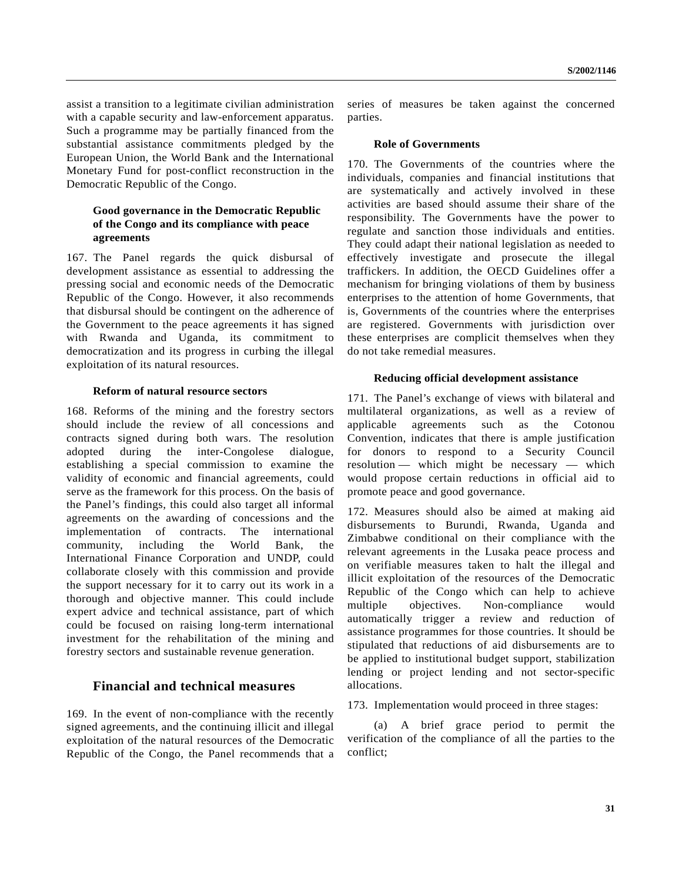assist a transition to a legitimate civilian administration with a capable security and law-enforcement apparatus. Such a programme may be partially financed from the substantial assistance commitments pledged by the European Union, the World Bank and the International Monetary Fund for post-conflict reconstruction in the Democratic Republic of the Congo.

# **Good governance in the Democratic Republic of the Congo and its compliance with peace agreements**

167. The Panel regards the quick disbursal of development assistance as essential to addressing the pressing social and economic needs of the Democratic Republic of the Congo. However, it also recommends that disbursal should be contingent on the adherence of the Government to the peace agreements it has signed with Rwanda and Uganda, its commitment to democratization and its progress in curbing the illegal exploitation of its natural resources.

#### **Reform of natural resource sectors**

168. Reforms of the mining and the forestry sectors should include the review of all concessions and contracts signed during both wars. The resolution adopted during the inter-Congolese dialogue, establishing a special commission to examine the validity of economic and financial agreements, could serve as the framework for this process. On the basis of the Panel's findings, this could also target all informal agreements on the awarding of concessions and the implementation of contracts. The international community, including the World Bank, the International Finance Corporation and UNDP, could collaborate closely with this commission and provide the support necessary for it to carry out its work in a thorough and objective manner. This could include expert advice and technical assistance, part of which could be focused on raising long-term international investment for the rehabilitation of the mining and forestry sectors and sustainable revenue generation.

# **Financial and technical measures**

169. In the event of non-compliance with the recently signed agreements, and the continuing illicit and illegal exploitation of the natural resources of the Democratic Republic of the Congo, the Panel recommends that a series of measures be taken against the concerned parties.

#### **Role of Governments**

170. The Governments of the countries where the individuals, companies and financial institutions that are systematically and actively involved in these activities are based should assume their share of the responsibility. The Governments have the power to regulate and sanction those individuals and entities. They could adapt their national legislation as needed to effectively investigate and prosecute the illegal traffickers. In addition, the OECD Guidelines offer a mechanism for bringing violations of them by business enterprises to the attention of home Governments, that is, Governments of the countries where the enterprises are registered. Governments with jurisdiction over these enterprises are complicit themselves when they do not take remedial measures.

#### **Reducing official development assistance**

171. The Panel's exchange of views with bilateral and multilateral organizations, as well as a review of applicable agreements such as the Cotonou Convention, indicates that there is ample justification for donors to respond to a Security Council resolution — which might be necessary — which would propose certain reductions in official aid to promote peace and good governance.

172. Measures should also be aimed at making aid disbursements to Burundi, Rwanda, Uganda and Zimbabwe conditional on their compliance with the relevant agreements in the Lusaka peace process and on verifiable measures taken to halt the illegal and illicit exploitation of the resources of the Democratic Republic of the Congo which can help to achieve multiple objectives. Non-compliance would automatically trigger a review and reduction of assistance programmes for those countries. It should be stipulated that reductions of aid disbursements are to be applied to institutional budget support, stabilization lending or project lending and not sector-specific allocations.

173. Implementation would proceed in three stages:

(a) A brief grace period to permit the verification of the compliance of all the parties to the conflict;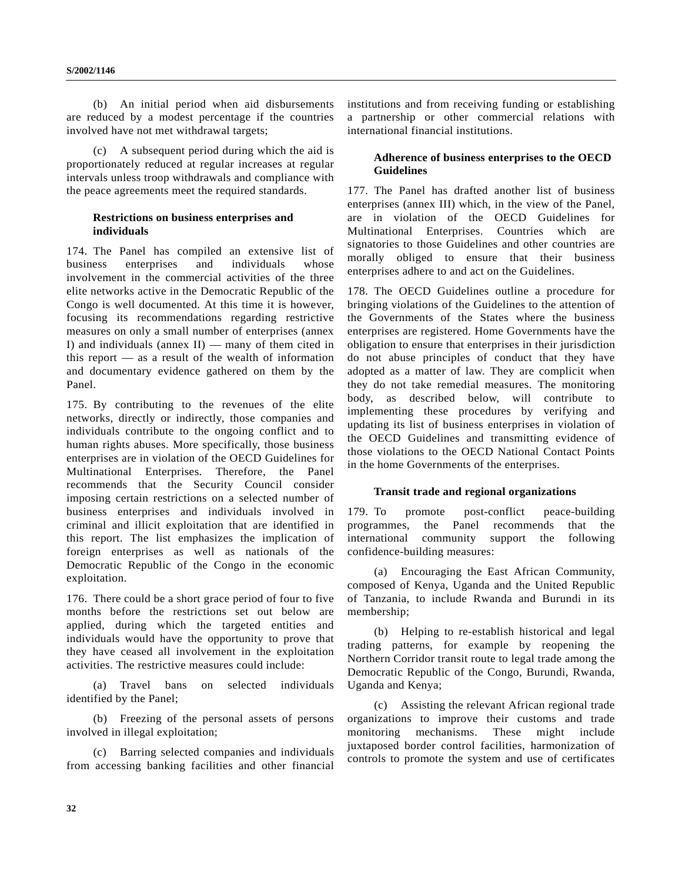(b) An initial period when aid disbursements are reduced by a modest percentage if the countries involved have not met withdrawal targets;

(c) A subsequent period during which the aid is proportionately reduced at regular increases at regular intervals unless troop withdrawals and compliance with the peace agreements meet the required standards.

# **Restrictions on business enterprises and individuals**

174. The Panel has compiled an extensive list of business enterprises and individuals whose involvement in the commercial activities of the three elite networks active in the Democratic Republic of the Congo is well documented. At this time it is however, focusing its recommendations regarding restrictive measures on only a small number of enterprises (annex I) and individuals (annex  $II$ ) — many of them cited in this report — as a result of the wealth of information and documentary evidence gathered on them by the Panel.

175. By contributing to the revenues of the elite networks, directly or indirectly, those companies and individuals contribute to the ongoing conflict and to human rights abuses. More specifically, those business enterprises are in violation of the OECD Guidelines for Multinational Enterprises. Therefore, the Panel recommends that the Security Council consider imposing certain restrictions on a selected number of business enterprises and individuals involved in criminal and illicit exploitation that are identified in this report. The list emphasizes the implication of foreign enterprises as well as nationals of the Democratic Republic of the Congo in the economic exploitation.

176. There could be a short grace period of four to five months before the restrictions set out below are applied, during which the targeted entities and individuals would have the opportunity to prove that they have ceased all involvement in the exploitation activities. The restrictive measures could include:

(a) Travel bans on selected individuals identified by the Panel;

(b) Freezing of the personal assets of persons involved in illegal exploitation;

(c) Barring selected companies and individuals from accessing banking facilities and other financial institutions and from receiving funding or establishing a partnership or other commercial relations with international financial institutions.

# **Adherence of business enterprises to the OECD Guidelines**

177. The Panel has drafted another list of business enterprises (annex III) which, in the view of the Panel, are in violation of the OECD Guidelines for Multinational Enterprises. Countries which are signatories to those Guidelines and other countries are morally obliged to ensure that their business enterprises adhere to and act on the Guidelines.

178. The OECD Guidelines outline a procedure for bringing violations of the Guidelines to the attention of the Governments of the States where the business enterprises are registered. Home Governments have the obligation to ensure that enterprises in their jurisdiction do not abuse principles of conduct that they have adopted as a matter of law. They are complicit when they do not take remedial measures. The monitoring body, as described below, will contribute to implementing these procedures by verifying and updating its list of business enterprises in violation of the OECD Guidelines and transmitting evidence of those violations to the OECD National Contact Points in the home Governments of the enterprises.

## **Transit trade and regional organizations**

179. To promote post-conflict peace-building programmes, the Panel recommends that the international community support the following confidence-building measures:

(a) Encouraging the East African Community, composed of Kenya, Uganda and the United Republic of Tanzania, to include Rwanda and Burundi in its membership;

(b) Helping to re-establish historical and legal trading patterns, for example by reopening the Northern Corridor transit route to legal trade among the Democratic Republic of the Congo, Burundi, Rwanda, Uganda and Kenya;

(c) Assisting the relevant African regional trade organizations to improve their customs and trade monitoring mechanisms. These might include juxtaposed border control facilities, harmonization of controls to promote the system and use of certificates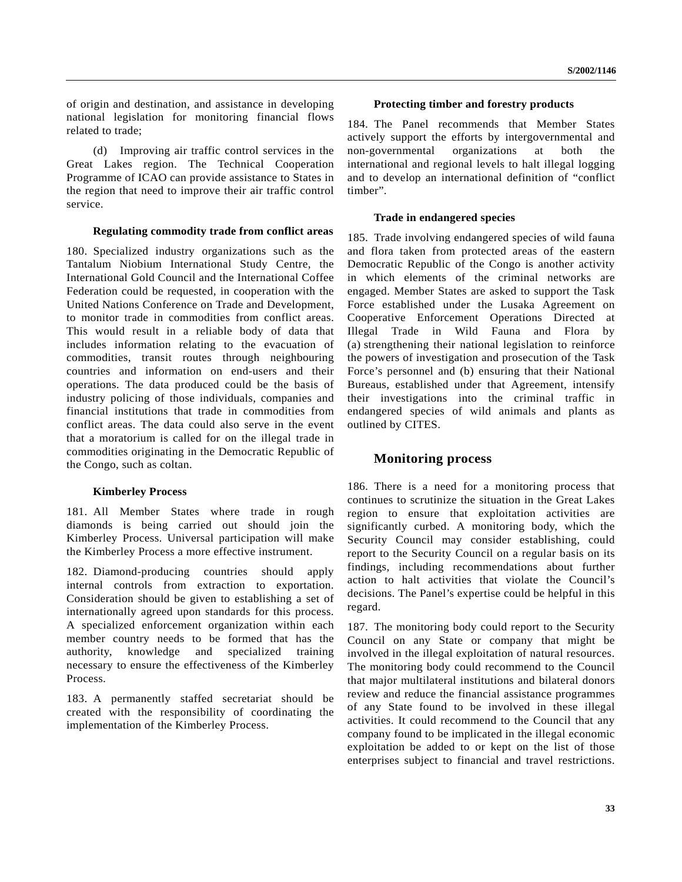of origin and destination, and assistance in developing national legislation for monitoring financial flows related to trade;

(d) Improving air traffic control services in the Great Lakes region. The Technical Cooperation Programme of ICAO can provide assistance to States in the region that need to improve their air traffic control service.

#### **Regulating commodity trade from conflict areas**

180. Specialized industry organizations such as the Tantalum Niobium International Study Centre, the International Gold Council and the International Coffee Federation could be requested, in cooperation with the United Nations Conference on Trade and Development, to monitor trade in commodities from conflict areas. This would result in a reliable body of data that includes information relating to the evacuation of commodities, transit routes through neighbouring countries and information on end-users and their operations. The data produced could be the basis of industry policing of those individuals, companies and financial institutions that trade in commodities from conflict areas. The data could also serve in the event that a moratorium is called for on the illegal trade in commodities originating in the Democratic Republic of the Congo, such as coltan.

## **Kimberley Process**

181. All Member States where trade in rough diamonds is being carried out should join the Kimberley Process. Universal participation will make the Kimberley Process a more effective instrument.

182. Diamond-producing countries should apply internal controls from extraction to exportation. Consideration should be given to establishing a set of internationally agreed upon standards for this process. A specialized enforcement organization within each member country needs to be formed that has the authority, knowledge and specialized training necessary to ensure the effectiveness of the Kimberley Process.

183. A permanently staffed secretariat should be created with the responsibility of coordinating the implementation of the Kimberley Process.

## **Protecting timber and forestry products**

184. The Panel recommends that Member States actively support the efforts by intergovernmental and non-governmental organizations at both the international and regional levels to halt illegal logging and to develop an international definition of "conflict timber".

# **Trade in endangered species**

185. Trade involving endangered species of wild fauna and flora taken from protected areas of the eastern Democratic Republic of the Congo is another activity in which elements of the criminal networks are engaged. Member States are asked to support the Task Force established under the Lusaka Agreement on Cooperative Enforcement Operations Directed at Illegal Trade in Wild Fauna and Flora by (a) strengthening their national legislation to reinforce the powers of investigation and prosecution of the Task Force's personnel and (b) ensuring that their National Bureaus, established under that Agreement, intensify their investigations into the criminal traffic in endangered species of wild animals and plants as outlined by CITES.

# **Monitoring process**

186. There is a need for a monitoring process that continues to scrutinize the situation in the Great Lakes region to ensure that exploitation activities are significantly curbed. A monitoring body, which the Security Council may consider establishing, could report to the Security Council on a regular basis on its findings, including recommendations about further action to halt activities that violate the Council's decisions. The Panel's expertise could be helpful in this regard.

187. The monitoring body could report to the Security Council on any State or company that might be involved in the illegal exploitation of natural resources. The monitoring body could recommend to the Council that major multilateral institutions and bilateral donors review and reduce the financial assistance programmes of any State found to be involved in these illegal activities. It could recommend to the Council that any company found to be implicated in the illegal economic exploitation be added to or kept on the list of those enterprises subject to financial and travel restrictions.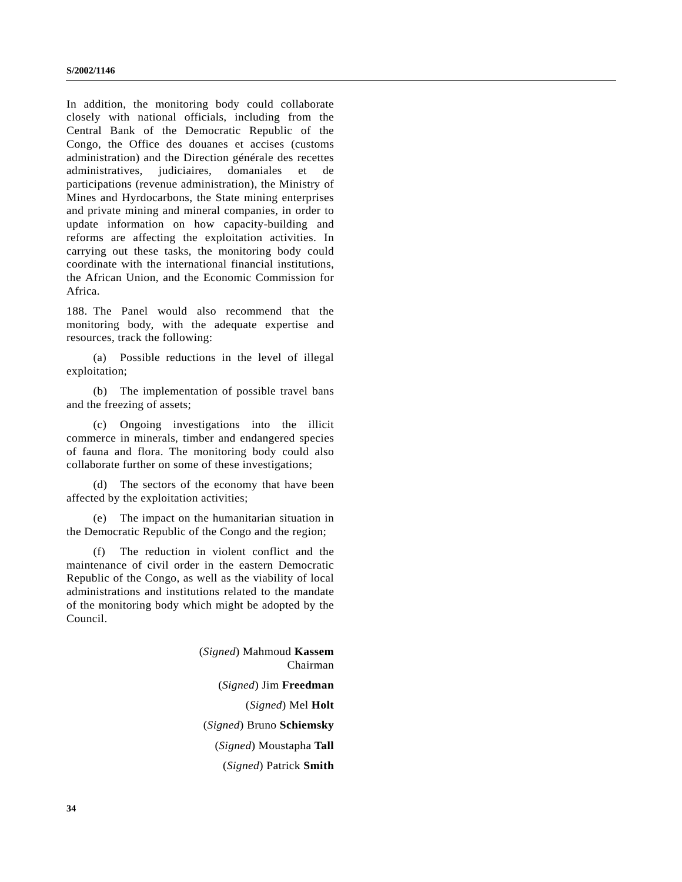In addition, the monitoring body could collaborate closely with national officials, including from the Central Bank of the Democratic Republic of the Congo, the Office des douanes et accises (customs administration) and the Direction générale des recettes administratives, judiciaires, domaniales et de participations (revenue administration), the Ministry of Mines and Hyrdocarbons, the State mining enterprises and private mining and mineral companies, in order to update information on how capacity-building and reforms are affecting the exploitation activities. In carrying out these tasks, the monitoring body could coordinate with the international financial institutions, the African Union, and the Economic Commission for Africa.

188. The Panel would also recommend that the monitoring body, with the adequate expertise and resources, track the following:

(a) Possible reductions in the level of illegal exploitation;

(b) The implementation of possible travel bans and the freezing of assets;

(c) Ongoing investigations into the illicit commerce in minerals, timber and endangered species of fauna and flora. The monitoring body could also collaborate further on some of these investigations;

(d) The sectors of the economy that have been affected by the exploitation activities;

(e) The impact on the humanitarian situation in the Democratic Republic of the Congo and the region;

(f) The reduction in violent conflict and the maintenance of civil order in the eastern Democratic Republic of the Congo, as well as the viability of local administrations and institutions related to the mandate of the monitoring body which might be adopted by the Council.

> (*Signed*) Mahmoud **Kassem** Chairman (*Signed*) Jim **Freedman** (*Signed*) Mel **Holt** (*Signed*) Bruno **Schiemsky** (*Signed*) Moustapha **Tall** (*Signed*) Patrick **Smith**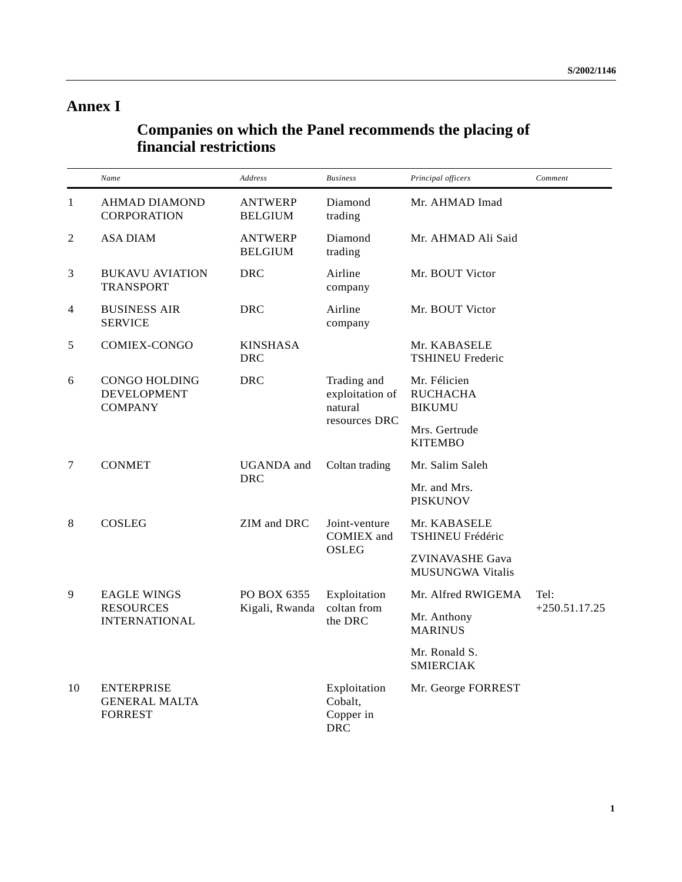# **Annex I**

# **Companies on which the Panel recommends the placing of financial restrictions**

|    | Name                                                        | Address                          | <b>Business</b>                                            | Principal officers                                | Comment         |
|----|-------------------------------------------------------------|----------------------------------|------------------------------------------------------------|---------------------------------------------------|-----------------|
| 1  | <b>AHMAD DIAMOND</b><br><b>CORPORATION</b>                  | <b>ANTWERP</b><br><b>BELGIUM</b> | Diamond<br>trading                                         | Mr. AHMAD Imad                                    |                 |
| 2  | <b>ASA DIAM</b>                                             | <b>ANTWERP</b><br><b>BELGIUM</b> | Diamond<br>trading                                         | Mr. AHMAD Ali Said                                |                 |
| 3  | <b>BUKAVU AVIATION</b><br><b>TRANSPORT</b>                  | <b>DRC</b>                       | Airline<br>company                                         | Mr. BOUT Victor                                   |                 |
| 4  | <b>BUSINESS AIR</b><br><b>SERVICE</b>                       | <b>DRC</b>                       | Airline<br>company                                         | Mr. BOUT Victor                                   |                 |
| 5  | COMIEX-CONGO                                                | <b>KINSHASA</b><br><b>DRC</b>    |                                                            | Mr. KABASELE<br><b>TSHINEU Frederic</b>           |                 |
| 6  | CONGO HOLDING<br><b>DEVELOPMENT</b><br><b>COMPANY</b>       | <b>DRC</b>                       | Trading and<br>exploitation of<br>natural<br>resources DRC | Mr. Félicien<br><b>RUCHACHA</b><br><b>BIKUMU</b>  |                 |
|    |                                                             |                                  |                                                            | Mrs. Gertrude<br><b>KITEMBO</b>                   |                 |
| 7  | <b>CONMET</b>                                               | <b>UGANDA</b> and<br><b>DRC</b>  | Coltan trading                                             | Mr. Salim Saleh                                   |                 |
|    |                                                             |                                  |                                                            | Mr. and Mrs.<br><b>PISKUNOV</b>                   |                 |
| 8  | <b>COSLEG</b>                                               | ZIM and DRC                      | Joint-venture<br><b>COMIEX</b> and<br><b>OSLEG</b>         | Mr. KABASELE<br>TSHINEU Frédéric                  |                 |
|    |                                                             |                                  |                                                            | <b>ZVINAVASHE Gava</b><br><b>MUSUNGWA Vitalis</b> |                 |
| 9  | <b>EAGLE WINGS</b>                                          | PO BOX 6355                      | Exploitation                                               | Mr. Alfred RWIGEMA                                | Tel:            |
|    | <b>RESOURCES</b><br><b>INTERNATIONAL</b>                    | Kigali, Rwanda                   | coltan from<br>the DRC                                     | Mr. Anthony<br><b>MARINUS</b>                     | $+250.51.17.25$ |
|    |                                                             |                                  |                                                            | Mr. Ronald S.<br><b>SMIERCIAK</b>                 |                 |
| 10 | <b>ENTERPRISE</b><br><b>GENERAL MALTA</b><br><b>FORREST</b> |                                  | Exploitation<br>Cobalt,<br>Copper in<br><b>DRC</b>         | Mr. George FORREST                                |                 |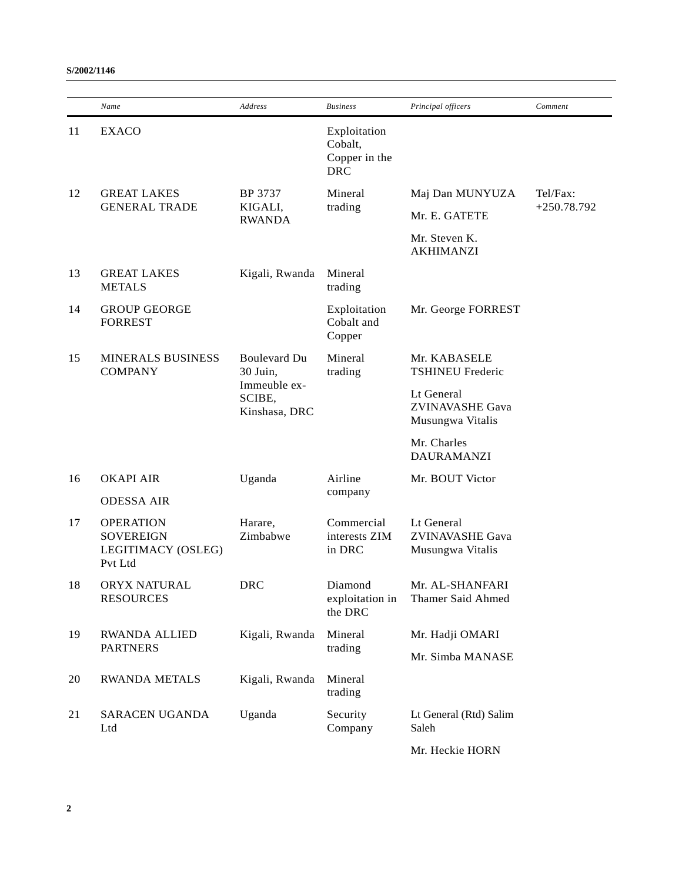|    | Name                                                                  | <b>Address</b>                                                             | <b>Business</b>                                        | Principal officers                                       | Comment                   |
|----|-----------------------------------------------------------------------|----------------------------------------------------------------------------|--------------------------------------------------------|----------------------------------------------------------|---------------------------|
| 11 | <b>EXACO</b>                                                          |                                                                            | Exploitation<br>Cobalt,<br>Copper in the<br><b>DRC</b> |                                                          |                           |
| 12 | <b>GREAT LAKES</b><br><b>GENERAL TRADE</b>                            | BP 3737<br>KIGALI,                                                         | Mineral<br>trading                                     | Maj Dan MUNYUZA                                          | Tel/Fax:<br>$+250.78.792$ |
|    |                                                                       | <b>RWANDA</b>                                                              |                                                        | Mr. E. GATETE                                            |                           |
|    |                                                                       |                                                                            |                                                        | Mr. Steven K.<br><b>AKHIMANZI</b>                        |                           |
| 13 | <b>GREAT LAKES</b><br><b>METALS</b>                                   | Kigali, Rwanda                                                             | Mineral<br>trading                                     |                                                          |                           |
| 14 | <b>GROUP GEORGE</b><br><b>FORREST</b>                                 |                                                                            | Exploitation<br>Cobalt and<br>Copper                   | Mr. George FORREST                                       |                           |
| 15 | <b>MINERALS BUSINESS</b><br><b>COMPANY</b>                            | <b>Boulevard Du</b><br>30 Juin,<br>Immeuble ex-<br>SCIBE,<br>Kinshasa, DRC | Mineral<br>trading                                     | Mr. KABASELE<br><b>TSHINEU Frederic</b>                  |                           |
|    |                                                                       |                                                                            |                                                        | Lt General<br>ZVINAVASHE Gava<br>Musungwa Vitalis        |                           |
|    |                                                                       |                                                                            |                                                        | Mr. Charles<br><b>DAURAMANZI</b>                         |                           |
| 16 | <b>OKAPI AIR</b>                                                      | Uganda                                                                     | Airline                                                | Mr. BOUT Victor                                          |                           |
|    | <b>ODESSA AIR</b>                                                     |                                                                            | company                                                |                                                          |                           |
| 17 | <b>OPERATION</b><br><b>SOVEREIGN</b><br>LEGITIMACY (OSLEG)<br>Pvt Ltd | Harare,<br>Zimbabwe                                                        | Commercial<br>interests ZIM<br>in DRC                  | Lt General<br><b>ZVINAVASHE Gava</b><br>Musungwa Vitalis |                           |
| 18 | ORYX NATURAL<br><b>RESOURCES</b>                                      | <b>DRC</b>                                                                 | Diamond<br>exploitation in<br>the DRC                  | Mr. AL-SHANFARI<br>Thamer Said Ahmed                     |                           |
| 19 | <b>RWANDA ALLIED</b>                                                  | Kigali, Rwanda                                                             | Mineral                                                | Mr. Hadji OMARI                                          |                           |
|    | <b>PARTNERS</b>                                                       |                                                                            | trading                                                | Mr. Simba MANASE                                         |                           |
| 20 | <b>RWANDA METALS</b>                                                  | Kigali, Rwanda                                                             | Mineral<br>trading                                     |                                                          |                           |
| 21 | SARACEN UGANDA<br>Ltd                                                 | Uganda                                                                     | Security<br>Company                                    | Lt General (Rtd) Salim<br>Saleh                          |                           |
|    |                                                                       |                                                                            |                                                        | Mr. Heckie HORN                                          |                           |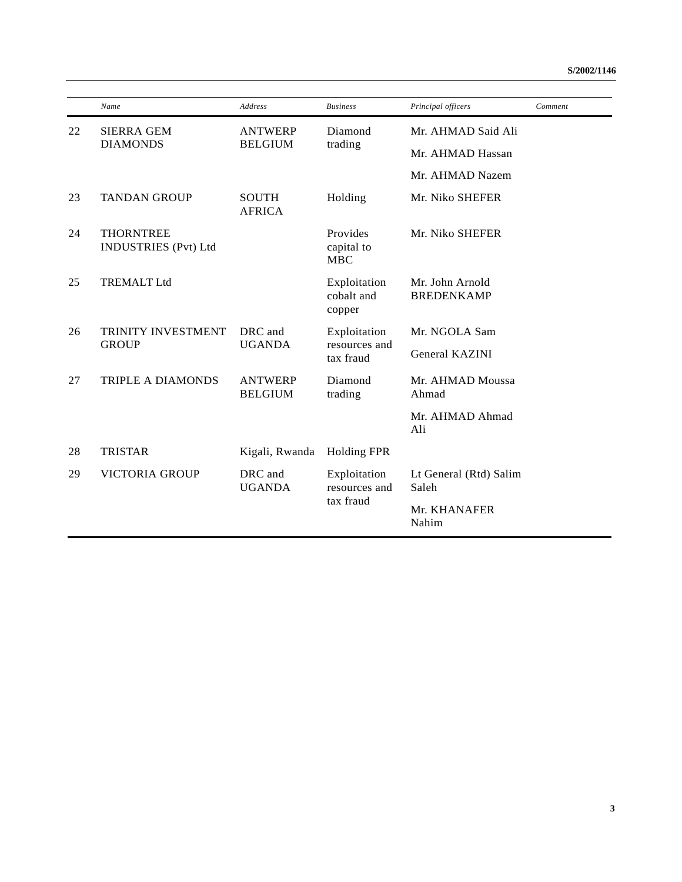|    | Name                                            | <b>Address</b>                   | <b>Business</b>                            | Principal officers                   | Comment |
|----|-------------------------------------------------|----------------------------------|--------------------------------------------|--------------------------------------|---------|
| 22 | <b>SIERRA GEM</b>                               | <b>ANTWERP</b>                   | Diamond                                    | Mr. AHMAD Said Ali                   |         |
|    | <b>DIAMONDS</b>                                 | <b>BELGIUM</b>                   | trading                                    | Mr. AHMAD Hassan                     |         |
|    |                                                 |                                  |                                            | Mr. AHMAD Nazem                      |         |
| 23 | <b>TANDAN GROUP</b>                             | <b>SOUTH</b><br><b>AFRICA</b>    | Holding                                    | Mr. Niko SHEFER                      |         |
| 24 | <b>THORNTREE</b><br><b>INDUSTRIES</b> (Pvt) Ltd |                                  | Provides<br>capital to<br><b>MBC</b>       | Mr. Niko SHEFER                      |         |
| 25 | <b>TREMALT Ltd</b>                              |                                  | Exploitation<br>cobalt and<br>copper       | Mr. John Arnold<br><b>BREDENKAMP</b> |         |
| 26 | <b>TRINITY INVESTMENT</b><br><b>GROUP</b>       | DRC and<br><b>UGANDA</b>         | Exploitation<br>resources and<br>tax fraud | Mr. NGOLA Sam                        |         |
|    |                                                 |                                  |                                            | <b>General KAZINI</b>                |         |
| 27 | <b>TRIPLE A DIAMONDS</b>                        | <b>ANTWERP</b><br><b>BELGIUM</b> | Diamond<br>trading                         | Mr. AHMAD Moussa<br>Ahmad            |         |
|    |                                                 |                                  |                                            | Mr. AHMAD Ahmad<br>Ali               |         |
| 28 | <b>TRISTAR</b>                                  | Kigali, Rwanda                   | <b>Holding FPR</b>                         |                                      |         |
| 29 | <b>VICTORIA GROUP</b>                           | DRC and<br><b>UGANDA</b>         | Exploitation<br>resources and<br>tax fraud | Lt General (Rtd) Salim<br>Saleh      |         |
|    |                                                 |                                  |                                            | Mr. KHANAFER<br>Nahim                |         |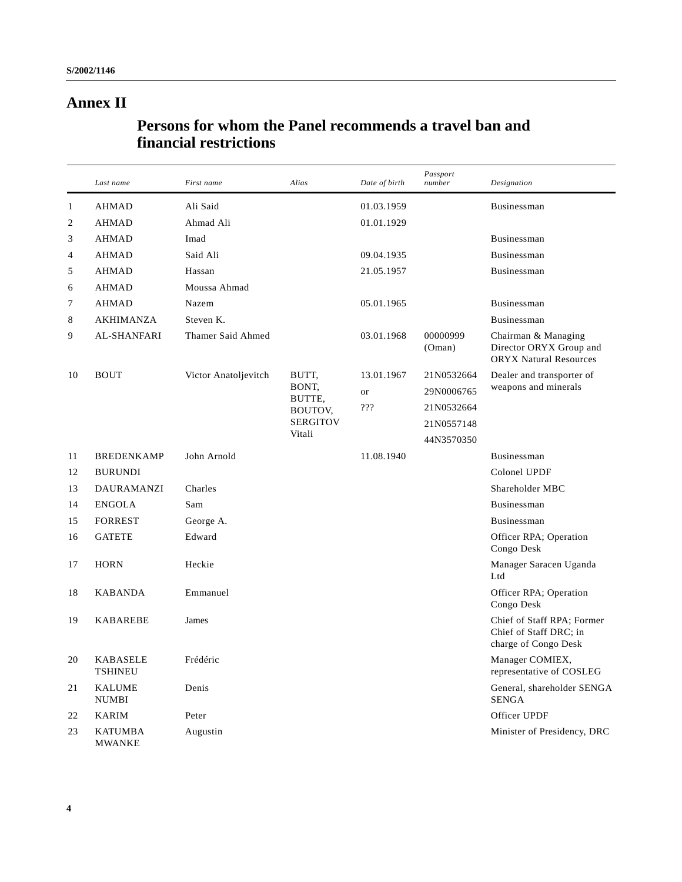# **Annex II**

# **Persons for whom the Panel recommends a travel ban and financial restrictions**

|                | Last name                         | First name           | Alias                                                   | Date of birth | Passport<br>number | Designation                                                                     |
|----------------|-----------------------------------|----------------------|---------------------------------------------------------|---------------|--------------------|---------------------------------------------------------------------------------|
| $\mathbf{1}$   | <b>AHMAD</b>                      | Ali Said             |                                                         | 01.03.1959    |                    | Businessman                                                                     |
| $\mathfrak{2}$ | <b>AHMAD</b>                      | Ahmad Ali            |                                                         | 01.01.1929    |                    |                                                                                 |
| 3              | <b>AHMAD</b>                      | Imad                 |                                                         |               |                    | Businessman                                                                     |
| 4              | <b>AHMAD</b>                      | Said Ali             |                                                         | 09.04.1935    |                    | Businessman                                                                     |
| 5              | <b>AHMAD</b>                      | Hassan               |                                                         | 21.05.1957    |                    | Businessman                                                                     |
| 6              | <b>AHMAD</b>                      | Moussa Ahmad         |                                                         |               |                    |                                                                                 |
| 7              | <b>AHMAD</b>                      | Nazem                |                                                         | 05.01.1965    |                    | <b>Businessman</b>                                                              |
| 8              | <b>AKHIMANZA</b>                  | Steven K.            |                                                         |               |                    | Businessman                                                                     |
| 9              | <b>AL-SHANFARI</b>                | Thamer Said Ahmed    |                                                         | 03.01.1968    | 00000999<br>(Oman) | Chairman & Managing<br>Director ORYX Group and<br><b>ORYX Natural Resources</b> |
| 10             | <b>BOUT</b>                       | Victor Anatoljevitch | BUTT,                                                   | 13.01.1967    | 21N0532664         | Dealer and transporter of                                                       |
|                |                                   |                      | BONT,<br>BUTTE,<br>BOUTOV,<br><b>SERGITOV</b><br>Vitali | <sub>or</sub> | 29N0006765         | weapons and minerals                                                            |
|                |                                   |                      |                                                         | ???           | 21N0532664         |                                                                                 |
|                |                                   |                      |                                                         |               | 21N0557148         |                                                                                 |
|                |                                   |                      |                                                         |               | 44N3570350         |                                                                                 |
| 11             | <b>BREDENKAMP</b>                 | John Arnold          |                                                         | 11.08.1940    |                    | Businessman                                                                     |
| 12             | <b>BURUNDI</b>                    |                      |                                                         |               |                    | Colonel UPDF                                                                    |
| 13             | <b>DAURAMANZI</b>                 | Charles              |                                                         |               |                    | Shareholder MBC                                                                 |
| 14             | <b>ENGOLA</b>                     | Sam                  |                                                         |               |                    | Businessman                                                                     |
| 15             | <b>FORREST</b>                    | George A.            |                                                         |               |                    | Businessman                                                                     |
| 16             | <b>GATETE</b>                     | Edward               |                                                         |               |                    | Officer RPA; Operation<br>Congo Desk                                            |
| 17             | <b>HORN</b>                       | Heckie               |                                                         |               |                    | Manager Saracen Uganda<br>Ltd                                                   |
| 18             | <b>KABANDA</b>                    | Emmanuel             |                                                         |               |                    | Officer RPA; Operation<br>Congo Desk                                            |
| 19             | <b>KABAREBE</b>                   | James                |                                                         |               |                    | Chief of Staff RPA; Former<br>Chief of Staff DRC; in<br>charge of Congo Desk    |
| 20             | <b>KABASELE</b><br><b>TSHINEU</b> | Frédéric             |                                                         |               |                    | Manager COMIEX,<br>representative of COSLEG                                     |
| 21             | <b>KALUME</b><br><b>NUMBI</b>     | Denis                |                                                         |               |                    | General, shareholder SENGA<br><b>SENGA</b>                                      |
| 22             | <b>KARIM</b>                      | Peter                |                                                         |               |                    | Officer UPDF                                                                    |
| 23             | <b>KATUMBA</b><br>MWANKE          | Augustin             |                                                         |               |                    | Minister of Presidency, DRC                                                     |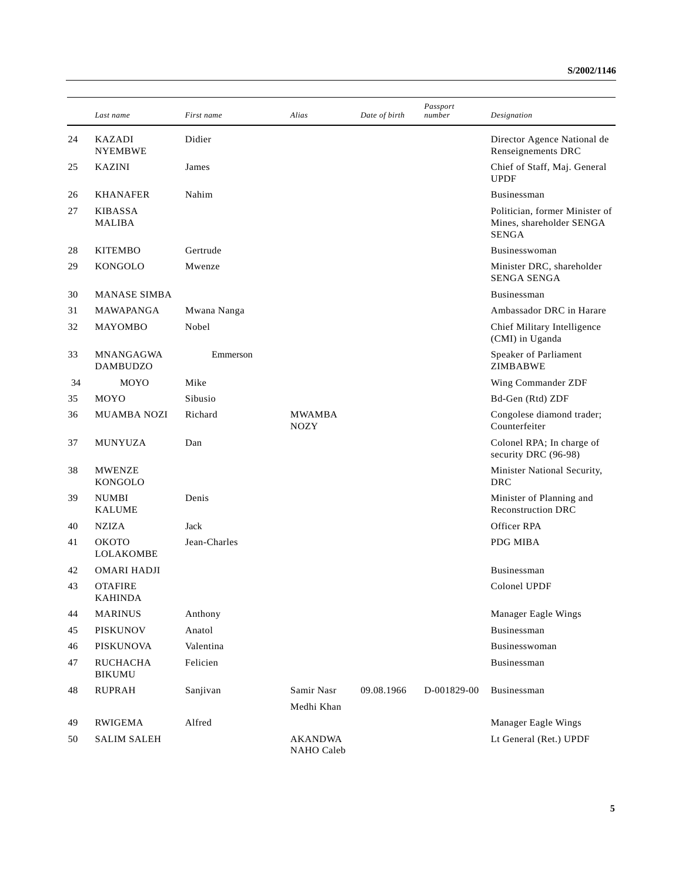|    | Last name                           | First name   | Alias                        | Date of birth | Passport<br>number | Designation                                                                |
|----|-------------------------------------|--------------|------------------------------|---------------|--------------------|----------------------------------------------------------------------------|
| 24 | <b>KAZADI</b><br><b>NYEMBWE</b>     | Didier       |                              |               |                    | Director Agence National de<br>Renseignements DRC                          |
| 25 | <b>KAZINI</b>                       | James        |                              |               |                    | Chief of Staff, Maj. General<br><b>UPDF</b>                                |
| 26 | <b>KHANAFER</b>                     | Nahim        |                              |               |                    | Businessman                                                                |
| 27 | <b>KIBASSA</b><br><b>MALIBA</b>     |              |                              |               |                    | Politician, former Minister of<br>Mines, shareholder SENGA<br><b>SENGA</b> |
| 28 | <b>KITEMBO</b>                      | Gertrude     |                              |               |                    | Businesswoman                                                              |
| 29 | <b>KONGOLO</b>                      | Mwenze       |                              |               |                    | Minister DRC, shareholder<br><b>SENGA SENGA</b>                            |
| 30 | <b>MANASE SIMBA</b>                 |              |                              |               |                    | Businessman                                                                |
| 31 | MAWAPANGA                           | Mwana Nanga  |                              |               |                    | Ambassador DRC in Harare                                                   |
| 32 | <b>MAYOMBO</b>                      | Nobel        |                              |               |                    | Chief Military Intelligence<br>(CMI) in Uganda                             |
| 33 | <b>MNANGAGWA</b><br><b>DAMBUDZO</b> | Emmerson     |                              |               |                    | Speaker of Parliament<br>ZIMBABWE                                          |
| 34 | MOYO                                | Mike         |                              |               |                    | Wing Commander ZDF                                                         |
| 35 | MOYO                                | Sibusio      |                              |               |                    | Bd-Gen (Rtd) ZDF                                                           |
| 36 | <b>MUAMBA NOZI</b>                  | Richard      | <b>MWAMBA</b><br><b>NOZY</b> |               |                    | Congolese diamond trader;<br>Counterfeiter                                 |
| 37 | MUNYUZA                             | Dan          |                              |               |                    | Colonel RPA; In charge of<br>security DRC (96-98)                          |
| 38 | <b>MWENZE</b><br><b>KONGOLO</b>     |              |                              |               |                    | Minister National Security,<br><b>DRC</b>                                  |
| 39 | <b>NUMBI</b><br><b>KALUME</b>       | Denis        |                              |               |                    | Minister of Planning and<br><b>Reconstruction DRC</b>                      |
| 40 | <b>NZIZA</b>                        | Jack         |                              |               |                    | Officer RPA                                                                |
| 41 | OKOTO<br><b>LOLAKOMBE</b>           | Jean-Charles |                              |               |                    | PDG MIBA                                                                   |
| 42 | <b>OMARI HADJI</b>                  |              |                              |               |                    | <b>Businessman</b>                                                         |
| 43 | <b>OTAFIRE</b><br><b>KAHINDA</b>    |              |                              |               |                    | Colonel UPDF                                                               |
| 44 | <b>MARINUS</b>                      | Anthony      |                              |               |                    | Manager Eagle Wings                                                        |
| 45 | <b>PISKUNOV</b>                     | Anatol       |                              |               |                    | Businessman                                                                |
| 46 | <b>PISKUNOVA</b>                    | Valentina    |                              |               |                    | Businesswoman                                                              |
| 47 | <b>RUCHACHA</b><br><b>BIKUMU</b>    | Felicien     |                              |               |                    | Businessman                                                                |
| 48 | <b>RUPRAH</b>                       | Sanjivan     | Samir Nasr                   | 09.08.1966    | D-001829-00        | Businessman                                                                |
|    |                                     |              | Medhi Khan                   |               |                    |                                                                            |
| 49 | RWIGEMA                             | Alfred       |                              |               |                    | Manager Eagle Wings                                                        |
| 50 | <b>SALIM SALEH</b>                  |              | <b>AKANDWA</b><br>NAHO Caleb |               |                    | Lt General (Ret.) UPDF                                                     |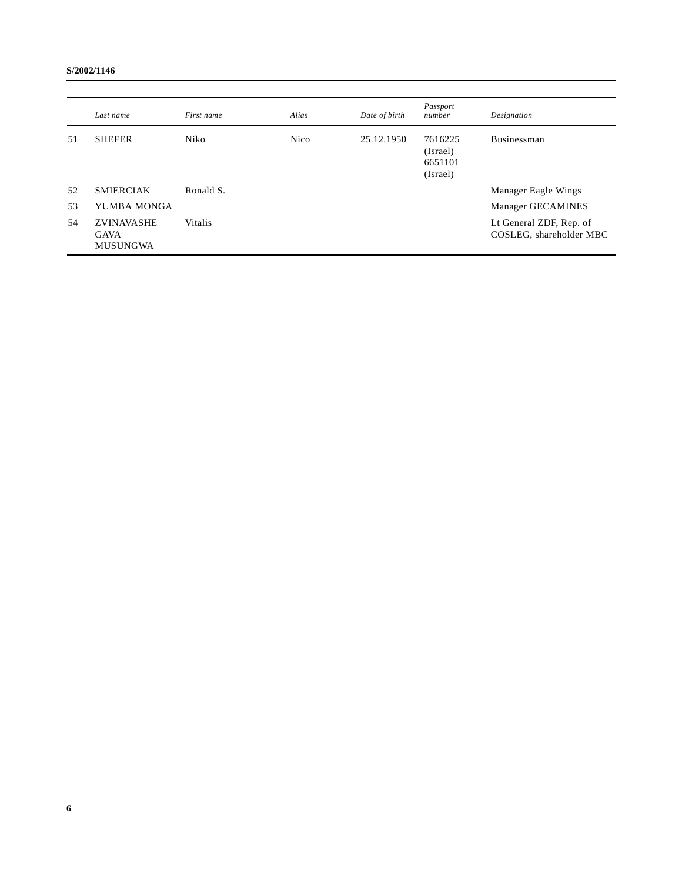|    | Last name                                           | First name | Alias       | Date of birth | Passport<br>number                         | Designation                                        |
|----|-----------------------------------------------------|------------|-------------|---------------|--------------------------------------------|----------------------------------------------------|
| 51 | <b>SHEFER</b>                                       | Niko       | <b>Nico</b> | 25.12.1950    | 7616225<br>(Israel)<br>6651101<br>(Israel) | <b>Businessman</b>                                 |
| 52 | <b>SMIERCIAK</b>                                    | Ronald S.  |             |               |                                            | Manager Eagle Wings                                |
| 53 | YUMBA MONGA                                         |            |             |               |                                            | Manager GECAMINES                                  |
| 54 | <b>ZVINAVASHE</b><br><b>GAVA</b><br><b>MUSUNGWA</b> | Vitalis    |             |               |                                            | Lt General ZDF, Rep. of<br>COSLEG, shareholder MBC |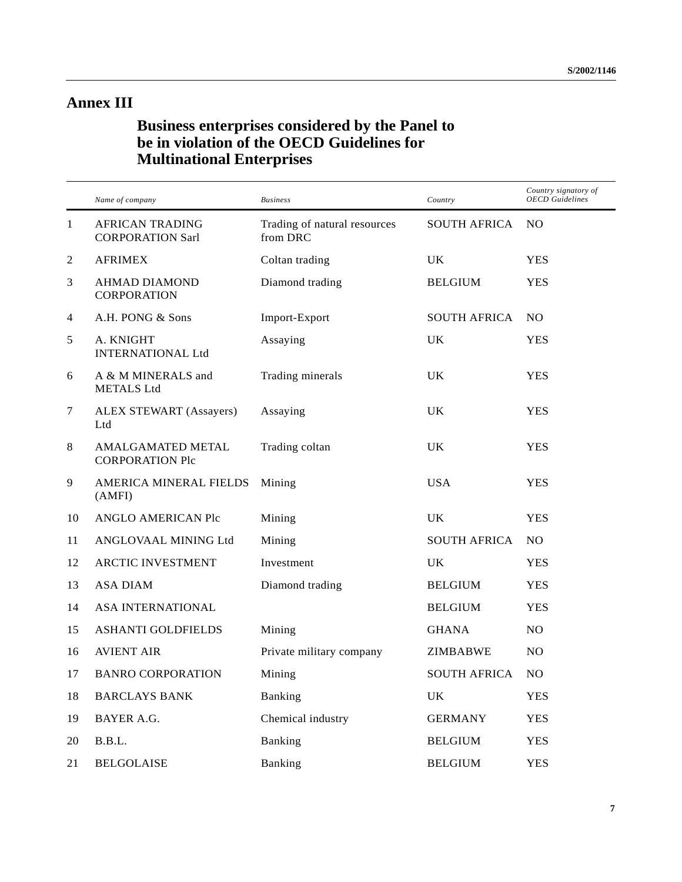# **Annex III**

# **Business enterprises considered by the Panel to be in violation of the OECD Guidelines for Multinational Enterprises**

|              | Name of company                                   | <b>Business</b>                          | Country             | Country signatory of<br><b>OECD</b> Guidelines |
|--------------|---------------------------------------------------|------------------------------------------|---------------------|------------------------------------------------|
| $\mathbf{1}$ | <b>AFRICAN TRADING</b><br><b>CORPORATION Sarl</b> | Trading of natural resources<br>from DRC | <b>SOUTH AFRICA</b> | N <sub>O</sub>                                 |
| $\sqrt{2}$   | <b>AFRIMEX</b>                                    | Coltan trading                           | UK                  | <b>YES</b>                                     |
| 3            | <b>AHMAD DIAMOND</b><br><b>CORPORATION</b>        | Diamond trading                          | <b>BELGIUM</b>      | <b>YES</b>                                     |
| 4            | A.H. PONG & Sons                                  | Import-Export                            | <b>SOUTH AFRICA</b> | NO.                                            |
| $\sqrt{5}$   | A. KNIGHT<br><b>INTERNATIONAL Ltd</b>             | Assaying                                 | UK                  | <b>YES</b>                                     |
| 6            | A & M MINERALS and<br><b>METALS Ltd</b>           | Trading minerals                         | UK.                 | <b>YES</b>                                     |
| $\tau$       | ALEX STEWART (Assayers)<br>Ltd                    | Assaying                                 | UK                  | <b>YES</b>                                     |
| 8            | AMALGAMATED METAL<br><b>CORPORATION Plc</b>       | Trading coltan                           | UK                  | <b>YES</b>                                     |
| 9            | AMERICA MINERAL FIELDS<br>(AMFI)                  | Mining                                   | <b>USA</b>          | YES                                            |
| 10           | ANGLO AMERICAN Plc                                | Mining                                   | U <sub>K</sub>      | <b>YES</b>                                     |
| 11           | ANGLOVAAL MINING Ltd                              | Mining                                   | <b>SOUTH AFRICA</b> | NO.                                            |
| 12           | ARCTIC INVESTMENT                                 | Investment                               | UK.                 | <b>YES</b>                                     |
| 13           | <b>ASA DIAM</b>                                   | Diamond trading                          | <b>BELGIUM</b>      | <b>YES</b>                                     |
| 14           | ASA INTERNATIONAL                                 |                                          | <b>BELGIUM</b>      | <b>YES</b>                                     |
| 15           | ASHANTI GOLDFIELDS                                | Mining                                   | <b>GHANA</b>        | NO.                                            |
| 16           | <b>AVIENT AIR</b>                                 | Private military company                 | ZIMBABWE            | NO.                                            |
| 17           | <b>BANRO CORPORATION</b>                          | Mining                                   | <b>SOUTH AFRICA</b> | NO.                                            |
| 18           | <b>BARCLAYS BANK</b>                              | <b>Banking</b>                           | UK.                 | YES                                            |
| 19           | BAYER A.G.                                        | Chemical industry                        | <b>GERMANY</b>      | <b>YES</b>                                     |
| 20           | B.B.L.                                            | <b>Banking</b>                           | <b>BELGIUM</b>      | YES                                            |
| 21           | <b>BELGOLAISE</b>                                 | <b>Banking</b>                           | <b>BELGIUM</b>      | <b>YES</b>                                     |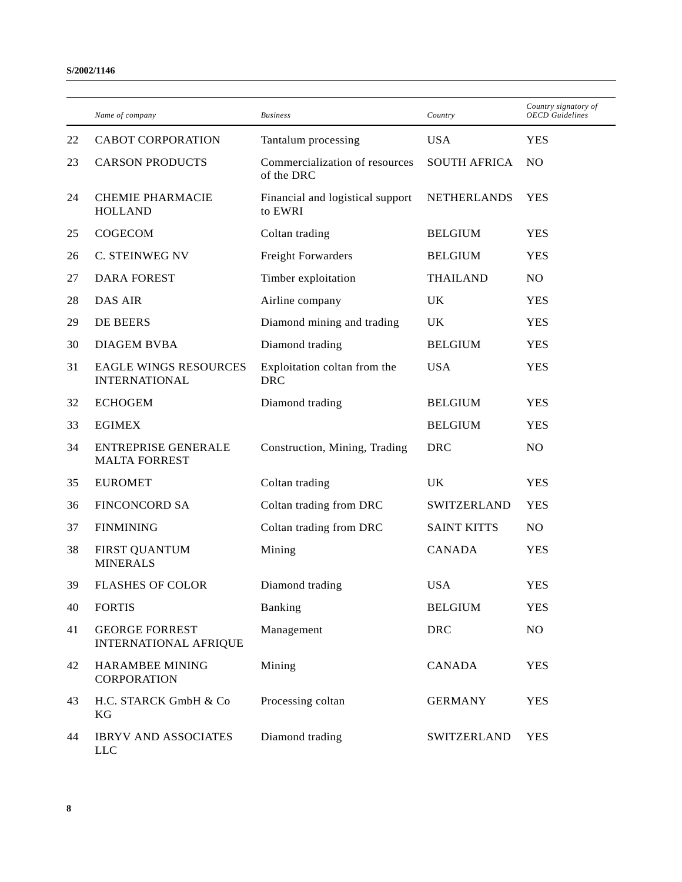|    | Name of company                                       | <b>Business</b>                              | Country             | Country signatory of<br><b>OECD</b> Guidelines |
|----|-------------------------------------------------------|----------------------------------------------|---------------------|------------------------------------------------|
| 22 | <b>CABOT CORPORATION</b>                              | Tantalum processing                          | <b>USA</b>          | <b>YES</b>                                     |
| 23 | <b>CARSON PRODUCTS</b>                                | Commercialization of resources<br>of the DRC | <b>SOUTH AFRICA</b> | N <sub>O</sub>                                 |
| 24 | <b>CHEMIE PHARMACIE</b><br><b>HOLLAND</b>             | Financial and logistical support<br>to EWRI  | <b>NETHERLANDS</b>  | <b>YES</b>                                     |
| 25 | COGECOM                                               | Coltan trading                               | <b>BELGIUM</b>      | <b>YES</b>                                     |
| 26 | C. STEINWEG NV                                        | <b>Freight Forwarders</b>                    | <b>BELGIUM</b>      | <b>YES</b>                                     |
| 27 | <b>DARA FOREST</b>                                    | Timber exploitation                          | <b>THAILAND</b>     | NO                                             |
| 28 | <b>DAS AIR</b>                                        | Airline company                              | UK                  | <b>YES</b>                                     |
| 29 | DE BEERS                                              | Diamond mining and trading                   | <b>UK</b>           | <b>YES</b>                                     |
| 30 | DIAGEM BVBA                                           | Diamond trading                              | <b>BELGIUM</b>      | <b>YES</b>                                     |
| 31 | <b>EAGLE WINGS RESOURCES</b><br><b>INTERNATIONAL</b>  | Exploitation coltan from the<br><b>DRC</b>   | <b>USA</b>          | <b>YES</b>                                     |
| 32 | <b>ECHOGEM</b>                                        | Diamond trading                              | <b>BELGIUM</b>      | <b>YES</b>                                     |
| 33 | <b>EGIMEX</b>                                         |                                              | <b>BELGIUM</b>      | <b>YES</b>                                     |
| 34 | <b>ENTREPRISE GENERALE</b><br><b>MALTA FORREST</b>    | Construction, Mining, Trading                | <b>DRC</b>          | NO                                             |
| 35 | <b>EUROMET</b>                                        | Coltan trading                               | UK                  | <b>YES</b>                                     |
| 36 | <b>FINCONCORD SA</b>                                  | Coltan trading from DRC                      | SWITZERLAND         | <b>YES</b>                                     |
| 37 | <b>FINMINING</b>                                      | Coltan trading from DRC                      | <b>SAINT KITTS</b>  | N <sub>O</sub>                                 |
| 38 | <b>FIRST QUANTUM</b><br><b>MINERALS</b>               | Mining                                       | <b>CANADA</b>       | <b>YES</b>                                     |
| 39 | <b>FLASHES OF COLOR</b>                               | Diamond trading                              | <b>USA</b>          | <b>YES</b>                                     |
| 40 | <b>FORTIS</b>                                         | Banking                                      | <b>BELGIUM</b>      | <b>YES</b>                                     |
| 41 | <b>GEORGE FORREST</b><br><b>INTERNATIONAL AFRIQUE</b> | Management                                   | <b>DRC</b>          | NO                                             |
| 42 | HARAMBEE MINING<br><b>CORPORATION</b>                 | Mining                                       | CANADA              | <b>YES</b>                                     |
| 43 | H.C. STARCK GmbH & Co<br>KG                           | Processing coltan                            | <b>GERMANY</b>      | <b>YES</b>                                     |
| 44 | <b>IBRYV AND ASSOCIATES</b><br><b>LLC</b>             | Diamond trading                              | SWITZERLAND         | <b>YES</b>                                     |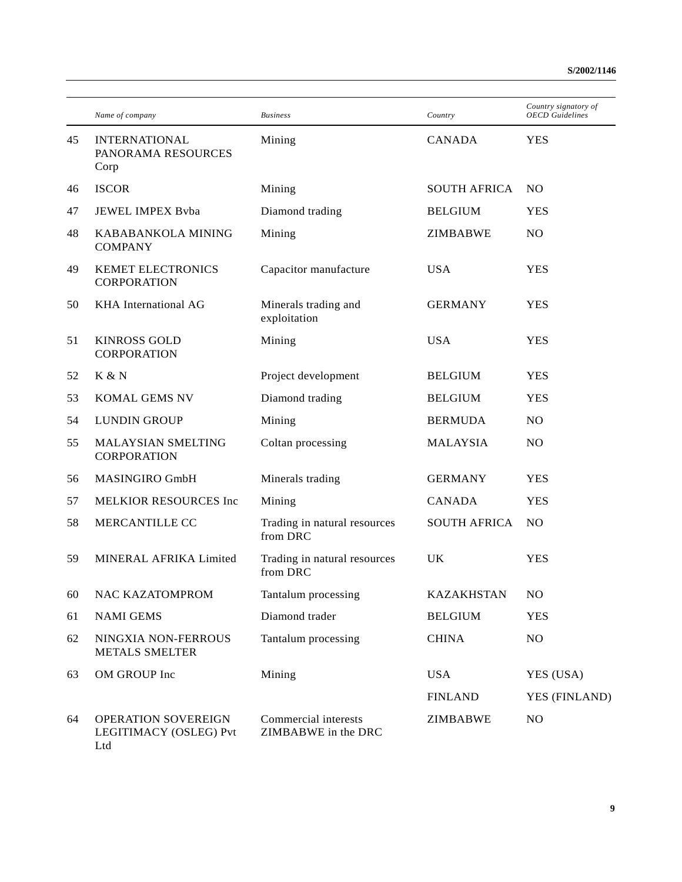|    | Name of company                                      | <b>Business</b>                             | Country             | Country signatory of<br><b>OECD</b> Guidelines |
|----|------------------------------------------------------|---------------------------------------------|---------------------|------------------------------------------------|
| 45 | <b>INTERNATIONAL</b><br>PANORAMA RESOURCES<br>Corp   | Mining                                      | <b>CANADA</b>       | <b>YES</b>                                     |
| 46 | <b>ISCOR</b>                                         | Mining                                      | <b>SOUTH AFRICA</b> | N <sub>O</sub>                                 |
| 47 | <b>JEWEL IMPEX Byba</b>                              | Diamond trading                             | <b>BELGIUM</b>      | <b>YES</b>                                     |
| 48 | KABABANKOLA MINING<br><b>COMPANY</b>                 | Mining                                      | ZIMBABWE            | N <sub>O</sub>                                 |
| 49 | KEMET ELECTRONICS<br><b>CORPORATION</b>              | Capacitor manufacture                       | <b>USA</b>          | <b>YES</b>                                     |
| 50 | KHA International AG                                 | Minerals trading and<br>exploitation        | <b>GERMANY</b>      | <b>YES</b>                                     |
| 51 | <b>KINROSS GOLD</b><br><b>CORPORATION</b>            | Mining                                      | <b>USA</b>          | <b>YES</b>                                     |
| 52 | K & N                                                | Project development                         | <b>BELGIUM</b>      | <b>YES</b>                                     |
| 53 | KOMAL GEMS NV                                        | Diamond trading                             | <b>BELGIUM</b>      | <b>YES</b>                                     |
| 54 | <b>LUNDIN GROUP</b>                                  | Mining                                      | <b>BERMUDA</b>      | N <sub>O</sub>                                 |
| 55 | MALAYSIAN SMELTING<br><b>CORPORATION</b>             | Coltan processing                           | <b>MALAYSIA</b>     | N <sub>O</sub>                                 |
| 56 | MASINGIRO GmbH                                       | Minerals trading                            | <b>GERMANY</b>      | <b>YES</b>                                     |
| 57 | <b>MELKIOR RESOURCES Inc</b>                         | Mining                                      | <b>CANADA</b>       | <b>YES</b>                                     |
| 58 | MERCANTILLE CC                                       | Trading in natural resources<br>from DRC    | <b>SOUTH AFRICA</b> | N <sub>O</sub>                                 |
| 59 | MINERAL AFRIKA Limited                               | Trading in natural resources<br>from DRC    | UK                  | <b>YES</b>                                     |
| 60 | NAC KAZATOMPROM                                      | Tantalum processing                         | <b>KAZAKHSTAN</b>   | NO                                             |
| 61 | <b>NAMI GEMS</b>                                     | Diamond trader                              | <b>BELGIUM</b>      | <b>YES</b>                                     |
| 62 | NINGXIA NON-FERROUS<br><b>METALS SMELTER</b>         | Tantalum processing                         | <b>CHINA</b>        | NO.                                            |
| 63 | OM GROUP Inc                                         | Mining                                      | <b>USA</b>          | YES (USA)                                      |
|    |                                                      |                                             | <b>FINLAND</b>      | YES (FINLAND)                                  |
| 64 | OPERATION SOVEREIGN<br>LEGITIMACY (OSLEG) Pvt<br>Ltd | Commercial interests<br>ZIMBABWE in the DRC | <b>ZIMBABWE</b>     | N <sub>O</sub>                                 |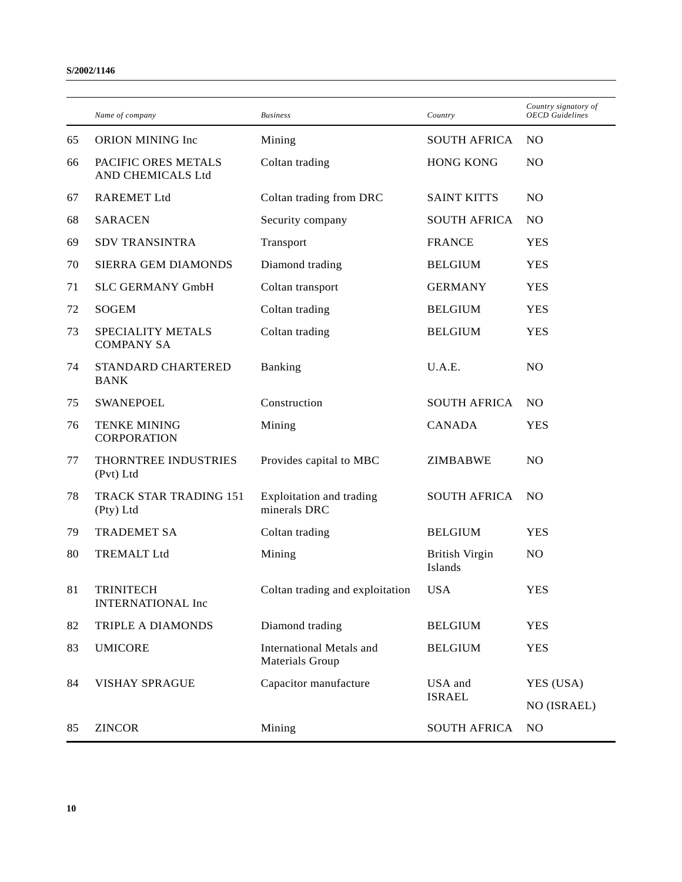|    | Name of company                              | <b>Business</b>                                    | Country                          | Country signatory of<br><b>OECD</b> Guidelines |
|----|----------------------------------------------|----------------------------------------------------|----------------------------------|------------------------------------------------|
| 65 | ORION MINING Inc                             | Mining                                             | <b>SOUTH AFRICA</b>              | N <sub>O</sub>                                 |
| 66 | PACIFIC ORES METALS<br>AND CHEMICALS Ltd     | Coltan trading                                     | <b>HONG KONG</b>                 | NO                                             |
| 67 | <b>RAREMET Ltd</b>                           | Coltan trading from DRC                            | <b>SAINT KITTS</b>               | NO                                             |
| 68 | <b>SARACEN</b>                               | Security company                                   | <b>SOUTH AFRICA</b>              | N <sub>O</sub>                                 |
| 69 | <b>SDV TRANSINTRA</b>                        | Transport                                          | <b>FRANCE</b>                    | <b>YES</b>                                     |
| 70 | SIERRA GEM DIAMONDS                          | Diamond trading                                    | <b>BELGIUM</b>                   | <b>YES</b>                                     |
| 71 | <b>SLC GERMANY GmbH</b>                      | Coltan transport                                   | <b>GERMANY</b>                   | <b>YES</b>                                     |
| 72 | <b>SOGEM</b>                                 | Coltan trading                                     | <b>BELGIUM</b>                   | <b>YES</b>                                     |
| 73 | SPECIALITY METALS<br><b>COMPANY SA</b>       | Coltan trading                                     | <b>BELGIUM</b>                   | <b>YES</b>                                     |
| 74 | STANDARD CHARTERED<br><b>BANK</b>            | Banking                                            | U.A.E.                           | NO                                             |
| 75 | <b>SWANEPOEL</b>                             | Construction                                       | <b>SOUTH AFRICA</b>              | N <sub>O</sub>                                 |
| 76 | <b>TENKE MINING</b><br><b>CORPORATION</b>    | Mining                                             | <b>CANADA</b>                    | <b>YES</b>                                     |
| 77 | THORNTREE INDUSTRIES<br>(Pvt) Ltd            | Provides capital to MBC                            | ZIMBABWE                         | NO.                                            |
| 78 | TRACK STAR TRADING 151<br>(Pty) Ltd          | Exploitation and trading<br>minerals DRC           | <b>SOUTH AFRICA</b>              | N <sub>O</sub>                                 |
| 79 | <b>TRADEMET SA</b>                           | Coltan trading                                     | <b>BELGIUM</b>                   | <b>YES</b>                                     |
| 80 | <b>TREMALT Ltd</b>                           | Mining                                             | <b>British Virgin</b><br>Islands | NO                                             |
| 81 | <b>TRINITECH</b><br><b>INTERNATIONAL Inc</b> | Coltan trading and exploitation                    | USA                              | <b>YES</b>                                     |
| 82 | TRIPLE A DIAMONDS                            | Diamond trading                                    | <b>BELGIUM</b>                   | <b>YES</b>                                     |
| 83 | <b>UMICORE</b>                               | <b>International Metals and</b><br>Materials Group | <b>BELGIUM</b>                   | <b>YES</b>                                     |
| 84 | <b>VISHAY SPRAGUE</b>                        | Capacitor manufacture                              | USA and<br><b>ISRAEL</b>         | YES (USA)                                      |
|    |                                              |                                                    |                                  | NO (ISRAEL)                                    |
| 85 | <b>ZINCOR</b>                                | Mining                                             | <b>SOUTH AFRICA</b>              | N <sub>O</sub>                                 |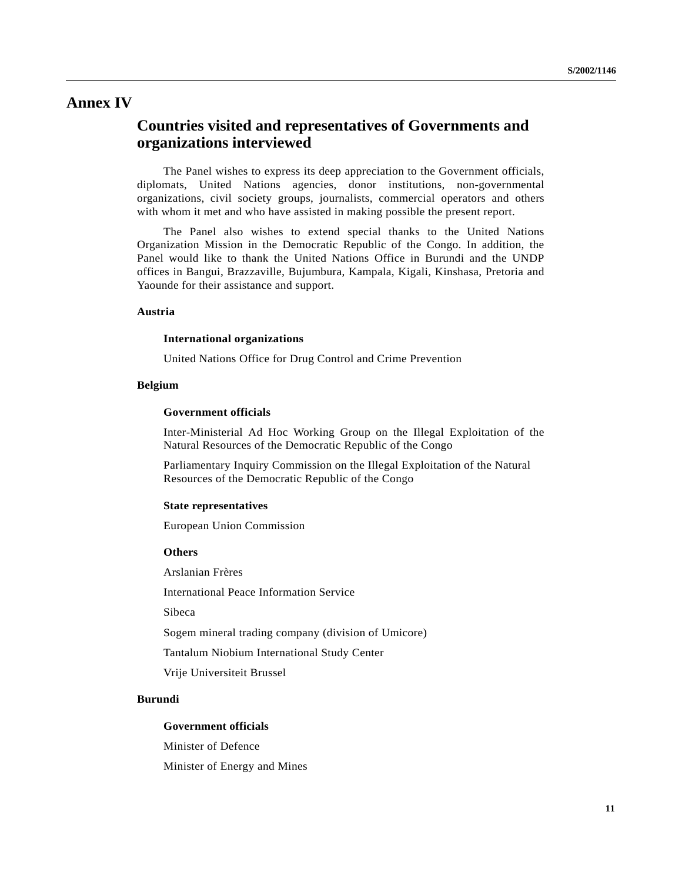# **Annex IV**

# **Countries visited and representatives of Governments and organizations interviewed**

The Panel wishes to express its deep appreciation to the Government officials, diplomats, United Nations agencies, donor institutions, non-governmental organizations, civil society groups, journalists, commercial operators and others with whom it met and who have assisted in making possible the present report.

The Panel also wishes to extend special thanks to the United Nations Organization Mission in the Democratic Republic of the Congo. In addition, the Panel would like to thank the United Nations Office in Burundi and the UNDP offices in Bangui, Brazzaville, Bujumbura, Kampala, Kigali, Kinshasa, Pretoria and Yaounde for their assistance and support.

# **Austria**

#### **International organizations**

United Nations Office for Drug Control and Crime Prevention

# **Belgium**

#### **Government officials**

Inter-Ministerial Ad Hoc Working Group on the Illegal Exploitation of the Natural Resources of the Democratic Republic of the Congo

Parliamentary Inquiry Commission on the Illegal Exploitation of the Natural Resources of the Democratic Republic of the Congo

#### **State representatives**

European Union Commission

#### **Others**

Arslanian Frères

International Peace Information Service

Sibeca

Sogem mineral trading company (division of Umicore)

Tantalum Niobium International Study Center

Vrije Universiteit Brussel

# **Burundi**

#### **Government officials**

Minister of Defence

Minister of Energy and Mines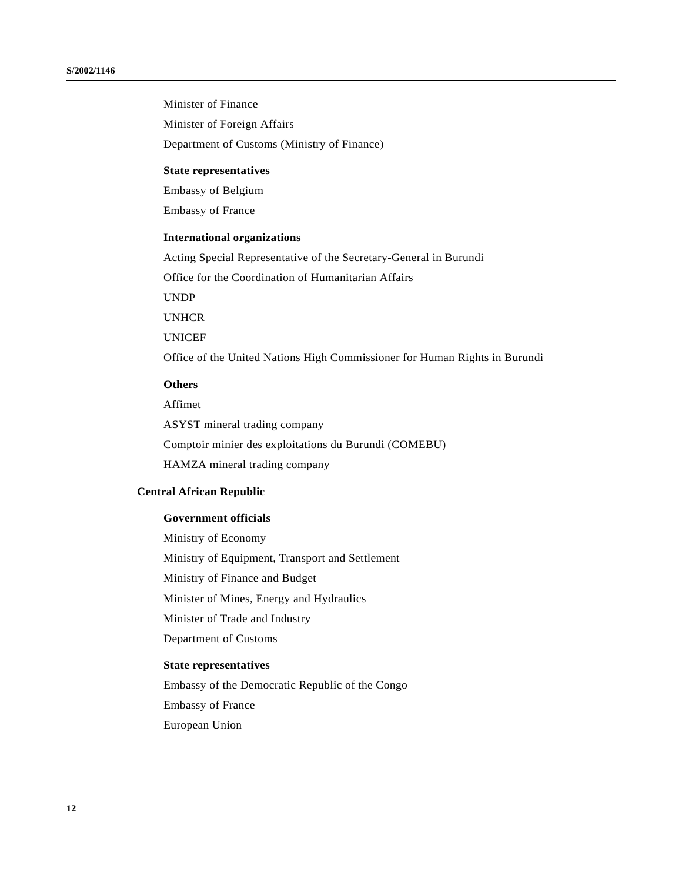Minister of Finance Minister of Foreign Affairs Department of Customs (Ministry of Finance)

# **State representatives**

Embassy of Belgium

Embassy of France

# **International organizations**

Acting Special Representative of the Secretary-General in Burundi

Office for the Coordination of Humanitarian Affairs

UNDP

UNHCR

UNICEF

Office of the United Nations High Commissioner for Human Rights in Burundi

# **Others**

Affimet

ASYST mineral trading company Comptoir minier des exploitations du Burundi (COMEBU) HAMZA mineral trading company

#### **Central African Republic**

#### **Government officials**

Ministry of Economy Ministry of Equipment, Transport and Settlement Ministry of Finance and Budget Minister of Mines, Energy and Hydraulics Minister of Trade and Industry Department of Customs **State representatives**

Embassy of the Democratic Republic of the Congo Embassy of France European Union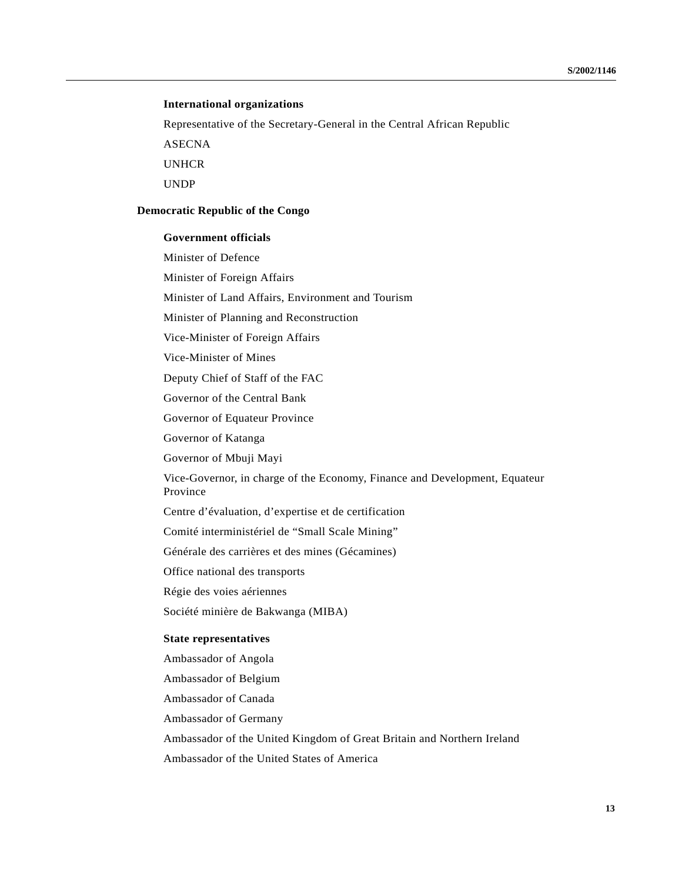#### **International organizations**

Representative of the Secretary-General in the Central African Republic

ASECNA

UNHCR

UNDP

#### **Democratic Republic of the Congo**

## **Government officials**

Minister of Defence

Minister of Foreign Affairs

Minister of Land Affairs, Environment and Tourism

Minister of Planning and Reconstruction

Vice-Minister of Foreign Affairs

Vice-Minister of Mines

Deputy Chief of Staff of the FAC

Governor of the Central Bank

Governor of Equateur Province

Governor of Katanga

Governor of Mbuji Mayi

Vice-Governor, in charge of the Economy, Finance and Development, Equateur Province

Centre d'évaluation, d'expertise et de certification

Comité interministériel de "Small Scale Mining"

Générale des carrières et des mines (Gécamines)

Office national des transports

Régie des voies aériennes

Société minière de Bakwanga (MIBA)

#### **State representatives**

Ambassador of Angola

Ambassador of Belgium

Ambassador of Canada

Ambassador of Germany

Ambassador of the United Kingdom of Great Britain and Northern Ireland

Ambassador of the United States of America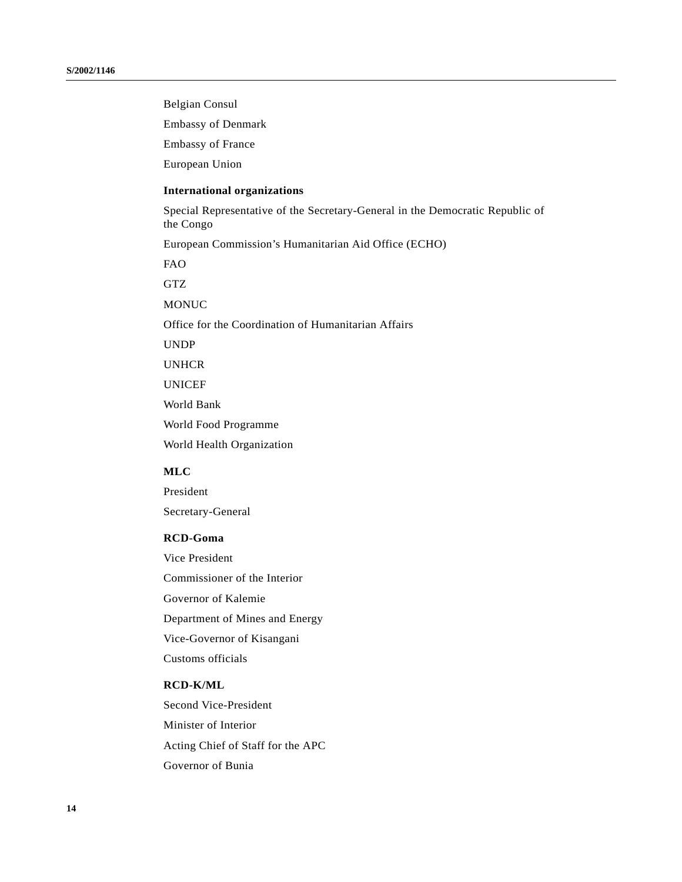Belgian Consul

Embassy of Denmark

Embassy of France

European Union

## **International organizations**

Special Representative of the Secretary-General in the Democratic Republic of the Congo

European Commission's Humanitarian Aid Office (ECHO)

FAO

GTZ

MONUC

Office for the Coordination of Humanitarian Affairs

UNDP

UNHCR

UNICEF

World Bank

World Food Programme

World Health Organization

# **MLC**

President Secretary-General

#### **RCD-Goma**

Vice President Commissioner of the Interior Governor of Kalemie Department of Mines and Energy Vice-Governor of Kisangani Customs officials

## **RCD-K/ML**

Second Vice-President Minister of Interior Acting Chief of Staff for the APC Governor of Bunia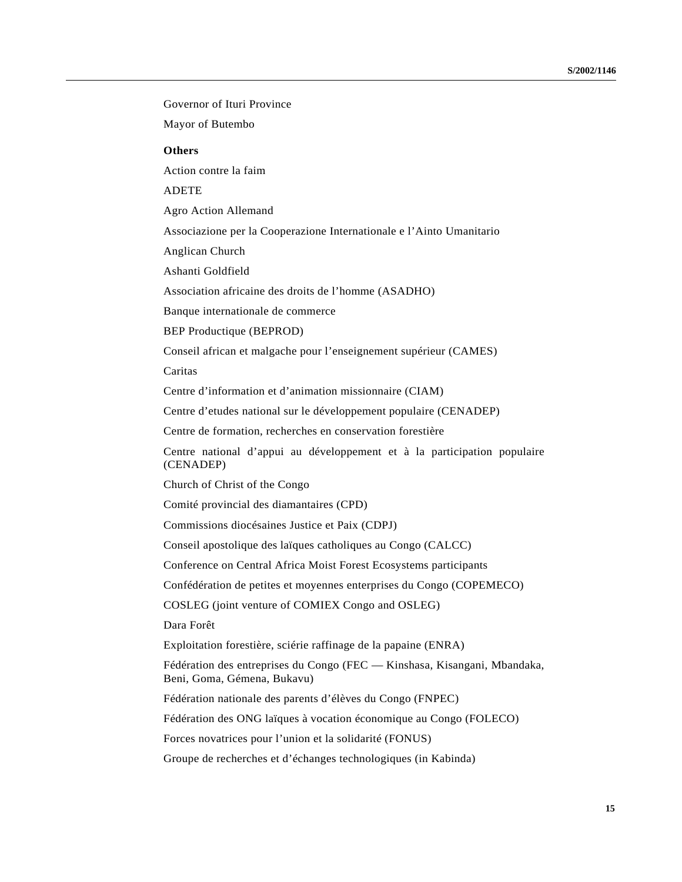Governor of Ituri Province Mayor of Butembo **Others** Action contre la faim ADETE Agro Action Allemand Associazione per la Cooperazione Internationale e l'Ainto Umanitario Anglican Church Ashanti Goldfield Association africaine des droits de l'homme (ASADHO) Banque internationale de commerce BEP Productique (BEPROD) Conseil african et malgache pour l'enseignement supérieur (CAMES) Caritas Centre d'information et d'animation missionnaire (CIAM) Centre d'etudes national sur le développement populaire (CENADEP) Centre de formation, recherches en conservation forestière Centre national d'appui au développement et à la participation populaire (CENADEP) Church of Christ of the Congo Comité provincial des diamantaires (CPD) Commissions diocésaines Justice et Paix (CDPJ) Conseil apostolique des laïques catholiques au Congo (CALCC) Conference on Central Africa Moist Forest Ecosystems participants Confédération de petites et moyennes enterprises du Congo (COPEMECO) COSLEG (joint venture of COMIEX Congo and OSLEG) Dara Forêt Exploitation forestière, sciérie raffinage de la papaine (ENRA) Fédération des entreprises du Congo (FEC — Kinshasa, Kisangani, Mbandaka, Beni, Goma, Gémena, Bukavu) Fédération nationale des parents d'élèves du Congo (FNPEC) Fédération des ONG laïques à vocation économique au Congo (FOLECO) Forces novatrices pour l'union et la solidarité (FONUS) Groupe de recherches et d'échanges technologiques (in Kabinda)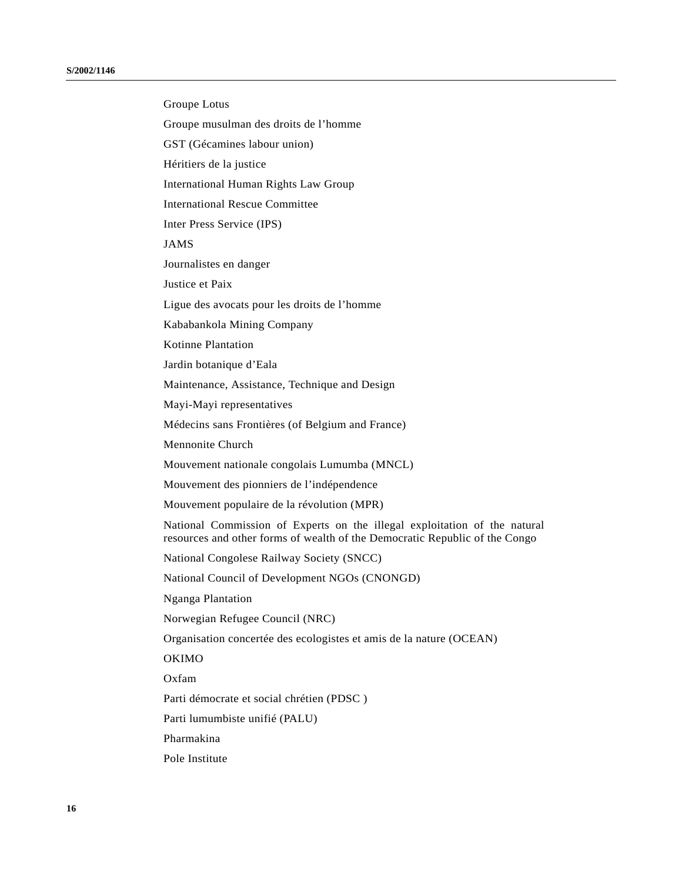Groupe Lotus Groupe musulman des droits de l'homme GST (Gécamines labour union) Héritiers de la justice International Human Rights Law Group International Rescue Committee Inter Press Service (IPS) JAMS Journalistes en danger Justice et Paix Ligue des avocats pour les droits de l'homme Kababankola Mining Company Kotinne Plantation Jardin botanique d'Eala Maintenance, Assistance, Technique and Design Mayi-Mayi representatives Médecins sans Frontières (of Belgium and France) Mennonite Church Mouvement nationale congolais Lumumba (MNCL) Mouvement des pionniers de l'indépendence Mouvement populaire de la révolution (MPR) National Commission of Experts on the illegal exploitation of the natural resources and other forms of wealth of the Democratic Republic of the Congo National Congolese Railway Society (SNCC) National Council of Development NGOs (CNONGD) Nganga Plantation Norwegian Refugee Council (NRC) Organisation concertée des ecologistes et amis de la nature (OCEAN) OKIMO Oxfam Parti démocrate et social chrétien (PDSC ) Parti lumumbiste unifié (PALU) Pharmakina Pole Institute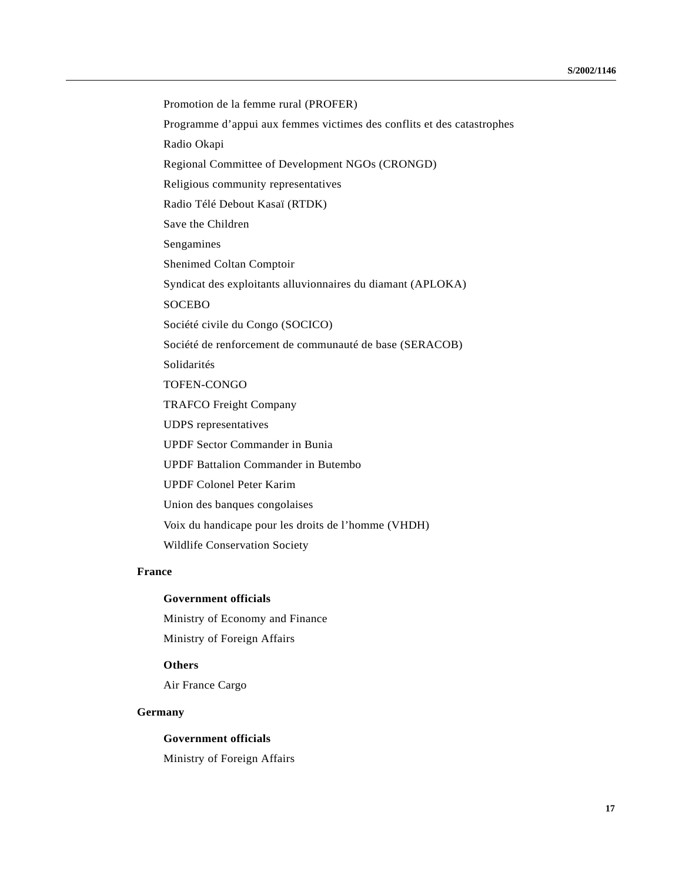Promotion de la femme rural (PROFER) Programme d'appui aux femmes victimes des conflits et des catastrophes Radio Okapi Regional Committee of Development NGOs (CRONGD) Religious community representatives Radio Télé Debout Kasaï (RTDK) Save the Children Sengamines Shenimed Coltan Comptoir Syndicat des exploitants alluvionnaires du diamant (APLOKA) SOCEBO Société civile du Congo (SOCICO) Société de renforcement de communauté de base (SERACOB) Solidarités TOFEN-CONGO TRAFCO Freight Company UDPS representatives UPDF Sector Commander in Bunia UPDF Battalion Commander in Butembo UPDF Colonel Peter Karim Union des banques congolaises Voix du handicape pour les droits de l'homme (VHDH) Wildlife Conservation Society

# **France**

## **Government officials**

Ministry of Economy and Finance

Ministry of Foreign Affairs

# **Others**

Air France Cargo

# **Germany**

# **Government officials**

Ministry of Foreign Affairs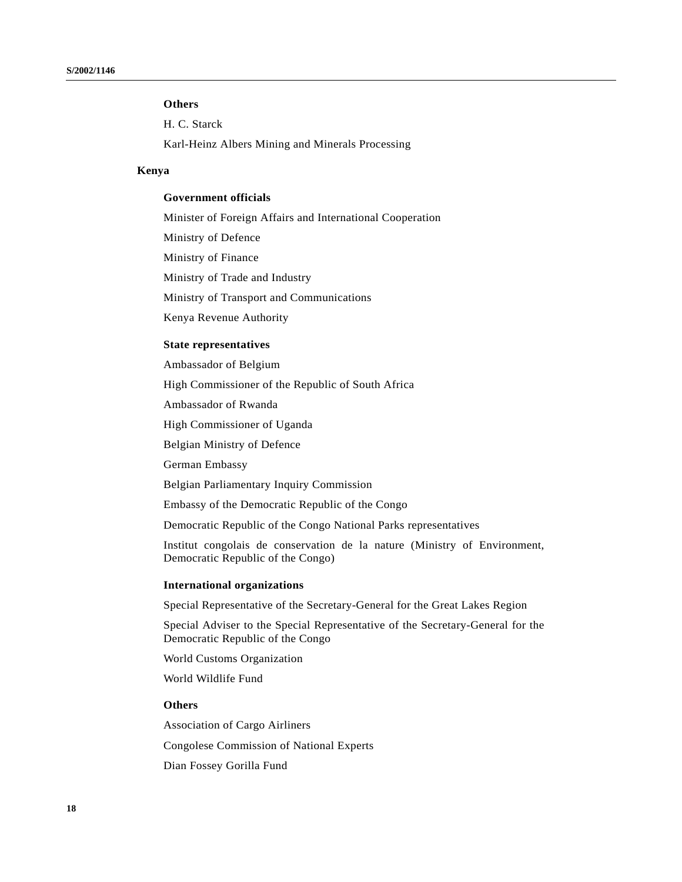# **Others**

H. C. Starck

Karl-Heinz Albers Mining and Minerals Processing

# **Kenya**

# **Government officials**

Minister of Foreign Affairs and International Cooperation Ministry of Defence Ministry of Finance Ministry of Trade and Industry Ministry of Transport and Communications Kenya Revenue Authority **State representatives**

Ambassador of Belgium

High Commissioner of the Republic of South Africa

Ambassador of Rwanda

High Commissioner of Uganda

Belgian Ministry of Defence

German Embassy

Belgian Parliamentary Inquiry Commission

Embassy of the Democratic Republic of the Congo

Democratic Republic of the Congo National Parks representatives

Institut congolais de conservation de la nature (Ministry of Environment, Democratic Republic of the Congo)

#### **International organizations**

Special Representative of the Secretary-General for the Great Lakes Region

Special Adviser to the Special Representative of the Secretary-General for the Democratic Republic of the Congo

World Customs Organization

World Wildlife Fund

#### **Others**

Association of Cargo Airliners Congolese Commission of National Experts

Dian Fossey Gorilla Fund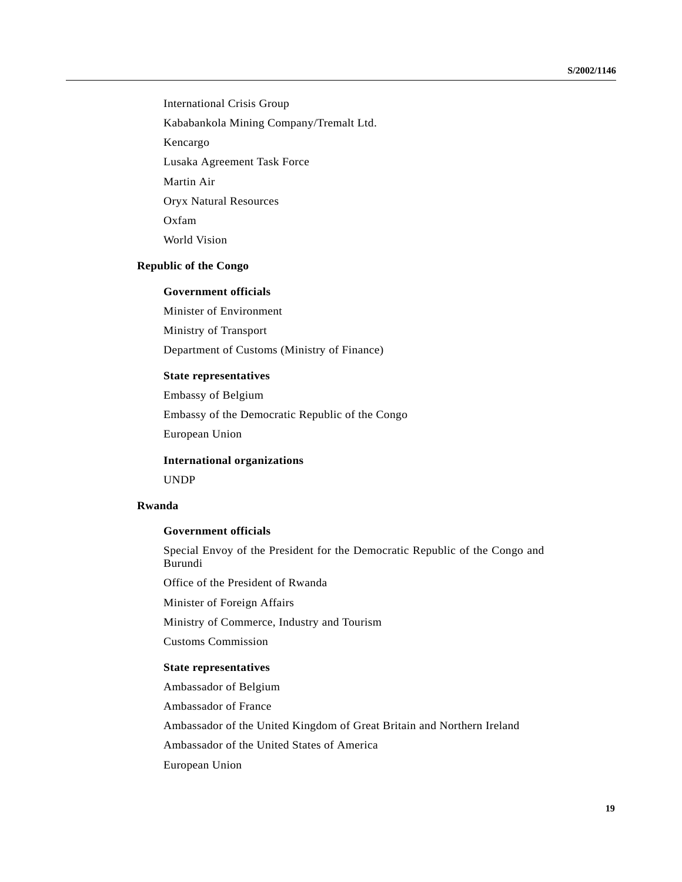International Crisis Group

Kababankola Mining Company/Tremalt Ltd.

Kencargo

Lusaka Agreement Task Force

Martin Air

Oryx Natural Resources

Oxfam

World Vision

# **Republic of the Congo**

## **Government officials**

Minister of Environment

Ministry of Transport

Department of Customs (Ministry of Finance)

#### **State representatives**

Embassy of Belgium Embassy of the Democratic Republic of the Congo European Union

**International organizations**

UNDP

#### **Rwanda**

## **Government officials**

Special Envoy of the President for the Democratic Republic of the Congo and Burundi

Office of the President of Rwanda

Minister of Foreign Affairs

Ministry of Commerce, Industry and Tourism

Customs Commission

## **State representatives**

Ambassador of Belgium

Ambassador of France

Ambassador of the United Kingdom of Great Britain and Northern Ireland

Ambassador of the United States of America

European Union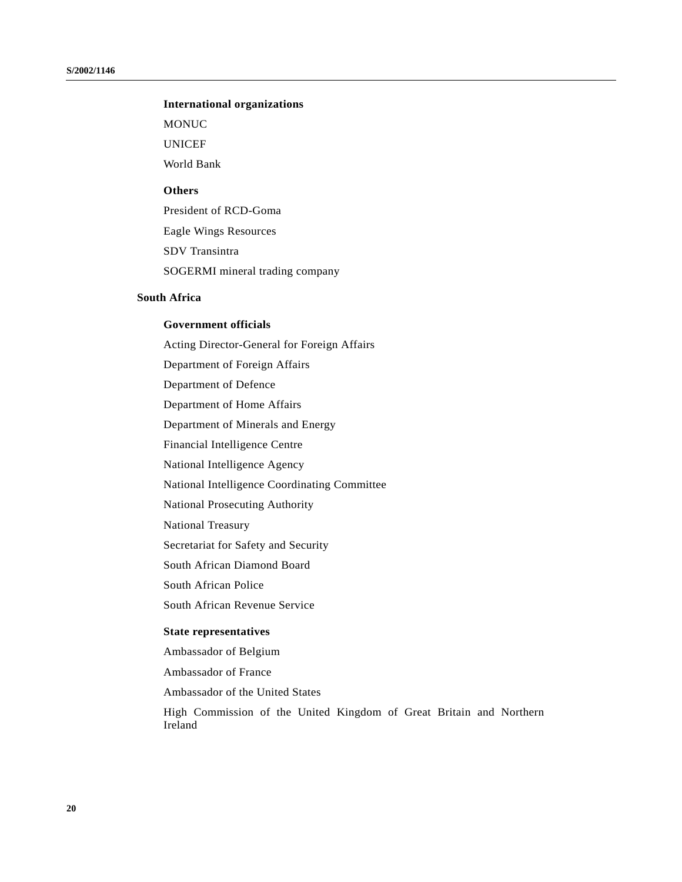# **International organizations**

MONUC

UNICEF

World Bank

# **Others**

President of RCD-Goma Eagle Wings Resources SDV Transintra SOGERMI mineral trading company

#### **South Africa**

# **Government officials**

Acting Director-General for Foreign Affairs Department of Foreign Affairs Department of Defence Department of Home Affairs Department of Minerals and Energy Financial Intelligence Centre National Intelligence Agency National Intelligence Coordinating Committee National Prosecuting Authority National Treasury Secretariat for Safety and Security South African Diamond Board South African Police South African Revenue Service **State representatives** Ambassador of Belgium

Ambassador of France

Ambassador of the United States

High Commission of the United Kingdom of Great Britain and Northern Ireland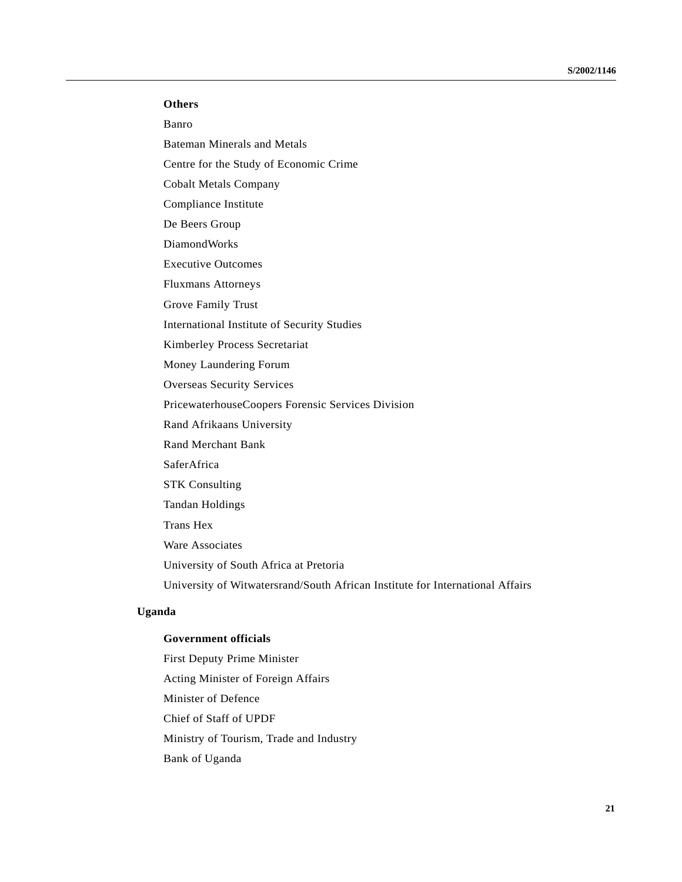# **Others**

Banro

Bateman Minerals and Metals

Centre for the Study of Economic Crime

Cobalt Metals Company

Compliance Institute

De Beers Group

DiamondWorks

Executive Outcomes

Fluxmans Attorneys

Grove Family Trust

International Institute of Security Studies

Kimberley Process Secretariat

Money Laundering Forum

Overseas Security Services

PricewaterhouseCoopers Forensic Services Division

Rand Afrikaans University

Rand Merchant Bank

SaferAfrica

STK Consulting

Tandan Holdings

Trans Hex

Ware Associates

University of South Africa at Pretoria

University of Witwatersrand/South African Institute for International Affairs

# **Uganda**

## **Government officials**

First Deputy Prime Minister Acting Minister of Foreign Affairs Minister of Defence Chief of Staff of UPDF Ministry of Tourism, Trade and Industry Bank of Uganda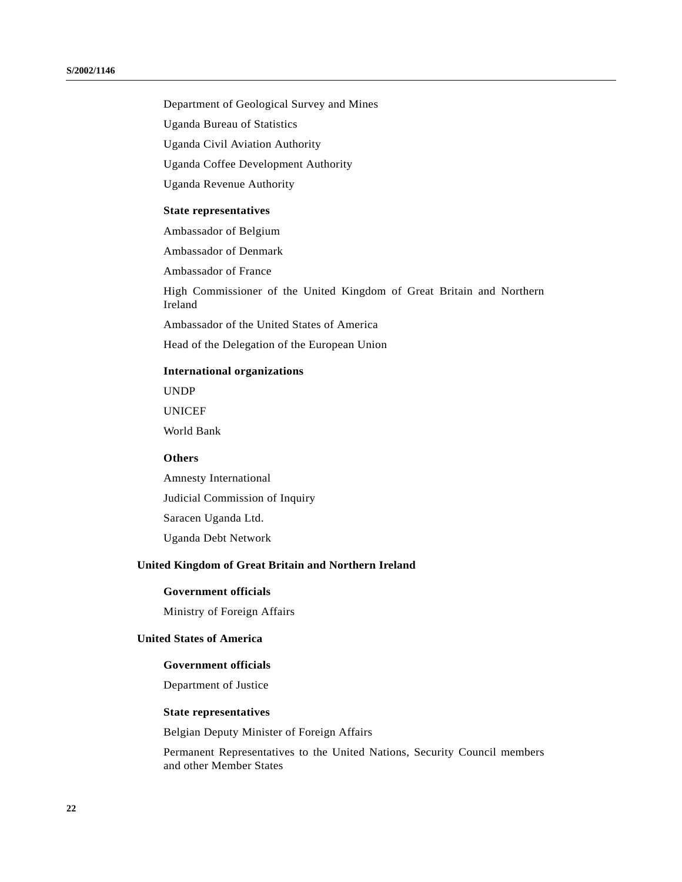Department of Geological Survey and Mines

Uganda Bureau of Statistics

Uganda Civil Aviation Authority

Uganda Coffee Development Authority

Uganda Revenue Authority

#### **State representatives**

Ambassador of Belgium

Ambassador of Denmark

Ambassador of France

High Commissioner of the United Kingdom of Great Britain and Northern Ireland

Ambassador of the United States of America

Head of the Delegation of the European Union

#### **International organizations**

UNDP

UNICEF

World Bank

## **Others**

Amnesty International Judicial Commission of Inquiry Saracen Uganda Ltd. Uganda Debt Network

# **United Kingdom of Great Britain and Northern Ireland**

# **Government officials**

Ministry of Foreign Affairs

# **United States of America**

## **Government officials**

Department of Justice

## **State representatives**

Belgian Deputy Minister of Foreign Affairs

Permanent Representatives to the United Nations, Security Council members and other Member States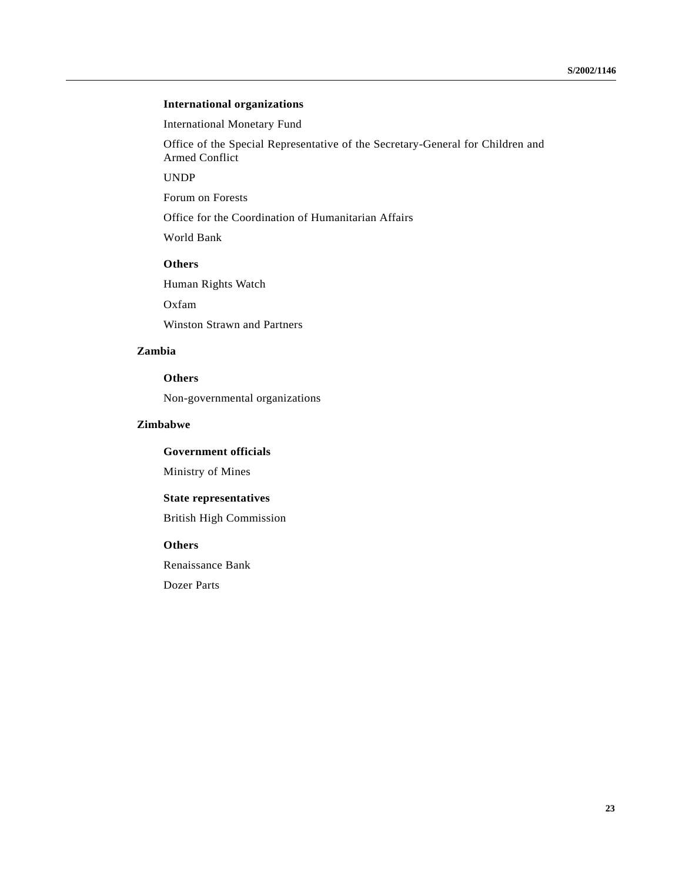# **International organizations**

International Monetary Fund

Office of the Special Representative of the Secretary-General for Children and Armed Conflict

UNDP

Forum on Forests

Office for the Coordination of Humanitarian Affairs

World Bank

# **Others**

Human Rights Watch

Oxfam

Winston Strawn and Partners

# **Zambia**

# **Others**

Non-governmental organizations

# **Zimbabwe**

**Government officials**

Ministry of Mines

# **State representatives**

British High Commission

**Others**

Renaissance Bank

Dozer Parts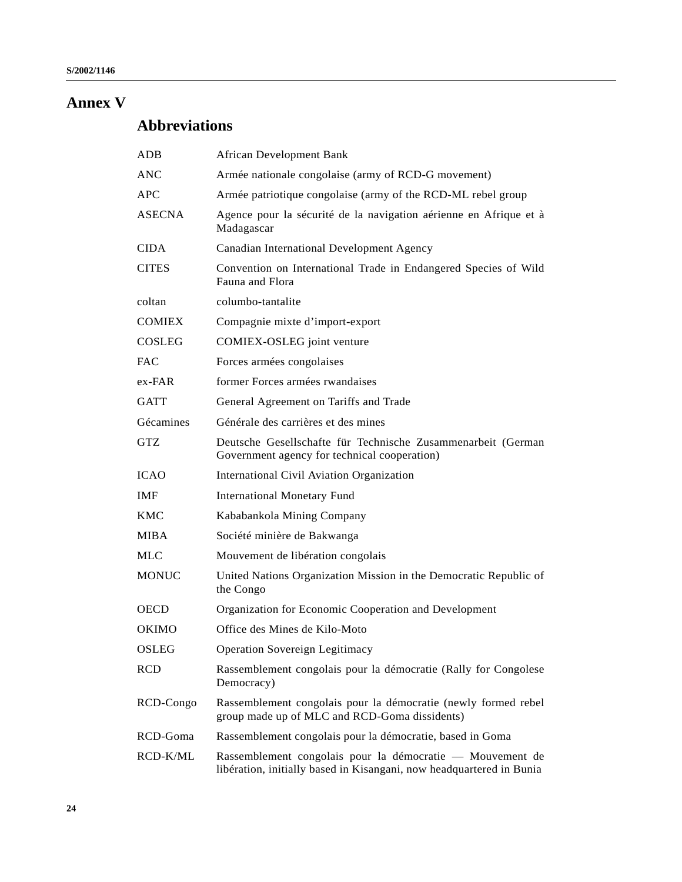# **Annex V**

# **Abbreviations**

| $_{\rm ADB}$  | African Development Bank                                                                                                          |
|---------------|-----------------------------------------------------------------------------------------------------------------------------------|
| ANC           | Armée nationale congolaise (army of RCD-G movement)                                                                               |
| <b>APC</b>    | Armée patriotique congolaise (army of the RCD-ML rebel group                                                                      |
| ASECNA        | Agence pour la sécurité de la navigation aérienne en Afrique et à<br>Madagascar                                                   |
| CIDA          | Canadian International Development Agency                                                                                         |
| <b>CITES</b>  | Convention on International Trade in Endangered Species of Wild<br>Fauna and Flora                                                |
| coltan        | columbo-tantalite                                                                                                                 |
| <b>COMIEX</b> | Compagnie mixte d'import-export                                                                                                   |
| COSLEG        | COMIEX-OSLEG joint venture                                                                                                        |
| FAC           | Forces armées congolaises                                                                                                         |
| ex-FAR        | former Forces armées rwandaises                                                                                                   |
| <b>GATT</b>   | General Agreement on Tariffs and Trade                                                                                            |
| Gécamines     | Générale des carrières et des mines                                                                                               |
| GTZ           | Deutsche Gesellschafte für Technische Zusammenarbeit (German<br>Government agency for technical cooperation)                      |
| ICAO          | International Civil Aviation Organization                                                                                         |
| IMF           | <b>International Monetary Fund</b>                                                                                                |
| KMC           | Kababankola Mining Company                                                                                                        |
| MIBA          | Société minière de Bakwanga                                                                                                       |
| MLC           | Mouvement de libération congolais                                                                                                 |
| <b>MONUC</b>  | United Nations Organization Mission in the Democratic Republic of<br>the Congo                                                    |
| OECD          | Organization for Economic Cooperation and Development                                                                             |
| OKIMO         | Office des Mines de Kilo-Moto                                                                                                     |
| OSLEG         | <b>Operation Sovereign Legitimacy</b>                                                                                             |
| RCD           | Rassemblement congolais pour la démocratie (Rally for Congolese<br>Democracy)                                                     |
| RCD-Congo     | Rassemblement congolais pour la démocratie (newly formed rebel<br>group made up of MLC and RCD-Goma dissidents)                   |
| RCD-Goma      | Rassemblement congolais pour la démocratie, based in Goma                                                                         |
| RCD-K/ML      | Rassemblement congolais pour la démocratie — Mouvement de<br>libération, initially based in Kisangani, now headquartered in Bunia |